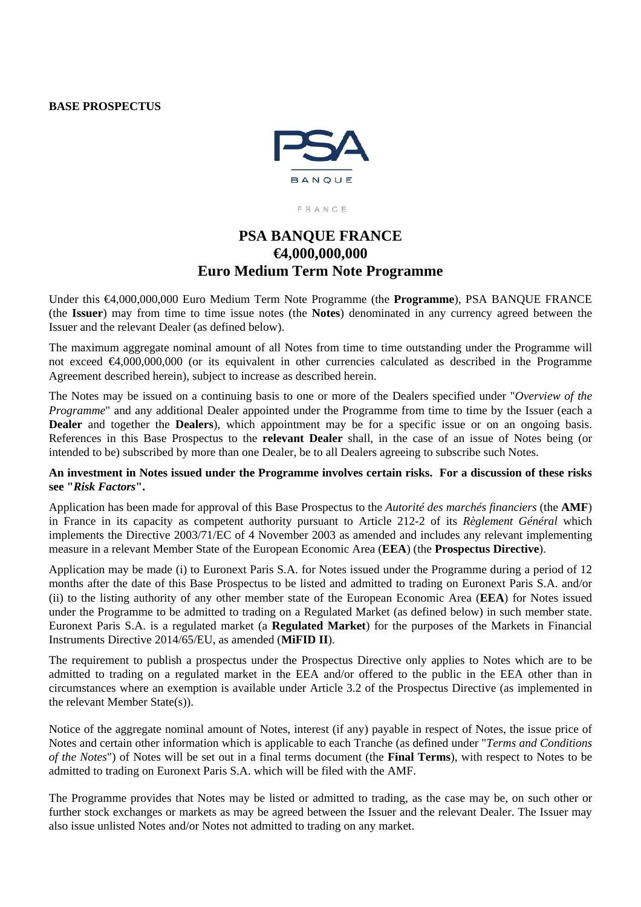#### **BASE PROSPECTUS**



FRANCE

# **PSA BANQUE FRANCE €4,000,000,000 Euro Medium Term Note Programme**

Under this €4,000,000,000 Euro Medium Term Note Programme (the **Programme**), PSA BANQUE FRANCE (the **Issuer**) may from time to time issue notes (the **Notes**) denominated in any currency agreed between the Issuer and the relevant Dealer (as defined below).

The maximum aggregate nominal amount of all Notes from time to time outstanding under the Programme will not exceed  $\bigoplus$ ,000,000,000 (or its equivalent in other currencies calculated as described in the Programme Agreement described herein), subject to increase as described herein.

The Notes may be issued on a continuing basis to one or more of the Dealers specified under "*Overview of the Programme*" and any additional Dealer appointed under the Programme from time to time by the Issuer (each a **Dealer** and together the **Dealers**), which appointment may be for a specific issue or on an ongoing basis. References in this Base Prospectus to the **relevant Dealer** shall, in the case of an issue of Notes being (or intended to be) subscribed by more than one Dealer, be to all Dealers agreeing to subscribe such Notes.

## **An investment in Notes issued under the Programme involves certain risks. For a discussion of these risks see "***Risk Factors***".**

Application has been made for approval of this Base Prospectus to the *Autorité des marchés financiers* (the **AMF**) in France in its capacity as competent authority pursuant to Article 212-2 of its *Règlement Général* which implements the Directive 2003/71/EC of 4 November 2003 as amended and includes any relevant implementing measure in a relevant Member State of the European Economic Area (**EEA**) (the **Prospectus Directive**).

Application may be made (i) to Euronext Paris S.A. for Notes issued under the Programme during a period of 12 months after the date of this Base Prospectus to be listed and admitted to trading on Euronext Paris S.A. and/or (ii) to the listing authority of any other member state of the European Economic Area (**EEA**) for Notes issued under the Programme to be admitted to trading on a Regulated Market (as defined below) in such member state. Euronext Paris S.A. is a regulated market (a **Regulated Market**) for the purposes of the Markets in Financial Instruments Directive 2014/65/EU, as amended (**MiFID II**).

The requirement to publish a prospectus under the Prospectus Directive only applies to Notes which are to be admitted to trading on a regulated market in the EEA and/or offered to the public in the EEA other than in circumstances where an exemption is available under Article 3.2 of the Prospectus Directive (as implemented in the relevant Member State(s)).

Notice of the aggregate nominal amount of Notes, interest (if any) payable in respect of Notes, the issue price of Notes and certain other information which is applicable to each Tranche (as defined under "*Terms and Conditions of the Notes*") of Notes will be set out in a final terms document (the **Final Terms**), with respect to Notes to be admitted to trading on Euronext Paris S.A. which will be filed with the AMF.

The Programme provides that Notes may be listed or admitted to trading, as the case may be, on such other or further stock exchanges or markets as may be agreed between the Issuer and the relevant Dealer. The Issuer may also issue unlisted Notes and/or Notes not admitted to trading on any market.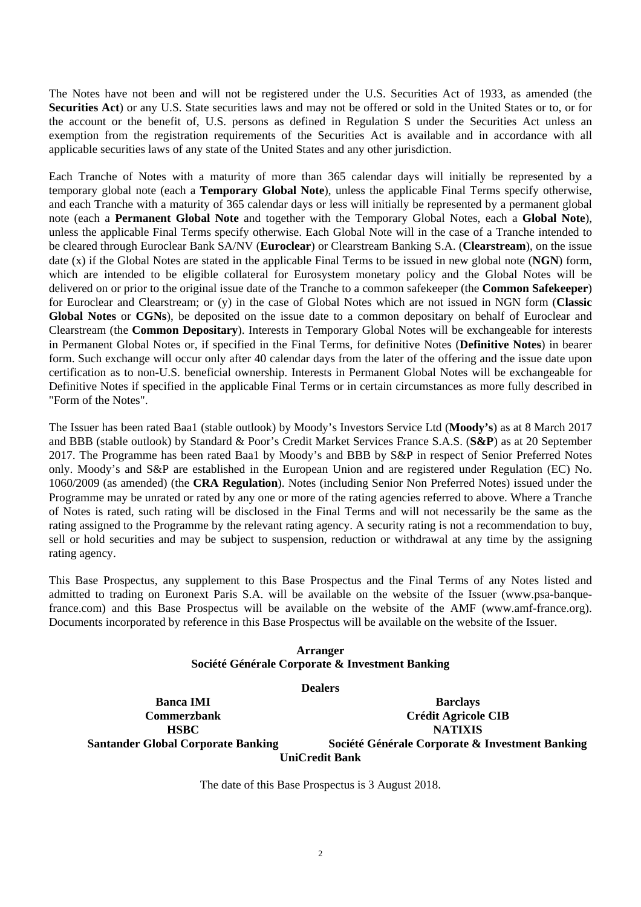The Notes have not been and will not be registered under the U.S. Securities Act of 1933, as amended (the **Securities Act**) or any U.S. State securities laws and may not be offered or sold in the United States or to, or for the account or the benefit of, U.S. persons as defined in Regulation S under the Securities Act unless an exemption from the registration requirements of the Securities Act is available and in accordance with all applicable securities laws of any state of the United States and any other jurisdiction.

Each Tranche of Notes with a maturity of more than 365 calendar days will initially be represented by a temporary global note (each a **Temporary Global Note**), unless the applicable Final Terms specify otherwise, and each Tranche with a maturity of 365 calendar days or less will initially be represented by a permanent global note (each a **Permanent Global Note** and together with the Temporary Global Notes, each a **Global Note**), unless the applicable Final Terms specify otherwise. Each Global Note will in the case of a Tranche intended to be cleared through Euroclear Bank SA/NV (**Euroclear**) or Clearstream Banking S.A. (**Clearstream**), on the issue date (x) if the Global Notes are stated in the applicable Final Terms to be issued in new global note (**NGN**) form, which are intended to be eligible collateral for Eurosystem monetary policy and the Global Notes will be delivered on or prior to the original issue date of the Tranche to a common safekeeper (the **Common Safekeeper**) for Euroclear and Clearstream; or (y) in the case of Global Notes which are not issued in NGN form (**Classic Global Notes** or **CGNs**), be deposited on the issue date to a common depositary on behalf of Euroclear and Clearstream (the **Common Depositary**). Interests in Temporary Global Notes will be exchangeable for interests in Permanent Global Notes or, if specified in the Final Terms, for definitive Notes (**Definitive Notes**) in bearer form. Such exchange will occur only after 40 calendar days from the later of the offering and the issue date upon certification as to non-U.S. beneficial ownership. Interests in Permanent Global Notes will be exchangeable for Definitive Notes if specified in the applicable Final Terms or in certain circumstances as more fully described in "Form of the Notes".

The Issuer has been rated Baa1 (stable outlook) by Moody's Investors Service Ltd (**Moody's**) as at 8 March 2017 and BBB (stable outlook) by Standard & Poor's Credit Market Services France S.A.S. (**S&P**) as at 20 September 2017. The Programme has been rated Baa1 by Moody's and BBB by S&P in respect of Senior Preferred Notes only. Moody's and S&P are established in the European Union and are registered under Regulation (EC) No. 1060/2009 (as amended) (the **CRA Regulation**). Notes (including Senior Non Preferred Notes) issued under the Programme may be unrated or rated by any one or more of the rating agencies referred to above. Where a Tranche of Notes is rated, such rating will be disclosed in the Final Terms and will not necessarily be the same as the rating assigned to the Programme by the relevant rating agency. A security rating is not a recommendation to buy, sell or hold securities and may be subject to suspension, reduction or withdrawal at any time by the assigning rating agency.

This Base Prospectus, any supplement to this Base Prospectus and the Final Terms of any Notes listed and admitted to trading on Euronext Paris S.A. will be available on the website of the Issuer (www.psa-banquefrance.com) and this Base Prospectus will be available on the website of the AMF (www.amf-france.org). Documents incorporated by reference in this Base Prospectus will be available on the website of the Issuer.

#### **Arranger Société Générale Corporate & Investment Banking**

**Dealers**

**Santander Global Corporate Banking Société Générale Corporate & Investment Banking** 

**Banca IMI Barclays Commerzbank Crédit Agricole CIB HSBC NATIXIS**

**UniCredit Bank** 

The date of this Base Prospectus is 3 August 2018.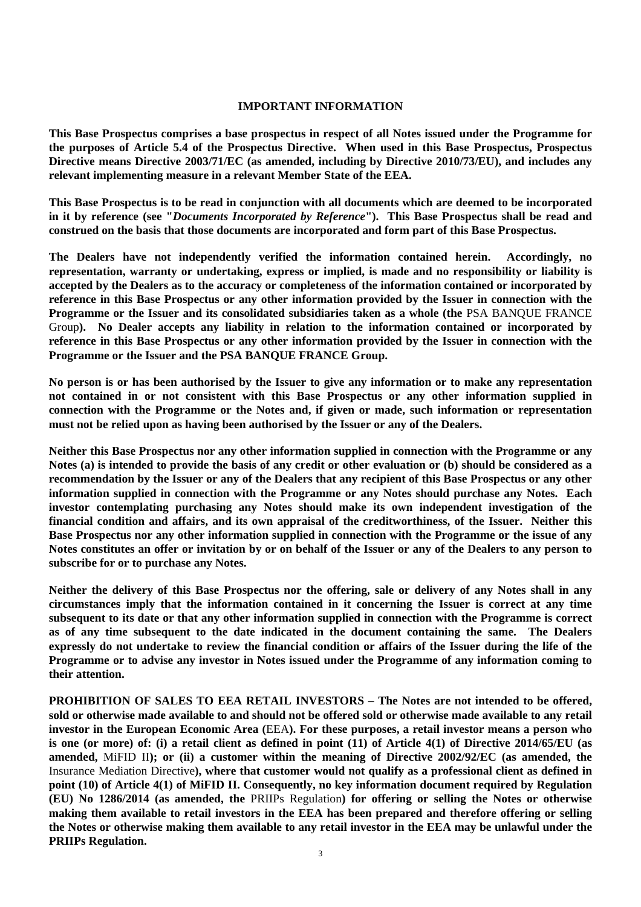#### **IMPORTANT INFORMATION**

**This Base Prospectus comprises a base prospectus in respect of all Notes issued under the Programme for the purposes of Article 5.4 of the Prospectus Directive. When used in this Base Prospectus, Prospectus Directive means Directive 2003/71/EC (as amended, including by Directive 2010/73/EU), and includes any relevant implementing measure in a relevant Member State of the EEA.**

**This Base Prospectus is to be read in conjunction with all documents which are deemed to be incorporated in it by reference (see "***Documents Incorporated by Reference***"). This Base Prospectus shall be read and construed on the basis that those documents are incorporated and form part of this Base Prospectus.**

**The Dealers have not independently verified the information contained herein. Accordingly, no representation, warranty or undertaking, express or implied, is made and no responsibility or liability is accepted by the Dealers as to the accuracy or completeness of the information contained or incorporated by reference in this Base Prospectus or any other information provided by the Issuer in connection with the Programme or the Issuer and its consolidated subsidiaries taken as a whole (the** PSA BANQUE FRANCE Group**). No Dealer accepts any liability in relation to the information contained or incorporated by reference in this Base Prospectus or any other information provided by the Issuer in connection with the Programme or the Issuer and the PSA BANQUE FRANCE Group.**

**No person is or has been authorised by the Issuer to give any information or to make any representation not contained in or not consistent with this Base Prospectus or any other information supplied in connection with the Programme or the Notes and, if given or made, such information or representation must not be relied upon as having been authorised by the Issuer or any of the Dealers.**

**Neither this Base Prospectus nor any other information supplied in connection with the Programme or any Notes (a) is intended to provide the basis of any credit or other evaluation or (b) should be considered as a recommendation by the Issuer or any of the Dealers that any recipient of this Base Prospectus or any other information supplied in connection with the Programme or any Notes should purchase any Notes. Each investor contemplating purchasing any Notes should make its own independent investigation of the financial condition and affairs, and its own appraisal of the creditworthiness, of the Issuer. Neither this Base Prospectus nor any other information supplied in connection with the Programme or the issue of any Notes constitutes an offer or invitation by or on behalf of the Issuer or any of the Dealers to any person to subscribe for or to purchase any Notes.**

**Neither the delivery of this Base Prospectus nor the offering, sale or delivery of any Notes shall in any circumstances imply that the information contained in it concerning the Issuer is correct at any time subsequent to its date or that any other information supplied in connection with the Programme is correct as of any time subsequent to the date indicated in the document containing the same. The Dealers expressly do not undertake to review the financial condition or affairs of the Issuer during the life of the Programme or to advise any investor in Notes issued under the Programme of any information coming to their attention.** 

**PROHIBITION OF SALES TO EEA RETAIL INVESTORS – The Notes are not intended to be offered, sold or otherwise made available to and should not be offered sold or otherwise made available to any retail investor in the European Economic Area (**EEA**). For these purposes, a retail investor means a person who is one (or more) of: (i) a retail client as defined in point (11) of Article 4(1) of Directive 2014/65/EU (as amended,** MiFID II**); or (ii) a customer within the meaning of Directive 2002/92/EC (as amended, the**  Insurance Mediation Directive**), where that customer would not qualify as a professional client as defined in point (10) of Article 4(1) of MiFID II. Consequently, no key information document required by Regulation (EU) No 1286/2014 (as amended, the** PRIIPs Regulation**) for offering or selling the Notes or otherwise making them available to retail investors in the EEA has been prepared and therefore offering or selling the Notes or otherwise making them available to any retail investor in the EEA may be unlawful under the PRIIPs Regulation.**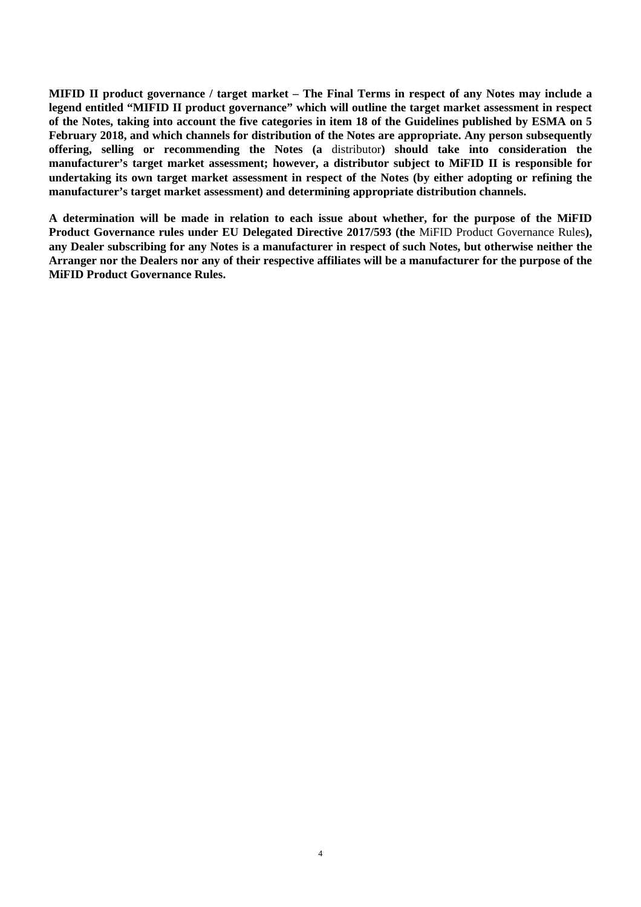**MIFID II product governance / target market – The Final Terms in respect of any Notes may include a legend entitled "MIFID II product governance" which will outline the target market assessment in respect of the Notes, taking into account the five categories in item 18 of the Guidelines published by ESMA on 5 February 2018, and which channels for distribution of the Notes are appropriate. Any person subsequently offering, selling or recommending the Notes (a** distributor**) should take into consideration the manufacturer's target market assessment; however, a distributor subject to MiFID II is responsible for undertaking its own target market assessment in respect of the Notes (by either adopting or refining the manufacturer's target market assessment) and determining appropriate distribution channels.** 

**A determination will be made in relation to each issue about whether, for the purpose of the MiFID Product Governance rules under EU Delegated Directive 2017/593 (the** MiFID Product Governance Rules**), any Dealer subscribing for any Notes is a manufacturer in respect of such Notes, but otherwise neither the Arranger nor the Dealers nor any of their respective affiliates will be a manufacturer for the purpose of the MiFID Product Governance Rules.**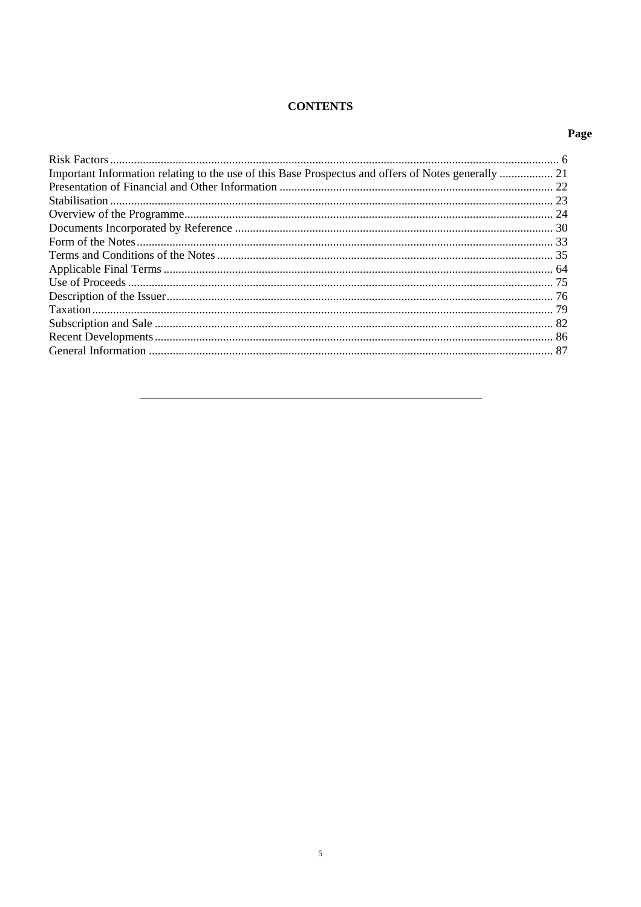# **CONTENTS**

# Page

| Important Information relating to the use of this Base Prospectus and offers of Notes generally  21 |  |
|-----------------------------------------------------------------------------------------------------|--|
|                                                                                                     |  |
|                                                                                                     |  |
|                                                                                                     |  |
|                                                                                                     |  |
|                                                                                                     |  |
|                                                                                                     |  |
|                                                                                                     |  |
|                                                                                                     |  |
|                                                                                                     |  |
|                                                                                                     |  |
|                                                                                                     |  |
|                                                                                                     |  |
|                                                                                                     |  |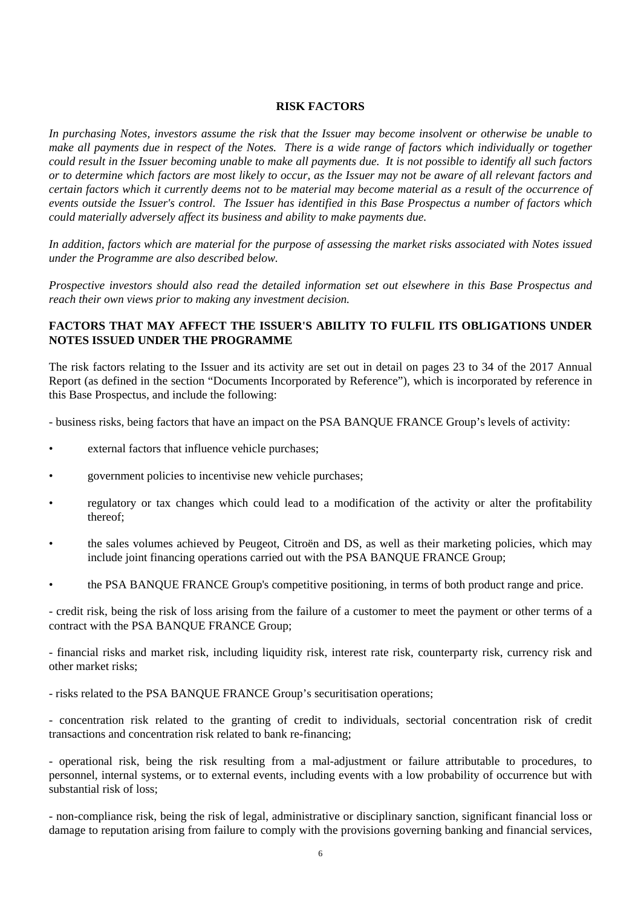#### **RISK FACTORS**

*In purchasing Notes, investors assume the risk that the Issuer may become insolvent or otherwise be unable to make all payments due in respect of the Notes. There is a wide range of factors which individually or together could result in the Issuer becoming unable to make all payments due. It is not possible to identify all such factors or to determine which factors are most likely to occur, as the Issuer may not be aware of all relevant factors and certain factors which it currently deems not to be material may become material as a result of the occurrence of events outside the Issuer's control. The Issuer has identified in this Base Prospectus a number of factors which could materially adversely affect its business and ability to make payments due.*

*In addition, factors which are material for the purpose of assessing the market risks associated with Notes issued under the Programme are also described below.*

*Prospective investors should also read the detailed information set out elsewhere in this Base Prospectus and reach their own views prior to making any investment decision.*

## **FACTORS THAT MAY AFFECT THE ISSUER'S ABILITY TO FULFIL ITS OBLIGATIONS UNDER NOTES ISSUED UNDER THE PROGRAMME**

The risk factors relating to the Issuer and its activity are set out in detail on pages 23 to 34 of the 2017 Annual Report (as defined in the section "Documents Incorporated by Reference"), which is incorporated by reference in this Base Prospectus, and include the following:

- business risks, being factors that have an impact on the PSA BANQUE FRANCE Group's levels of activity:

- external factors that influence vehicle purchases;
- government policies to incentivise new vehicle purchases;
- regulatory or tax changes which could lead to a modification of the activity or alter the profitability thereof;
- the sales volumes achieved by Peugeot, Citroën and DS, as well as their marketing policies, which may include joint financing operations carried out with the PSA BANQUE FRANCE Group;
- the PSA BANQUE FRANCE Group's competitive positioning, in terms of both product range and price.

- credit risk, being the risk of loss arising from the failure of a customer to meet the payment or other terms of a contract with the PSA BANQUE FRANCE Group;

- financial risks and market risk, including liquidity risk, interest rate risk, counterparty risk, currency risk and other market risks;

- risks related to the PSA BANQUE FRANCE Group's securitisation operations;

- concentration risk related to the granting of credit to individuals, sectorial concentration risk of credit transactions and concentration risk related to bank re-financing;

- operational risk, being the risk resulting from a mal-adjustment or failure attributable to procedures, to personnel, internal systems, or to external events, including events with a low probability of occurrence but with substantial risk of loss;

- non-compliance risk, being the risk of legal, administrative or disciplinary sanction, significant financial loss or damage to reputation arising from failure to comply with the provisions governing banking and financial services,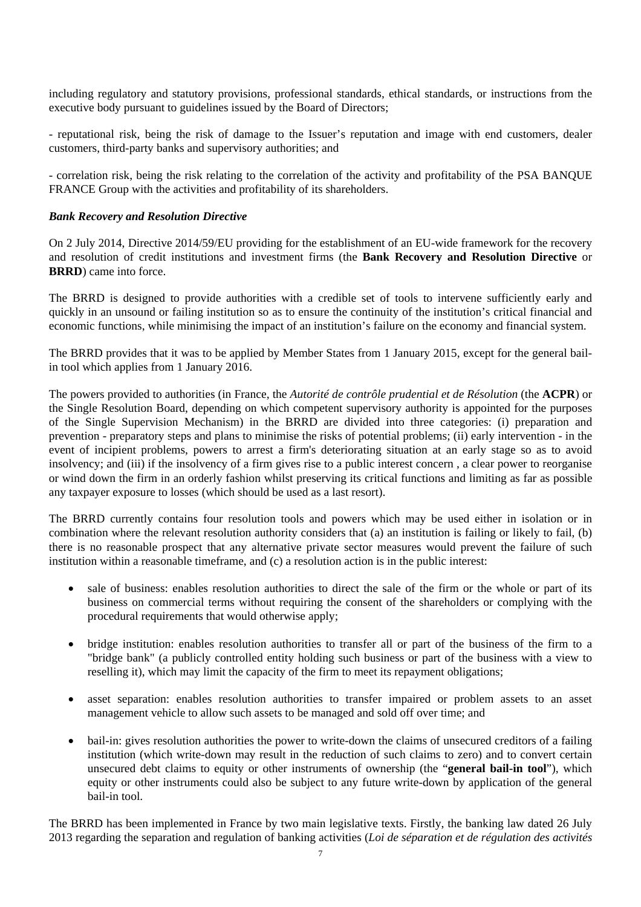including regulatory and statutory provisions, professional standards, ethical standards, or instructions from the executive body pursuant to guidelines issued by the Board of Directors;

- reputational risk, being the risk of damage to the Issuer's reputation and image with end customers, dealer customers, third-party banks and supervisory authorities; and

- correlation risk, being the risk relating to the correlation of the activity and profitability of the PSA BANQUE FRANCE Group with the activities and profitability of its shareholders.

## *Bank Recovery and Resolution Directive*

On 2 July 2014, Directive 2014/59/EU providing for the establishment of an EU-wide framework for the recovery and resolution of credit institutions and investment firms (the **Bank Recovery and Resolution Directive** or **BRRD**) came into force.

The BRRD is designed to provide authorities with a credible set of tools to intervene sufficiently early and quickly in an unsound or failing institution so as to ensure the continuity of the institution's critical financial and economic functions, while minimising the impact of an institution's failure on the economy and financial system.

The BRRD provides that it was to be applied by Member States from 1 January 2015, except for the general bailin tool which applies from 1 January 2016.

The powers provided to authorities (in France, the *Autorité de contrôle prudential et de Résolution* (the **ACPR**) or the Single Resolution Board, depending on which competent supervisory authority is appointed for the purposes of the Single Supervision Mechanism) in the BRRD are divided into three categories: (i) preparation and prevention - preparatory steps and plans to minimise the risks of potential problems; (ii) early intervention - in the event of incipient problems, powers to arrest a firm's deteriorating situation at an early stage so as to avoid insolvency; and (iii) if the insolvency of a firm gives rise to a public interest concern , a clear power to reorganise or wind down the firm in an orderly fashion whilst preserving its critical functions and limiting as far as possible any taxpayer exposure to losses (which should be used as a last resort).

The BRRD currently contains four resolution tools and powers which may be used either in isolation or in combination where the relevant resolution authority considers that (a) an institution is failing or likely to fail, (b) there is no reasonable prospect that any alternative private sector measures would prevent the failure of such institution within a reasonable timeframe, and (c) a resolution action is in the public interest:

- sale of business: enables resolution authorities to direct the sale of the firm or the whole or part of its business on commercial terms without requiring the consent of the shareholders or complying with the procedural requirements that would otherwise apply;
- bridge institution: enables resolution authorities to transfer all or part of the business of the firm to a "bridge bank" (a publicly controlled entity holding such business or part of the business with a view to reselling it), which may limit the capacity of the firm to meet its repayment obligations;
- asset separation: enables resolution authorities to transfer impaired or problem assets to an asset management vehicle to allow such assets to be managed and sold off over time; and
- bail-in: gives resolution authorities the power to write-down the claims of unsecured creditors of a failing institution (which write-down may result in the reduction of such claims to zero) and to convert certain unsecured debt claims to equity or other instruments of ownership (the "**general bail-in tool**"), which equity or other instruments could also be subject to any future write-down by application of the general bail-in tool.

The BRRD has been implemented in France by two main legislative texts. Firstly, the banking law dated 26 July 2013 regarding the separation and regulation of banking activities (*Loi de séparation et de régulation des activités*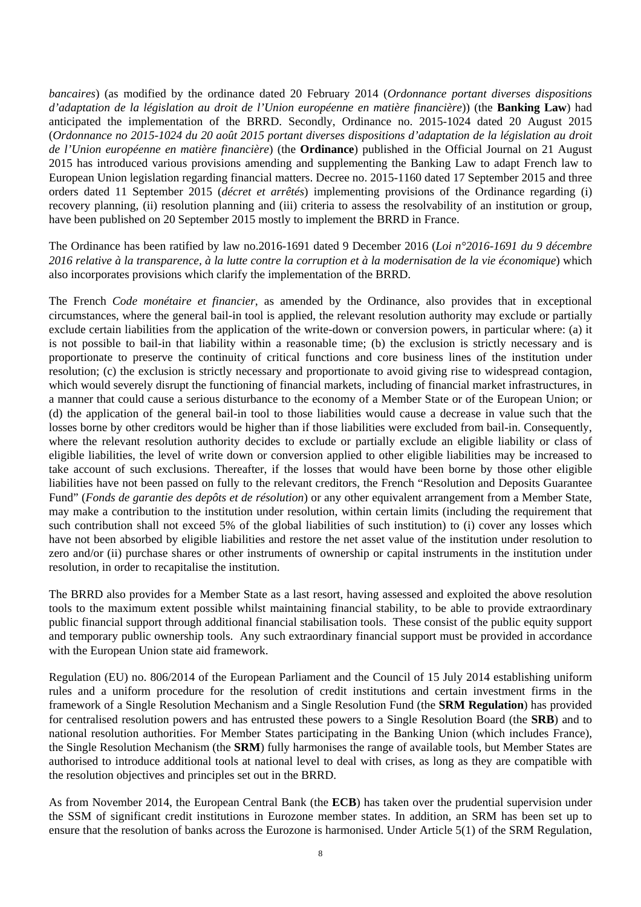*bancaires*) (as modified by the ordinance dated 20 February 2014 (*Ordonnance portant diverses dispositions d'adaptation de la législation au droit de l'Union européenne en matière financière*)) (the **Banking Law**) had anticipated the implementation of the BRRD. Secondly, Ordinance no. 2015-1024 dated 20 August 2015 (*Ordonnance no 2015-1024 du 20 août 2015 portant diverses dispositions d'adaptation de la législation au droit de l'Union européenne en matière financière*) (the **Ordinance**) published in the Official Journal on 21 August 2015 has introduced various provisions amending and supplementing the Banking Law to adapt French law to European Union legislation regarding financial matters. Decree no. 2015-1160 dated 17 September 2015 and three orders dated 11 September 2015 (*décret et arrêtés*) implementing provisions of the Ordinance regarding (i) recovery planning, (ii) resolution planning and (iii) criteria to assess the resolvability of an institution or group, have been published on 20 September 2015 mostly to implement the BRRD in France.

The Ordinance has been ratified by law no.2016-1691 dated 9 December 2016 (*Loi n°2016-1691 du 9 décembre 2016 relative à la transparence, à la lutte contre la corruption et à la modernisation de la vie économique*) which also incorporates provisions which clarify the implementation of the BRRD.

The French *Code monétaire et financier*, as amended by the Ordinance, also provides that in exceptional circumstances, where the general bail-in tool is applied, the relevant resolution authority may exclude or partially exclude certain liabilities from the application of the write-down or conversion powers, in particular where: (a) it is not possible to bail-in that liability within a reasonable time; (b) the exclusion is strictly necessary and is proportionate to preserve the continuity of critical functions and core business lines of the institution under resolution; (c) the exclusion is strictly necessary and proportionate to avoid giving rise to widespread contagion, which would severely disrupt the functioning of financial markets, including of financial market infrastructures, in a manner that could cause a serious disturbance to the economy of a Member State or of the European Union; or (d) the application of the general bail-in tool to those liabilities would cause a decrease in value such that the losses borne by other creditors would be higher than if those liabilities were excluded from bail-in. Consequently, where the relevant resolution authority decides to exclude or partially exclude an eligible liability or class of eligible liabilities, the level of write down or conversion applied to other eligible liabilities may be increased to take account of such exclusions. Thereafter, if the losses that would have been borne by those other eligible liabilities have not been passed on fully to the relevant creditors, the French "Resolution and Deposits Guarantee Fund" (*Fonds de garantie des depôts et de résolution*) or any other equivalent arrangement from a Member State, may make a contribution to the institution under resolution, within certain limits (including the requirement that such contribution shall not exceed 5% of the global liabilities of such institution) to (i) cover any losses which have not been absorbed by eligible liabilities and restore the net asset value of the institution under resolution to zero and/or (ii) purchase shares or other instruments of ownership or capital instruments in the institution under resolution, in order to recapitalise the institution.

The BRRD also provides for a Member State as a last resort, having assessed and exploited the above resolution tools to the maximum extent possible whilst maintaining financial stability, to be able to provide extraordinary public financial support through additional financial stabilisation tools. These consist of the public equity support and temporary public ownership tools. Any such extraordinary financial support must be provided in accordance with the European Union state aid framework.

Regulation (EU) no. 806/2014 of the European Parliament and the Council of 15 July 2014 establishing uniform rules and a uniform procedure for the resolution of credit institutions and certain investment firms in the framework of a Single Resolution Mechanism and a Single Resolution Fund (the **SRM Regulation**) has provided for centralised resolution powers and has entrusted these powers to a Single Resolution Board (the **SRB**) and to national resolution authorities. For Member States participating in the Banking Union (which includes France), the Single Resolution Mechanism (the **SRM**) fully harmonises the range of available tools, but Member States are authorised to introduce additional tools at national level to deal with crises, as long as they are compatible with the resolution objectives and principles set out in the BRRD.

As from November 2014, the European Central Bank (the **ECB**) has taken over the prudential supervision under the SSM of significant credit institutions in Eurozone member states. In addition, an SRM has been set up to ensure that the resolution of banks across the Eurozone is harmonised. Under Article 5(1) of the SRM Regulation,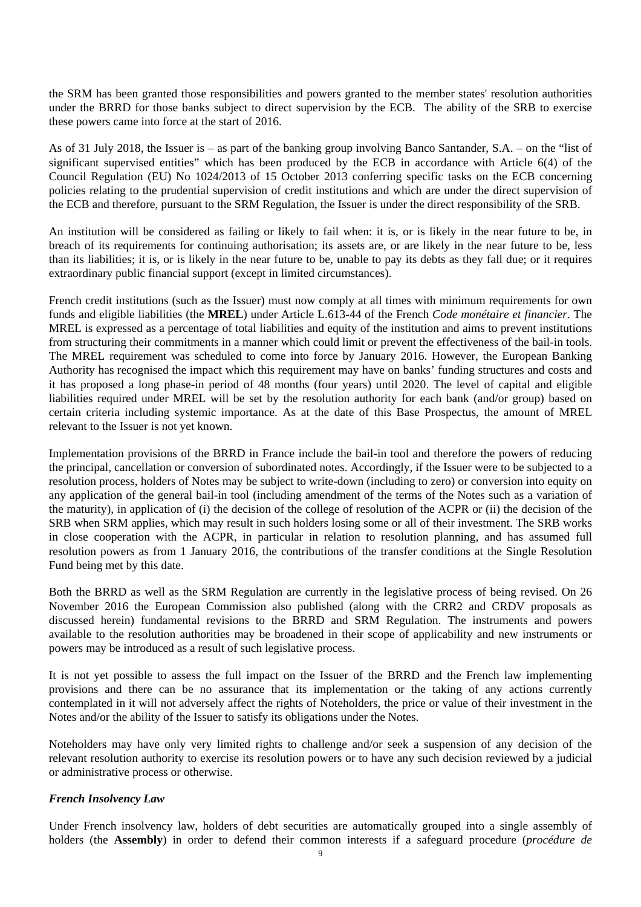the SRM has been granted those responsibilities and powers granted to the member states' resolution authorities under the BRRD for those banks subject to direct supervision by the ECB. The ability of the SRB to exercise these powers came into force at the start of 2016.

As of 31 July 2018, the Issuer is – as part of the banking group involving Banco Santander, S.A. – on the "list of significant supervised entities" which has been produced by the ECB in accordance with Article 6(4) of the Council Regulation (EU) No 1024/2013 of 15 October 2013 conferring specific tasks on the ECB concerning policies relating to the prudential supervision of credit institutions and which are under the direct supervision of the ECB and therefore, pursuant to the SRM Regulation, the Issuer is under the direct responsibility of the SRB.

An institution will be considered as failing or likely to fail when: it is, or is likely in the near future to be, in breach of its requirements for continuing authorisation; its assets are, or are likely in the near future to be, less than its liabilities; it is, or is likely in the near future to be, unable to pay its debts as they fall due; or it requires extraordinary public financial support (except in limited circumstances).

French credit institutions (such as the Issuer) must now comply at all times with minimum requirements for own funds and eligible liabilities (the **MREL**) under Article L.613-44 of the French *Code monétaire et financier*. The MREL is expressed as a percentage of total liabilities and equity of the institution and aims to prevent institutions from structuring their commitments in a manner which could limit or prevent the effectiveness of the bail-in tools. The MREL requirement was scheduled to come into force by January 2016. However, the European Banking Authority has recognised the impact which this requirement may have on banks' funding structures and costs and it has proposed a long phase-in period of 48 months (four years) until 2020. The level of capital and eligible liabilities required under MREL will be set by the resolution authority for each bank (and/or group) based on certain criteria including systemic importance. As at the date of this Base Prospectus, the amount of MREL relevant to the Issuer is not yet known.

Implementation provisions of the BRRD in France include the bail-in tool and therefore the powers of reducing the principal, cancellation or conversion of subordinated notes. Accordingly, if the Issuer were to be subjected to a resolution process, holders of Notes may be subject to write-down (including to zero) or conversion into equity on any application of the general bail-in tool (including amendment of the terms of the Notes such as a variation of the maturity), in application of (i) the decision of the college of resolution of the ACPR or (ii) the decision of the SRB when SRM applies, which may result in such holders losing some or all of their investment. The SRB works in close cooperation with the ACPR, in particular in relation to resolution planning, and has assumed full resolution powers as from 1 January 2016, the contributions of the transfer conditions at the Single Resolution Fund being met by this date.

Both the BRRD as well as the SRM Regulation are currently in the legislative process of being revised. On 26 November 2016 the European Commission also published (along with the CRR2 and CRDV proposals as discussed herein) fundamental revisions to the BRRD and SRM Regulation. The instruments and powers available to the resolution authorities may be broadened in their scope of applicability and new instruments or powers may be introduced as a result of such legislative process.

It is not yet possible to assess the full impact on the Issuer of the BRRD and the French law implementing provisions and there can be no assurance that its implementation or the taking of any actions currently contemplated in it will not adversely affect the rights of Noteholders, the price or value of their investment in the Notes and/or the ability of the Issuer to satisfy its obligations under the Notes.

Noteholders may have only very limited rights to challenge and/or seek a suspension of any decision of the relevant resolution authority to exercise its resolution powers or to have any such decision reviewed by a judicial or administrative process or otherwise.

#### *French Insolvency Law*

Under French insolvency law, holders of debt securities are automatically grouped into a single assembly of holders (the **Assembly**) in order to defend their common interests if a safeguard procedure (*procédure de*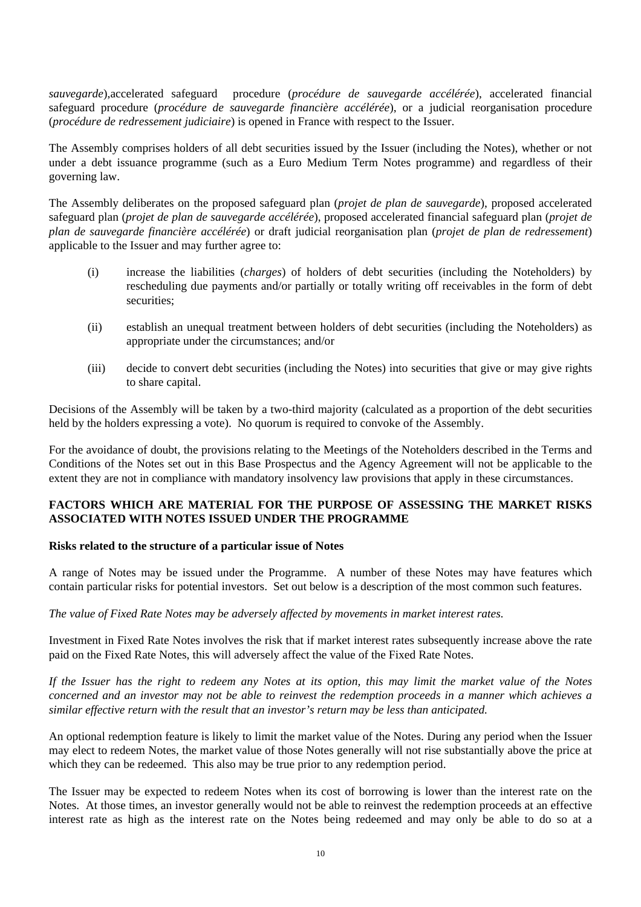*sauvegarde*),accelerated safeguard procedure (*procédure de sauvegarde accélérée*), accelerated financial safeguard procedure (*procédure de sauvegarde financière accélérée*), or a judicial reorganisation procedure (*procédure de redressement judiciaire*) is opened in France with respect to the Issuer.

The Assembly comprises holders of all debt securities issued by the Issuer (including the Notes), whether or not under a debt issuance programme (such as a Euro Medium Term Notes programme) and regardless of their governing law.

The Assembly deliberates on the proposed safeguard plan (*projet de plan de sauvegarde*), proposed accelerated safeguard plan (*projet de plan de sauvegarde accélérée*), proposed accelerated financial safeguard plan (*projet de plan de sauvegarde financière accélérée*) or draft judicial reorganisation plan (*projet de plan de redressement*) applicable to the Issuer and may further agree to:

- (i) increase the liabilities (*charges*) of holders of debt securities (including the Noteholders) by rescheduling due payments and/or partially or totally writing off receivables in the form of debt securities;
- (ii) establish an unequal treatment between holders of debt securities (including the Noteholders) as appropriate under the circumstances; and/or
- (iii) decide to convert debt securities (including the Notes) into securities that give or may give rights to share capital.

Decisions of the Assembly will be taken by a two-third majority (calculated as a proportion of the debt securities held by the holders expressing a vote). No quorum is required to convoke of the Assembly.

For the avoidance of doubt, the provisions relating to the Meetings of the Noteholders described in the Terms and Conditions of the Notes set out in this Base Prospectus and the Agency Agreement will not be applicable to the extent they are not in compliance with mandatory insolvency law provisions that apply in these circumstances.

#### **FACTORS WHICH ARE MATERIAL FOR THE PURPOSE OF ASSESSING THE MARKET RISKS ASSOCIATED WITH NOTES ISSUED UNDER THE PROGRAMME**

#### **Risks related to the structure of a particular issue of Notes**

A range of Notes may be issued under the Programme. A number of these Notes may have features which contain particular risks for potential investors. Set out below is a description of the most common such features.

*The value of Fixed Rate Notes may be adversely affected by movements in market interest rates.* 

Investment in Fixed Rate Notes involves the risk that if market interest rates subsequently increase above the rate paid on the Fixed Rate Notes, this will adversely affect the value of the Fixed Rate Notes.

*If the Issuer has the right to redeem any Notes at its option, this may limit the market value of the Notes concerned and an investor may not be able to reinvest the redemption proceeds in a manner which achieves a similar effective return with the result that an investor's return may be less than anticipated.* 

An optional redemption feature is likely to limit the market value of the Notes. During any period when the Issuer may elect to redeem Notes, the market value of those Notes generally will not rise substantially above the price at which they can be redeemed. This also may be true prior to any redemption period.

The Issuer may be expected to redeem Notes when its cost of borrowing is lower than the interest rate on the Notes. At those times, an investor generally would not be able to reinvest the redemption proceeds at an effective interest rate as high as the interest rate on the Notes being redeemed and may only be able to do so at a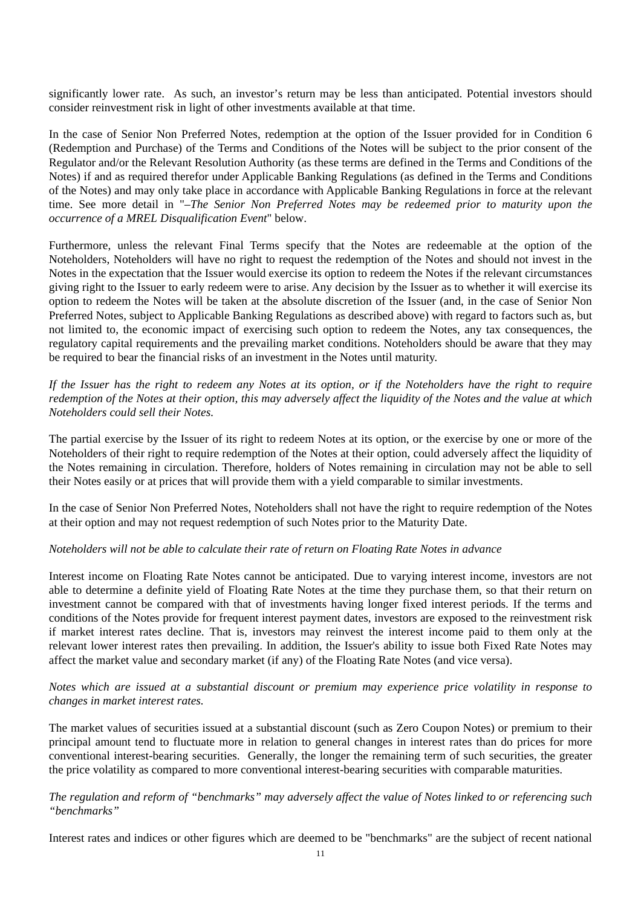significantly lower rate. As such, an investor's return may be less than anticipated. Potential investors should consider reinvestment risk in light of other investments available at that time.

In the case of Senior Non Preferred Notes, redemption at the option of the Issuer provided for in Condition 6 (Redemption and Purchase) of the Terms and Conditions of the Notes will be subject to the prior consent of the Regulator and/or the Relevant Resolution Authority (as these terms are defined in the Terms and Conditions of the Notes) if and as required therefor under Applicable Banking Regulations (as defined in the Terms and Conditions of the Notes) and may only take place in accordance with Applicable Banking Regulations in force at the relevant time. See more detail in "–*The Senior Non Preferred Notes may be redeemed prior to maturity upon the occurrence of a MREL Disqualification Event*" below.

Furthermore, unless the relevant Final Terms specify that the Notes are redeemable at the option of the Noteholders, Noteholders will have no right to request the redemption of the Notes and should not invest in the Notes in the expectation that the Issuer would exercise its option to redeem the Notes if the relevant circumstances giving right to the Issuer to early redeem were to arise. Any decision by the Issuer as to whether it will exercise its option to redeem the Notes will be taken at the absolute discretion of the Issuer (and, in the case of Senior Non Preferred Notes, subject to Applicable Banking Regulations as described above) with regard to factors such as, but not limited to, the economic impact of exercising such option to redeem the Notes, any tax consequences, the regulatory capital requirements and the prevailing market conditions. Noteholders should be aware that they may be required to bear the financial risks of an investment in the Notes until maturity.

*If the Issuer has the right to redeem any Notes at its option, or if the Noteholders have the right to require redemption of the Notes at their option, this may adversely affect the liquidity of the Notes and the value at which Noteholders could sell their Notes.* 

The partial exercise by the Issuer of its right to redeem Notes at its option, or the exercise by one or more of the Noteholders of their right to require redemption of the Notes at their option, could adversely affect the liquidity of the Notes remaining in circulation. Therefore, holders of Notes remaining in circulation may not be able to sell their Notes easily or at prices that will provide them with a yield comparable to similar investments.

In the case of Senior Non Preferred Notes, Noteholders shall not have the right to require redemption of the Notes at their option and may not request redemption of such Notes prior to the Maturity Date.

#### *Noteholders will not be able to calculate their rate of return on Floating Rate Notes in advance*

Interest income on Floating Rate Notes cannot be anticipated. Due to varying interest income, investors are not able to determine a definite yield of Floating Rate Notes at the time they purchase them, so that their return on investment cannot be compared with that of investments having longer fixed interest periods. If the terms and conditions of the Notes provide for frequent interest payment dates, investors are exposed to the reinvestment risk if market interest rates decline. That is, investors may reinvest the interest income paid to them only at the relevant lower interest rates then prevailing. In addition, the Issuer's ability to issue both Fixed Rate Notes may affect the market value and secondary market (if any) of the Floating Rate Notes (and vice versa).

*Notes which are issued at a substantial discount or premium may experience price volatility in response to changes in market interest rates.*

The market values of securities issued at a substantial discount (such as Zero Coupon Notes) or premium to their principal amount tend to fluctuate more in relation to general changes in interest rates than do prices for more conventional interest-bearing securities. Generally, the longer the remaining term of such securities, the greater the price volatility as compared to more conventional interest-bearing securities with comparable maturities.

#### *The regulation and reform of "benchmarks" may adversely affect the value of Notes linked to or referencing such "benchmarks"*

Interest rates and indices or other figures which are deemed to be "benchmarks" are the subject of recent national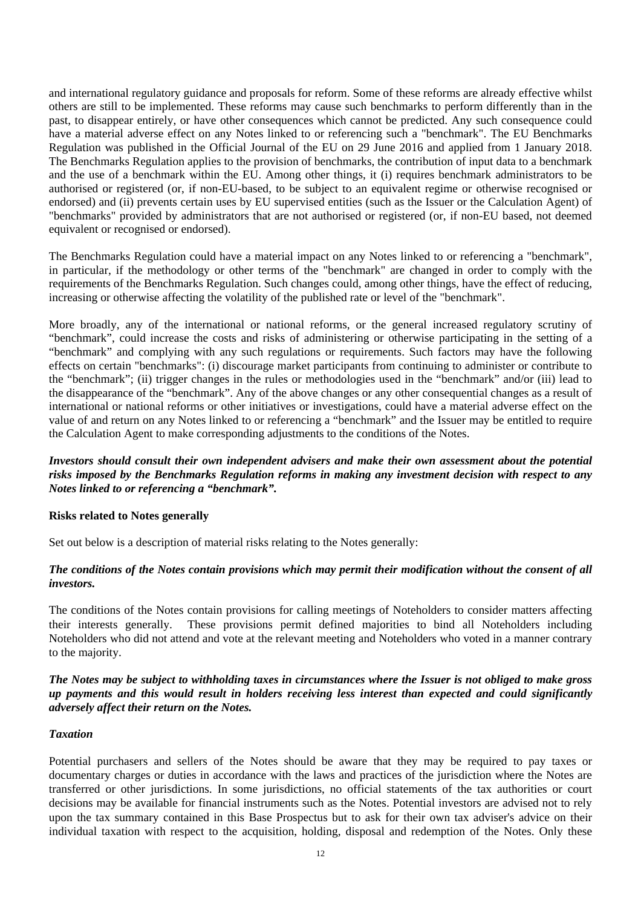and international regulatory guidance and proposals for reform. Some of these reforms are already effective whilst others are still to be implemented. These reforms may cause such benchmarks to perform differently than in the past, to disappear entirely, or have other consequences which cannot be predicted. Any such consequence could have a material adverse effect on any Notes linked to or referencing such a "benchmark". The EU Benchmarks Regulation was published in the Official Journal of the EU on 29 June 2016 and applied from 1 January 2018. The Benchmarks Regulation applies to the provision of benchmarks, the contribution of input data to a benchmark and the use of a benchmark within the EU. Among other things, it (i) requires benchmark administrators to be authorised or registered (or, if non-EU-based, to be subject to an equivalent regime or otherwise recognised or endorsed) and (ii) prevents certain uses by EU supervised entities (such as the Issuer or the Calculation Agent) of "benchmarks" provided by administrators that are not authorised or registered (or, if non-EU based, not deemed equivalent or recognised or endorsed).

The Benchmarks Regulation could have a material impact on any Notes linked to or referencing a "benchmark", in particular, if the methodology or other terms of the "benchmark" are changed in order to comply with the requirements of the Benchmarks Regulation. Such changes could, among other things, have the effect of reducing, increasing or otherwise affecting the volatility of the published rate or level of the "benchmark".

More broadly, any of the international or national reforms, or the general increased regulatory scrutiny of "benchmark", could increase the costs and risks of administering or otherwise participating in the setting of a "benchmark" and complying with any such regulations or requirements. Such factors may have the following effects on certain "benchmarks": (i) discourage market participants from continuing to administer or contribute to the "benchmark"; (ii) trigger changes in the rules or methodologies used in the "benchmark" and/or (iii) lead to the disappearance of the "benchmark". Any of the above changes or any other consequential changes as a result of international or national reforms or other initiatives or investigations, could have a material adverse effect on the value of and return on any Notes linked to or referencing a "benchmark" and the Issuer may be entitled to require the Calculation Agent to make corresponding adjustments to the conditions of the Notes.

#### *Investors should consult their own independent advisers and make their own assessment about the potential risks imposed by the Benchmarks Regulation reforms in making any investment decision with respect to any Notes linked to or referencing a "benchmark".*

#### **Risks related to Notes generally**

Set out below is a description of material risks relating to the Notes generally:

## *The conditions of the Notes contain provisions which may permit their modification without the consent of all investors.*

The conditions of the Notes contain provisions for calling meetings of Noteholders to consider matters affecting their interests generally. These provisions permit defined majorities to bind all Noteholders including Noteholders who did not attend and vote at the relevant meeting and Noteholders who voted in a manner contrary to the majority.

*The Notes may be subject to withholding taxes in circumstances where the Issuer is not obliged to make gross up payments and this would result in holders receiving less interest than expected and could significantly adversely affect their return on the Notes.* 

#### *Taxation*

Potential purchasers and sellers of the Notes should be aware that they may be required to pay taxes or documentary charges or duties in accordance with the laws and practices of the jurisdiction where the Notes are transferred or other jurisdictions. In some jurisdictions, no official statements of the tax authorities or court decisions may be available for financial instruments such as the Notes. Potential investors are advised not to rely upon the tax summary contained in this Base Prospectus but to ask for their own tax adviser's advice on their individual taxation with respect to the acquisition, holding, disposal and redemption of the Notes. Only these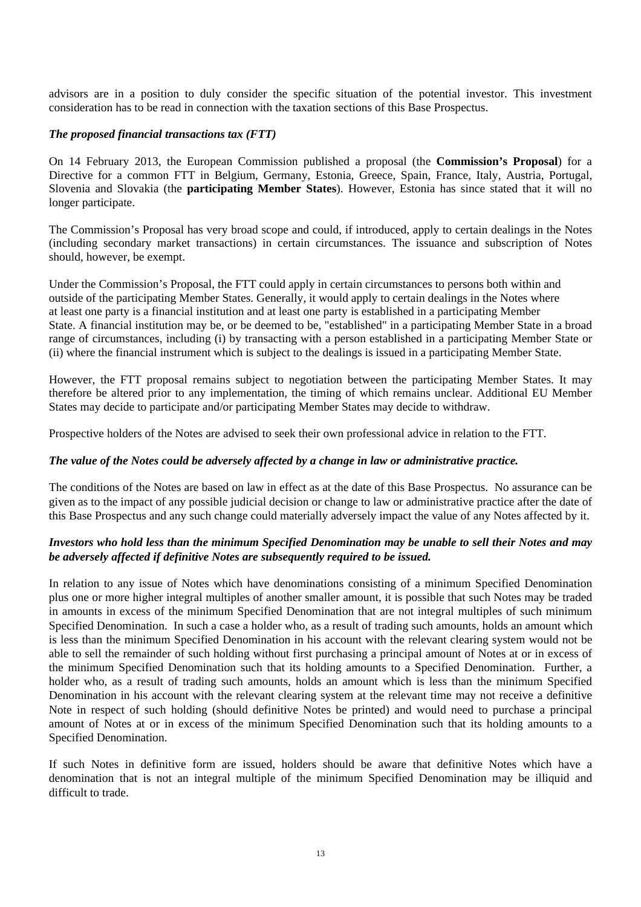advisors are in a position to duly consider the specific situation of the potential investor. This investment consideration has to be read in connection with the taxation sections of this Base Prospectus.

## *The proposed financial transactions tax (FTT)*

On 14 February 2013, the European Commission published a proposal (the **Commission's Proposal**) for a Directive for a common FTT in Belgium, Germany, Estonia, Greece, Spain, France, Italy, Austria, Portugal, Slovenia and Slovakia (the **participating Member States**). However, Estonia has since stated that it will no longer participate.

The Commission's Proposal has very broad scope and could, if introduced, apply to certain dealings in the Notes (including secondary market transactions) in certain circumstances. The issuance and subscription of Notes should, however, be exempt.

Under the Commission's Proposal, the FTT could apply in certain circumstances to persons both within and outside of the participating Member States. Generally, it would apply to certain dealings in the Notes where at least one party is a financial institution and at least one party is established in a participating Member State. A financial institution may be, or be deemed to be, "established" in a participating Member State in a broad range of circumstances, including (i) by transacting with a person established in a participating Member State or (ii) where the financial instrument which is subject to the dealings is issued in a participating Member State.

However, the FTT proposal remains subject to negotiation between the participating Member States. It may therefore be altered prior to any implementation, the timing of which remains unclear. Additional EU Member States may decide to participate and/or participating Member States may decide to withdraw.

Prospective holders of the Notes are advised to seek their own professional advice in relation to the FTT.

#### *The value of the Notes could be adversely affected by a change in law or administrative practice.*

The conditions of the Notes are based on law in effect as at the date of this Base Prospectus. No assurance can be given as to the impact of any possible judicial decision or change to law or administrative practice after the date of this Base Prospectus and any such change could materially adversely impact the value of any Notes affected by it.

#### *Investors who hold less than the minimum Specified Denomination may be unable to sell their Notes and may be adversely affected if definitive Notes are subsequently required to be issued.*

In relation to any issue of Notes which have denominations consisting of a minimum Specified Denomination plus one or more higher integral multiples of another smaller amount, it is possible that such Notes may be traded in amounts in excess of the minimum Specified Denomination that are not integral multiples of such minimum Specified Denomination. In such a case a holder who, as a result of trading such amounts, holds an amount which is less than the minimum Specified Denomination in his account with the relevant clearing system would not be able to sell the remainder of such holding without first purchasing a principal amount of Notes at or in excess of the minimum Specified Denomination such that its holding amounts to a Specified Denomination. Further, a holder who, as a result of trading such amounts, holds an amount which is less than the minimum Specified Denomination in his account with the relevant clearing system at the relevant time may not receive a definitive Note in respect of such holding (should definitive Notes be printed) and would need to purchase a principal amount of Notes at or in excess of the minimum Specified Denomination such that its holding amounts to a Specified Denomination.

If such Notes in definitive form are issued, holders should be aware that definitive Notes which have a denomination that is not an integral multiple of the minimum Specified Denomination may be illiquid and difficult to trade.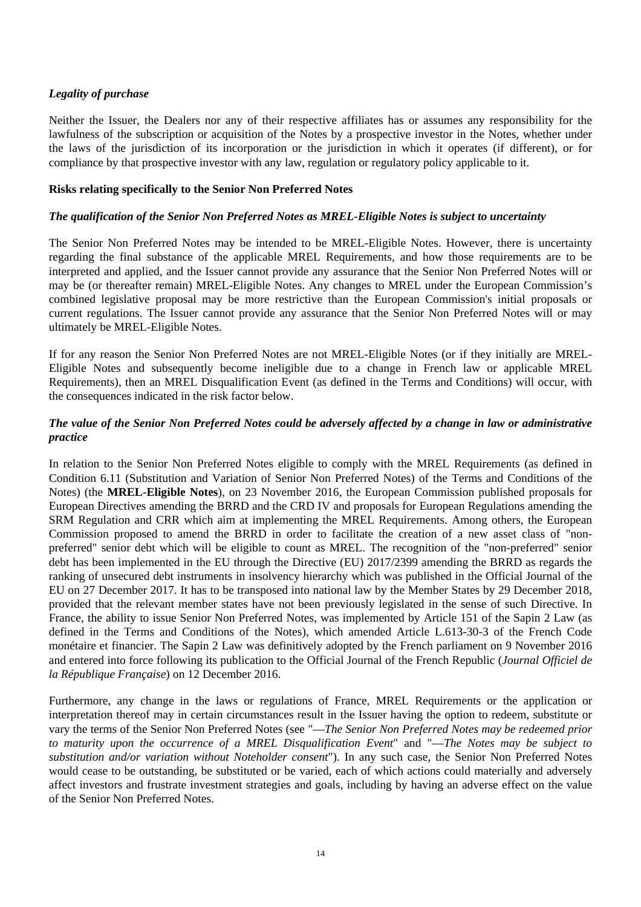# *Legality of purchase*

Neither the Issuer, the Dealers nor any of their respective affiliates has or assumes any responsibility for the lawfulness of the subscription or acquisition of the Notes by a prospective investor in the Notes, whether under the laws of the jurisdiction of its incorporation or the jurisdiction in which it operates (if different), or for compliance by that prospective investor with any law, regulation or regulatory policy applicable to it.

#### **Risks relating specifically to the Senior Non Preferred Notes**

#### *The qualification of the Senior Non Preferred Notes as MREL-Eligible Notes is subject to uncertainty*

The Senior Non Preferred Notes may be intended to be MREL-Eligible Notes. However, there is uncertainty regarding the final substance of the applicable MREL Requirements, and how those requirements are to be interpreted and applied, and the Issuer cannot provide any assurance that the Senior Non Preferred Notes will or may be (or thereafter remain) MREL-Eligible Notes. Any changes to MREL under the European Commission's combined legislative proposal may be more restrictive than the European Commission's initial proposals or current regulations. The Issuer cannot provide any assurance that the Senior Non Preferred Notes will or may ultimately be MREL-Eligible Notes.

If for any reason the Senior Non Preferred Notes are not MREL-Eligible Notes (or if they initially are MREL-Eligible Notes and subsequently become ineligible due to a change in French law or applicable MREL Requirements), then an MREL Disqualification Event (as defined in the Terms and Conditions) will occur, with the consequences indicated in the risk factor below.

## *The value of the Senior Non Preferred Notes could be adversely affected by a change in law or administrative practice*

In relation to the Senior Non Preferred Notes eligible to comply with the MREL Requirements (as defined in Condition 6.11 (Substitution and Variation of Senior Non Preferred Notes) of the Terms and Conditions of the Notes) (the **MREL-Eligible Notes**), on 23 November 2016, the European Commission published proposals for European Directives amending the BRRD and the CRD IV and proposals for European Regulations amending the SRM Regulation and CRR which aim at implementing the MREL Requirements. Among others, the European Commission proposed to amend the BRRD in order to facilitate the creation of a new asset class of "nonpreferred" senior debt which will be eligible to count as MREL. The recognition of the "non-preferred" senior debt has been implemented in the EU through the Directive (EU) 2017/2399 amending the BRRD as regards the ranking of unsecured debt instruments in insolvency hierarchy which was published in the Official Journal of the EU on 27 December 2017. It has to be transposed into national law by the Member States by 29 December 2018, provided that the relevant member states have not been previously legislated in the sense of such Directive. In France, the ability to issue Senior Non Preferred Notes, was implemented by Article 151 of the Sapin 2 Law (as defined in the Terms and Conditions of the Notes), which amended Article L.613-30-3 of the French Code monétaire et financier. The Sapin 2 Law was definitively adopted by the French parliament on 9 November 2016 and entered into force following its publication to the Official Journal of the French Republic (*Journal Officiel de la République Française*) on 12 December 2016.

Furthermore, any change in the laws or regulations of France, MREL Requirements or the application or interpretation thereof may in certain circumstances result in the Issuer having the option to redeem, substitute or vary the terms of the Senior Non Preferred Notes (see "—*The Senior Non Preferred Notes may be redeemed prior to maturity upon the occurrence of a MREL Disqualification Event*" and "—*The Notes may be subject to substitution and/or variation without Noteholder consent*"). In any such case, the Senior Non Preferred Notes would cease to be outstanding, be substituted or be varied, each of which actions could materially and adversely affect investors and frustrate investment strategies and goals, including by having an adverse effect on the value of the Senior Non Preferred Notes.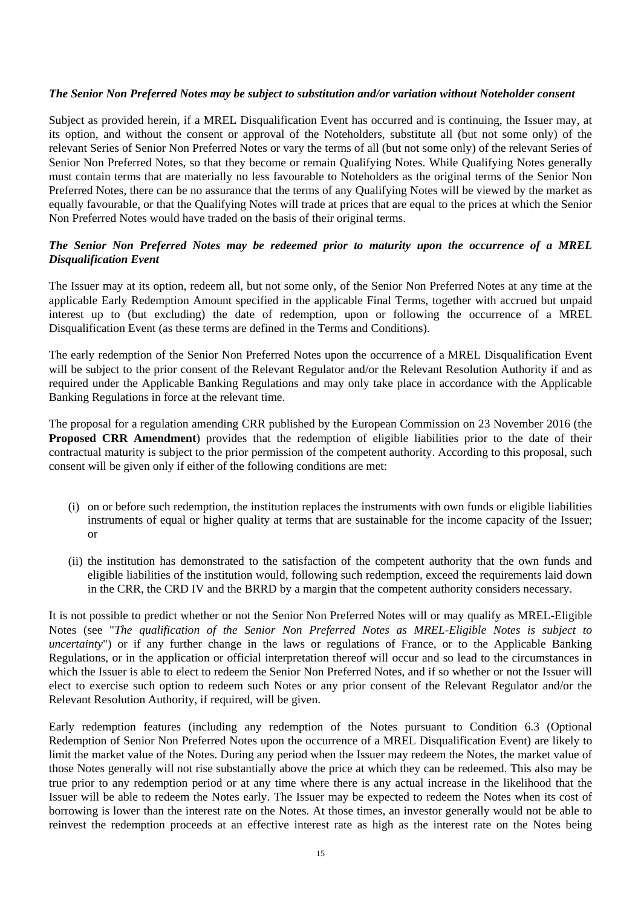#### *The Senior Non Preferred Notes may be subject to substitution and/or variation without Noteholder consent*

Subject as provided herein, if a MREL Disqualification Event has occurred and is continuing, the Issuer may, at its option, and without the consent or approval of the Noteholders, substitute all (but not some only) of the relevant Series of Senior Non Preferred Notes or vary the terms of all (but not some only) of the relevant Series of Senior Non Preferred Notes, so that they become or remain Qualifying Notes. While Qualifying Notes generally must contain terms that are materially no less favourable to Noteholders as the original terms of the Senior Non Preferred Notes, there can be no assurance that the terms of any Qualifying Notes will be viewed by the market as equally favourable, or that the Qualifying Notes will trade at prices that are equal to the prices at which the Senior Non Preferred Notes would have traded on the basis of their original terms.

# *The Senior Non Preferred Notes may be redeemed prior to maturity upon the occurrence of a MREL Disqualification Event*

The Issuer may at its option, redeem all, but not some only, of the Senior Non Preferred Notes at any time at the applicable Early Redemption Amount specified in the applicable Final Terms, together with accrued but unpaid interest up to (but excluding) the date of redemption, upon or following the occurrence of a MREL Disqualification Event (as these terms are defined in the Terms and Conditions).

The early redemption of the Senior Non Preferred Notes upon the occurrence of a MREL Disqualification Event will be subject to the prior consent of the Relevant Regulator and/or the Relevant Resolution Authority if and as required under the Applicable Banking Regulations and may only take place in accordance with the Applicable Banking Regulations in force at the relevant time.

The proposal for a regulation amending CRR published by the European Commission on 23 November 2016 (the **Proposed CRR Amendment**) provides that the redemption of eligible liabilities prior to the date of their contractual maturity is subject to the prior permission of the competent authority. According to this proposal, such consent will be given only if either of the following conditions are met:

- (i) on or before such redemption, the institution replaces the instruments with own funds or eligible liabilities instruments of equal or higher quality at terms that are sustainable for the income capacity of the Issuer; or
- (ii) the institution has demonstrated to the satisfaction of the competent authority that the own funds and eligible liabilities of the institution would, following such redemption, exceed the requirements laid down in the CRR, the CRD IV and the BRRD by a margin that the competent authority considers necessary.

It is not possible to predict whether or not the Senior Non Preferred Notes will or may qualify as MREL-Eligible Notes (see "*The qualification of the Senior Non Preferred Notes as MREL-Eligible Notes is subject to uncertainty*") or if any further change in the laws or regulations of France, or to the Applicable Banking Regulations, or in the application or official interpretation thereof will occur and so lead to the circumstances in which the Issuer is able to elect to redeem the Senior Non Preferred Notes, and if so whether or not the Issuer will elect to exercise such option to redeem such Notes or any prior consent of the Relevant Regulator and/or the Relevant Resolution Authority, if required, will be given.

Early redemption features (including any redemption of the Notes pursuant to Condition 6.3 (Optional Redemption of Senior Non Preferred Notes upon the occurrence of a MREL Disqualification Event) are likely to limit the market value of the Notes. During any period when the Issuer may redeem the Notes, the market value of those Notes generally will not rise substantially above the price at which they can be redeemed. This also may be true prior to any redemption period or at any time where there is any actual increase in the likelihood that the Issuer will be able to redeem the Notes early. The Issuer may be expected to redeem the Notes when its cost of borrowing is lower than the interest rate on the Notes. At those times, an investor generally would not be able to reinvest the redemption proceeds at an effective interest rate as high as the interest rate on the Notes being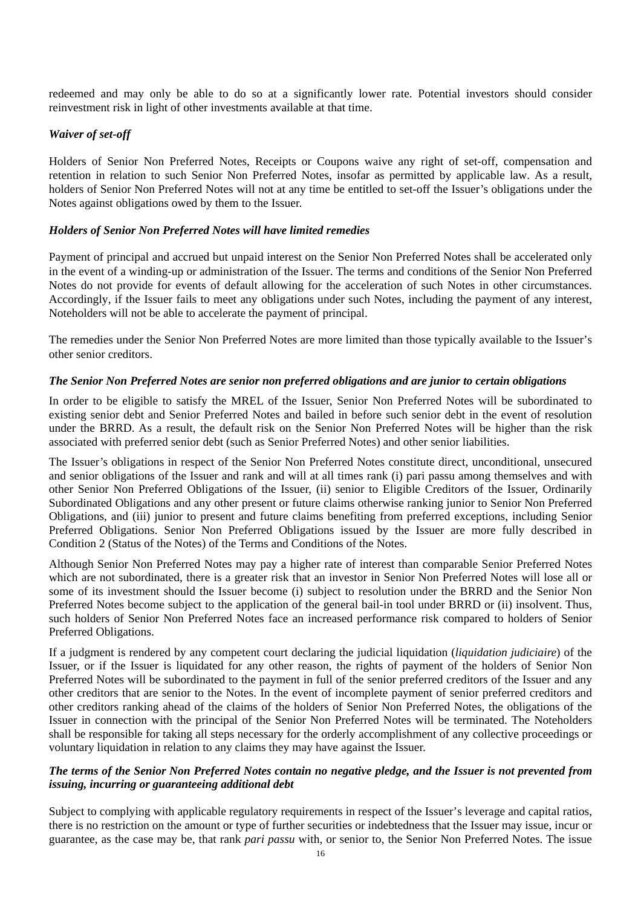redeemed and may only be able to do so at a significantly lower rate. Potential investors should consider reinvestment risk in light of other investments available at that time.

## *Waiver of set-off*

Holders of Senior Non Preferred Notes, Receipts or Coupons waive any right of set-off, compensation and retention in relation to such Senior Non Preferred Notes, insofar as permitted by applicable law. As a result, holders of Senior Non Preferred Notes will not at any time be entitled to set-off the Issuer's obligations under the Notes against obligations owed by them to the Issuer.

#### *Holders of Senior Non Preferred Notes will have limited remedies*

Payment of principal and accrued but unpaid interest on the Senior Non Preferred Notes shall be accelerated only in the event of a winding-up or administration of the Issuer. The terms and conditions of the Senior Non Preferred Notes do not provide for events of default allowing for the acceleration of such Notes in other circumstances. Accordingly, if the Issuer fails to meet any obligations under such Notes, including the payment of any interest, Noteholders will not be able to accelerate the payment of principal.

The remedies under the Senior Non Preferred Notes are more limited than those typically available to the Issuer's other senior creditors.

#### *The Senior Non Preferred Notes are senior non preferred obligations and are junior to certain obligations*

In order to be eligible to satisfy the MREL of the Issuer, Senior Non Preferred Notes will be subordinated to existing senior debt and Senior Preferred Notes and bailed in before such senior debt in the event of resolution under the BRRD. As a result, the default risk on the Senior Non Preferred Notes will be higher than the risk associated with preferred senior debt (such as Senior Preferred Notes) and other senior liabilities.

The Issuer's obligations in respect of the Senior Non Preferred Notes constitute direct, unconditional, unsecured and senior obligations of the Issuer and rank and will at all times rank (i) pari passu among themselves and with other Senior Non Preferred Obligations of the Issuer, (ii) senior to Eligible Creditors of the Issuer, Ordinarily Subordinated Obligations and any other present or future claims otherwise ranking junior to Senior Non Preferred Obligations, and (iii) junior to present and future claims benefiting from preferred exceptions, including Senior Preferred Obligations. Senior Non Preferred Obligations issued by the Issuer are more fully described in Condition 2 (Status of the Notes) of the Terms and Conditions of the Notes.

Although Senior Non Preferred Notes may pay a higher rate of interest than comparable Senior Preferred Notes which are not subordinated, there is a greater risk that an investor in Senior Non Preferred Notes will lose all or some of its investment should the Issuer become (i) subject to resolution under the BRRD and the Senior Non Preferred Notes become subject to the application of the general bail-in tool under BRRD or (ii) insolvent. Thus, such holders of Senior Non Preferred Notes face an increased performance risk compared to holders of Senior Preferred Obligations.

If a judgment is rendered by any competent court declaring the judicial liquidation (*liquidation judiciaire*) of the Issuer, or if the Issuer is liquidated for any other reason, the rights of payment of the holders of Senior Non Preferred Notes will be subordinated to the payment in full of the senior preferred creditors of the Issuer and any other creditors that are senior to the Notes. In the event of incomplete payment of senior preferred creditors and other creditors ranking ahead of the claims of the holders of Senior Non Preferred Notes, the obligations of the Issuer in connection with the principal of the Senior Non Preferred Notes will be terminated. The Noteholders shall be responsible for taking all steps necessary for the orderly accomplishment of any collective proceedings or voluntary liquidation in relation to any claims they may have against the Issuer.

## *The terms of the Senior Non Preferred Notes contain no negative pledge, and the Issuer is not prevented from issuing, incurring or guaranteeing additional debt*

Subject to complying with applicable regulatory requirements in respect of the Issuer's leverage and capital ratios, there is no restriction on the amount or type of further securities or indebtedness that the Issuer may issue, incur or guarantee, as the case may be, that rank *pari passu* with, or senior to, the Senior Non Preferred Notes. The issue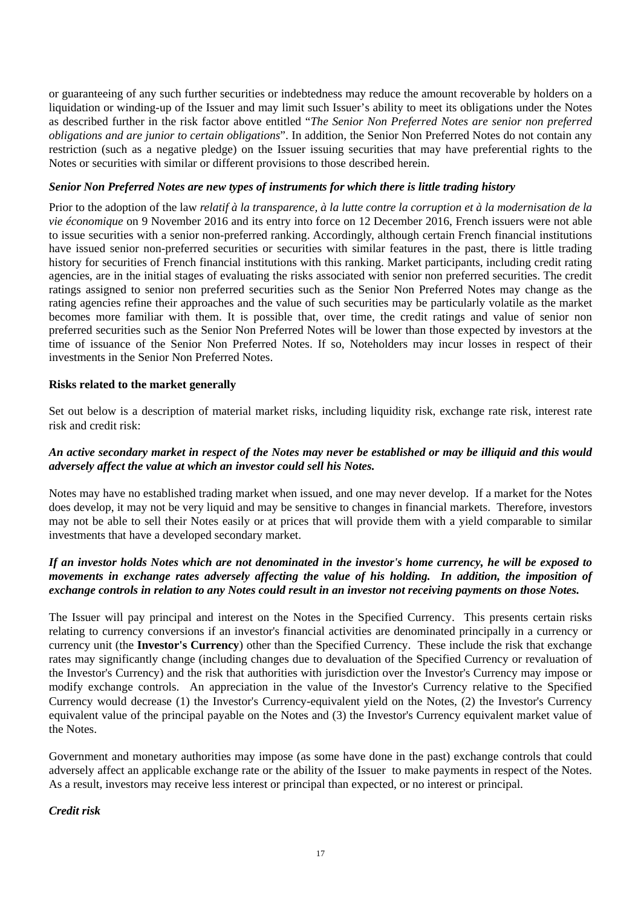or guaranteeing of any such further securities or indebtedness may reduce the amount recoverable by holders on a liquidation or winding-up of the Issuer and may limit such Issuer's ability to meet its obligations under the Notes as described further in the risk factor above entitled "*The Senior Non Preferred Notes are senior non preferred obligations and are junior to certain obligations*". In addition, the Senior Non Preferred Notes do not contain any restriction (such as a negative pledge) on the Issuer issuing securities that may have preferential rights to the Notes or securities with similar or different provisions to those described herein.

#### *Senior Non Preferred Notes are new types of instruments for which there is little trading history*

Prior to the adoption of the law *relatif à la transparence, à la lutte contre la corruption et à la modernisation de la vie économique* on 9 November 2016 and its entry into force on 12 December 2016, French issuers were not able to issue securities with a senior non-preferred ranking. Accordingly, although certain French financial institutions have issued senior non-preferred securities or securities with similar features in the past, there is little trading history for securities of French financial institutions with this ranking. Market participants, including credit rating agencies, are in the initial stages of evaluating the risks associated with senior non preferred securities. The credit ratings assigned to senior non preferred securities such as the Senior Non Preferred Notes may change as the rating agencies refine their approaches and the value of such securities may be particularly volatile as the market becomes more familiar with them. It is possible that, over time, the credit ratings and value of senior non preferred securities such as the Senior Non Preferred Notes will be lower than those expected by investors at the time of issuance of the Senior Non Preferred Notes. If so, Noteholders may incur losses in respect of their investments in the Senior Non Preferred Notes.

## **Risks related to the market generally**

Set out below is a description of material market risks, including liquidity risk, exchange rate risk, interest rate risk and credit risk:

## *An active secondary market in respect of the Notes may never be established or may be illiquid and this would adversely affect the value at which an investor could sell his Notes.*

Notes may have no established trading market when issued, and one may never develop. If a market for the Notes does develop, it may not be very liquid and may be sensitive to changes in financial markets. Therefore, investors may not be able to sell their Notes easily or at prices that will provide them with a yield comparable to similar investments that have a developed secondary market.

# *If an investor holds Notes which are not denominated in the investor's home currency, he will be exposed to movements in exchange rates adversely affecting the value of his holding. In addition, the imposition of exchange controls in relation to any Notes could result in an investor not receiving payments on those Notes.*

The Issuer will pay principal and interest on the Notes in the Specified Currency. This presents certain risks relating to currency conversions if an investor's financial activities are denominated principally in a currency or currency unit (the **Investor's Currency**) other than the Specified Currency. These include the risk that exchange rates may significantly change (including changes due to devaluation of the Specified Currency or revaluation of the Investor's Currency) and the risk that authorities with jurisdiction over the Investor's Currency may impose or modify exchange controls. An appreciation in the value of the Investor's Currency relative to the Specified Currency would decrease (1) the Investor's Currency-equivalent yield on the Notes, (2) the Investor's Currency equivalent value of the principal payable on the Notes and (3) the Investor's Currency equivalent market value of the Notes.

Government and monetary authorities may impose (as some have done in the past) exchange controls that could adversely affect an applicable exchange rate or the ability of the Issuer to make payments in respect of the Notes. As a result, investors may receive less interest or principal than expected, or no interest or principal.

*Credit risk*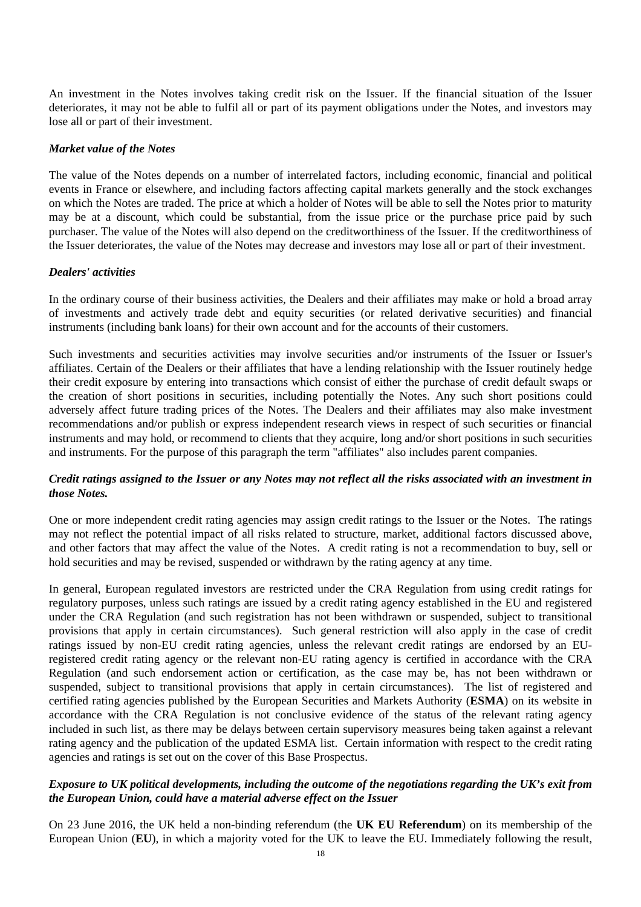An investment in the Notes involves taking credit risk on the Issuer. If the financial situation of the Issuer deteriorates, it may not be able to fulfil all or part of its payment obligations under the Notes, and investors may lose all or part of their investment.

#### *Market value of the Notes*

The value of the Notes depends on a number of interrelated factors, including economic, financial and political events in France or elsewhere, and including factors affecting capital markets generally and the stock exchanges on which the Notes are traded. The price at which a holder of Notes will be able to sell the Notes prior to maturity may be at a discount, which could be substantial, from the issue price or the purchase price paid by such purchaser. The value of the Notes will also depend on the creditworthiness of the Issuer. If the creditworthiness of the Issuer deteriorates, the value of the Notes may decrease and investors may lose all or part of their investment.

#### *Dealers' activities*

In the ordinary course of their business activities, the Dealers and their affiliates may make or hold a broad array of investments and actively trade debt and equity securities (or related derivative securities) and financial instruments (including bank loans) for their own account and for the accounts of their customers.

Such investments and securities activities may involve securities and/or instruments of the Issuer or Issuer's affiliates. Certain of the Dealers or their affiliates that have a lending relationship with the Issuer routinely hedge their credit exposure by entering into transactions which consist of either the purchase of credit default swaps or the creation of short positions in securities, including potentially the Notes. Any such short positions could adversely affect future trading prices of the Notes. The Dealers and their affiliates may also make investment recommendations and/or publish or express independent research views in respect of such securities or financial instruments and may hold, or recommend to clients that they acquire, long and/or short positions in such securities and instruments. For the purpose of this paragraph the term "affiliates" also includes parent companies.

## *Credit ratings assigned to the Issuer or any Notes may not reflect all the risks associated with an investment in those Notes.*

One or more independent credit rating agencies may assign credit ratings to the Issuer or the Notes. The ratings may not reflect the potential impact of all risks related to structure, market, additional factors discussed above, and other factors that may affect the value of the Notes. A credit rating is not a recommendation to buy, sell or hold securities and may be revised, suspended or withdrawn by the rating agency at any time.

In general, European regulated investors are restricted under the CRA Regulation from using credit ratings for regulatory purposes, unless such ratings are issued by a credit rating agency established in the EU and registered under the CRA Regulation (and such registration has not been withdrawn or suspended, subject to transitional provisions that apply in certain circumstances). Such general restriction will also apply in the case of credit ratings issued by non-EU credit rating agencies, unless the relevant credit ratings are endorsed by an EUregistered credit rating agency or the relevant non-EU rating agency is certified in accordance with the CRA Regulation (and such endorsement action or certification, as the case may be, has not been withdrawn or suspended, subject to transitional provisions that apply in certain circumstances). The list of registered and certified rating agencies published by the European Securities and Markets Authority (**ESMA**) on its website in accordance with the CRA Regulation is not conclusive evidence of the status of the relevant rating agency included in such list, as there may be delays between certain supervisory measures being taken against a relevant rating agency and the publication of the updated ESMA list. Certain information with respect to the credit rating agencies and ratings is set out on the cover of this Base Prospectus.

## *Exposure to UK political developments, including the outcome of the negotiations regarding the UK's exit from the European Union, could have a material adverse effect on the Issuer*

On 23 June 2016, the UK held a non-binding referendum (the **UK EU Referendum**) on its membership of the European Union (**EU**), in which a majority voted for the UK to leave the EU. Immediately following the result,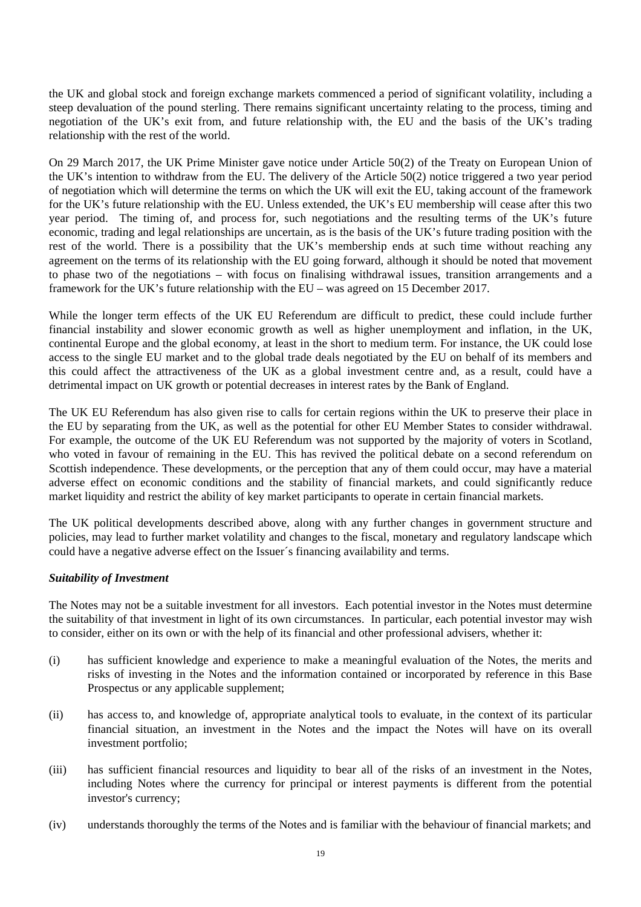the UK and global stock and foreign exchange markets commenced a period of significant volatility, including a steep devaluation of the pound sterling. There remains significant uncertainty relating to the process, timing and negotiation of the UK's exit from, and future relationship with, the EU and the basis of the UK's trading relationship with the rest of the world.

On 29 March 2017, the UK Prime Minister gave notice under Article 50(2) of the Treaty on European Union of the UK's intention to withdraw from the EU. The delivery of the Article 50(2) notice triggered a two year period of negotiation which will determine the terms on which the UK will exit the EU, taking account of the framework for the UK's future relationship with the EU. Unless extended, the UK's EU membership will cease after this two year period. The timing of, and process for, such negotiations and the resulting terms of the UK's future economic, trading and legal relationships are uncertain, as is the basis of the UK's future trading position with the rest of the world. There is a possibility that the UK's membership ends at such time without reaching any agreement on the terms of its relationship with the EU going forward, although it should be noted that movement to phase two of the negotiations – with focus on finalising withdrawal issues, transition arrangements and a framework for the UK's future relationship with the EU – was agreed on 15 December 2017.

While the longer term effects of the UK EU Referendum are difficult to predict, these could include further financial instability and slower economic growth as well as higher unemployment and inflation, in the UK, continental Europe and the global economy, at least in the short to medium term. For instance, the UK could lose access to the single EU market and to the global trade deals negotiated by the EU on behalf of its members and this could affect the attractiveness of the UK as a global investment centre and, as a result, could have a detrimental impact on UK growth or potential decreases in interest rates by the Bank of England.

The UK EU Referendum has also given rise to calls for certain regions within the UK to preserve their place in the EU by separating from the UK, as well as the potential for other EU Member States to consider withdrawal. For example, the outcome of the UK EU Referendum was not supported by the majority of voters in Scotland, who voted in favour of remaining in the EU. This has revived the political debate on a second referendum on Scottish independence. These developments, or the perception that any of them could occur, may have a material adverse effect on economic conditions and the stability of financial markets, and could significantly reduce market liquidity and restrict the ability of key market participants to operate in certain financial markets.

The UK political developments described above, along with any further changes in government structure and policies, may lead to further market volatility and changes to the fiscal, monetary and regulatory landscape which could have a negative adverse effect on the Issuer´s financing availability and terms.

#### *Suitability of Investment*

The Notes may not be a suitable investment for all investors. Each potential investor in the Notes must determine the suitability of that investment in light of its own circumstances. In particular, each potential investor may wish to consider, either on its own or with the help of its financial and other professional advisers, whether it:

- (i) has sufficient knowledge and experience to make a meaningful evaluation of the Notes, the merits and risks of investing in the Notes and the information contained or incorporated by reference in this Base Prospectus or any applicable supplement;
- (ii) has access to, and knowledge of, appropriate analytical tools to evaluate, in the context of its particular financial situation, an investment in the Notes and the impact the Notes will have on its overall investment portfolio;
- (iii) has sufficient financial resources and liquidity to bear all of the risks of an investment in the Notes, including Notes where the currency for principal or interest payments is different from the potential investor's currency;
- (iv) understands thoroughly the terms of the Notes and is familiar with the behaviour of financial markets; and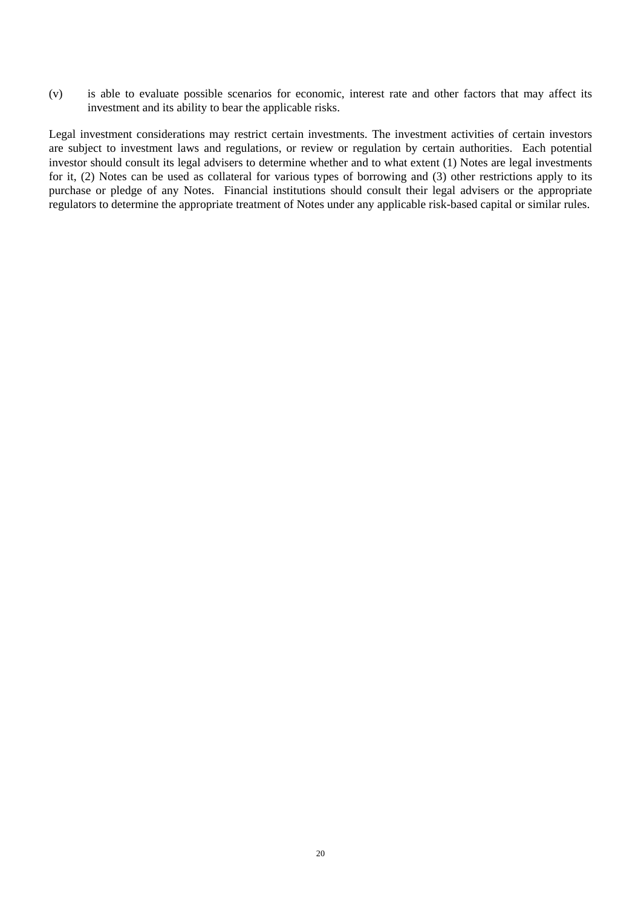(v) is able to evaluate possible scenarios for economic, interest rate and other factors that may affect its investment and its ability to bear the applicable risks.

Legal investment considerations may restrict certain investments. The investment activities of certain investors are subject to investment laws and regulations, or review or regulation by certain authorities. Each potential investor should consult its legal advisers to determine whether and to what extent (1) Notes are legal investments for it, (2) Notes can be used as collateral for various types of borrowing and (3) other restrictions apply to its purchase or pledge of any Notes. Financial institutions should consult their legal advisers or the appropriate regulators to determine the appropriate treatment of Notes under any applicable risk-based capital or similar rules.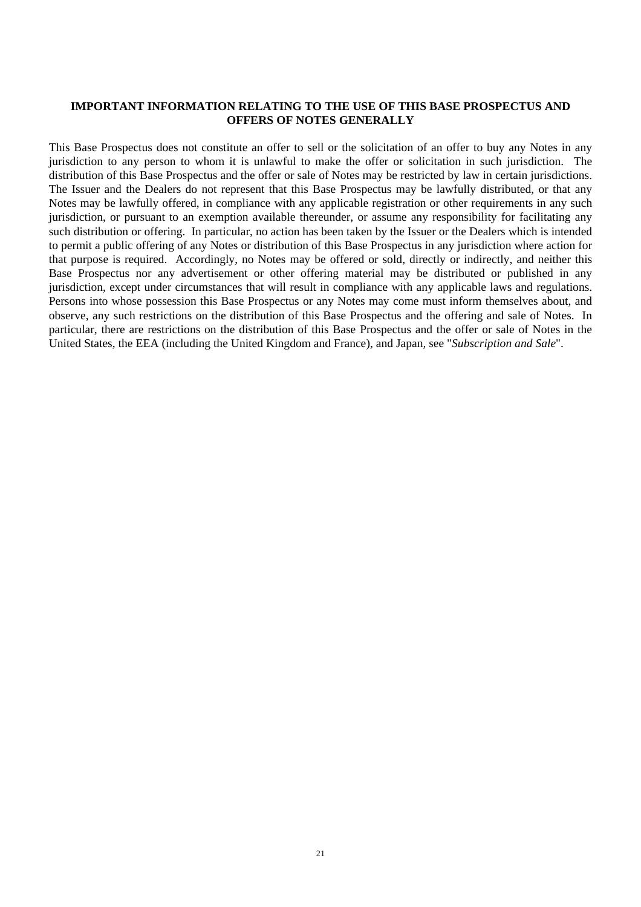#### **IMPORTANT INFORMATION RELATING TO THE USE OF THIS BASE PROSPECTUS AND OFFERS OF NOTES GENERALLY**

This Base Prospectus does not constitute an offer to sell or the solicitation of an offer to buy any Notes in any jurisdiction to any person to whom it is unlawful to make the offer or solicitation in such jurisdiction. The distribution of this Base Prospectus and the offer or sale of Notes may be restricted by law in certain jurisdictions. The Issuer and the Dealers do not represent that this Base Prospectus may be lawfully distributed, or that any Notes may be lawfully offered, in compliance with any applicable registration or other requirements in any such jurisdiction, or pursuant to an exemption available thereunder, or assume any responsibility for facilitating any such distribution or offering. In particular, no action has been taken by the Issuer or the Dealers which is intended to permit a public offering of any Notes or distribution of this Base Prospectus in any jurisdiction where action for that purpose is required. Accordingly, no Notes may be offered or sold, directly or indirectly, and neither this Base Prospectus nor any advertisement or other offering material may be distributed or published in any jurisdiction, except under circumstances that will result in compliance with any applicable laws and regulations. Persons into whose possession this Base Prospectus or any Notes may come must inform themselves about, and observe, any such restrictions on the distribution of this Base Prospectus and the offering and sale of Notes. In particular, there are restrictions on the distribution of this Base Prospectus and the offer or sale of Notes in the United States, the EEA (including the United Kingdom and France), and Japan*,* see "*Subscription and Sale*".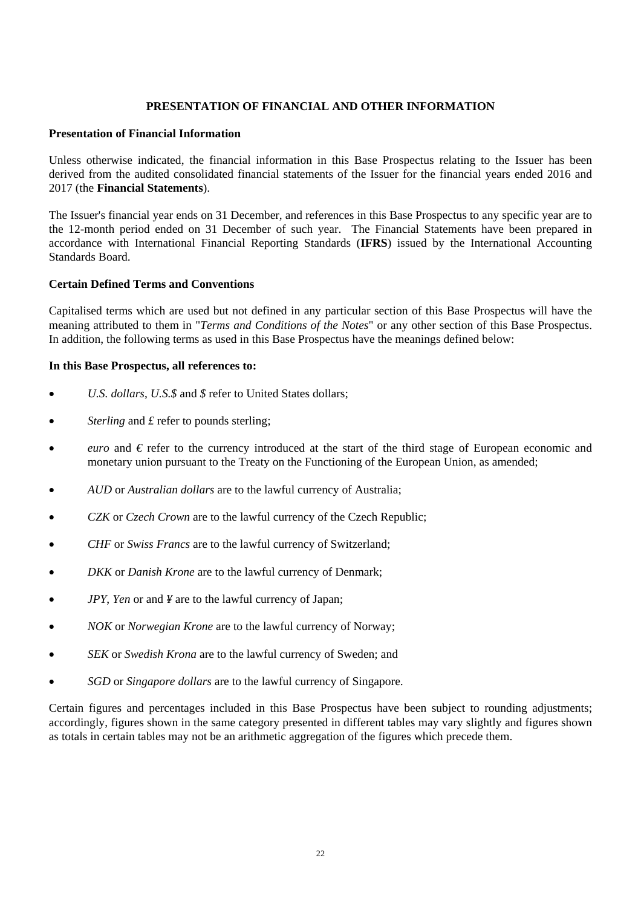#### **PRESENTATION OF FINANCIAL AND OTHER INFORMATION**

#### **Presentation of Financial Information**

Unless otherwise indicated, the financial information in this Base Prospectus relating to the Issuer has been derived from the audited consolidated financial statements of the Issuer for the financial years ended 2016 and 2017 (the **Financial Statements**).

The Issuer's financial year ends on 31 December, and references in this Base Prospectus to any specific year are to the 12-month period ended on 31 December of such year. The Financial Statements have been prepared in accordance with International Financial Reporting Standards (**IFRS**) issued by the International Accounting Standards Board.

#### **Certain Defined Terms and Conventions**

Capitalised terms which are used but not defined in any particular section of this Base Prospectus will have the meaning attributed to them in "*Terms and Conditions of the Notes*" or any other section of this Base Prospectus. In addition, the following terms as used in this Base Prospectus have the meanings defined below:

#### **In this Base Prospectus, all references to:**

- *U.S. dollars*, *U.S.\$* and *\$* refer to United States dollars;
- *Sterling* and  $\pounds$  refer to pounds sterling;
- *euro* and *€* refer to the currency introduced at the start of the third stage of European economic and monetary union pursuant to the Treaty on the Functioning of the European Union, as amended;
- *AUD* or *Australian dollars* are to the lawful currency of Australia;
- *CZK* or *Czech Crown* are to the lawful currency of the Czech Republic;
- *CHF* or *Swiss Francs* are to the lawful currency of Switzerland;
- *DKK* or *Danish Krone* are to the lawful currency of Denmark;
- *JPY*, *Yen* or and *¥* are to the lawful currency of Japan;
- *NOK* or *Norwegian Krone* are to the lawful currency of Norway;
- *SEK* or *Swedish Krona* are to the lawful currency of Sweden; and
- *SGD* or *Singapore dollars* are to the lawful currency of Singapore.

Certain figures and percentages included in this Base Prospectus have been subject to rounding adjustments; accordingly, figures shown in the same category presented in different tables may vary slightly and figures shown as totals in certain tables may not be an arithmetic aggregation of the figures which precede them.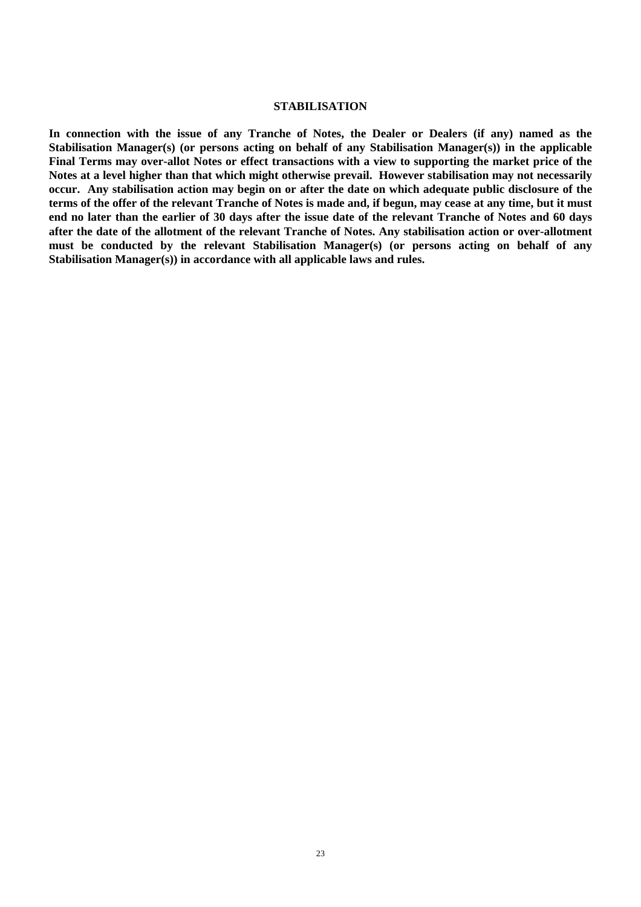#### **STABILISATION**

**In connection with the issue of any Tranche of Notes, the Dealer or Dealers (if any) named as the Stabilisation Manager(s) (or persons acting on behalf of any Stabilisation Manager(s)) in the applicable Final Terms may over-allot Notes or effect transactions with a view to supporting the market price of the Notes at a level higher than that which might otherwise prevail. However stabilisation may not necessarily occur. Any stabilisation action may begin on or after the date on which adequate public disclosure of the terms of the offer of the relevant Tranche of Notes is made and, if begun, may cease at any time, but it must end no later than the earlier of 30 days after the issue date of the relevant Tranche of Notes and 60 days after the date of the allotment of the relevant Tranche of Notes. Any stabilisation action or over-allotment must be conducted by the relevant Stabilisation Manager(s) (or persons acting on behalf of any Stabilisation Manager(s)) in accordance with all applicable laws and rules.**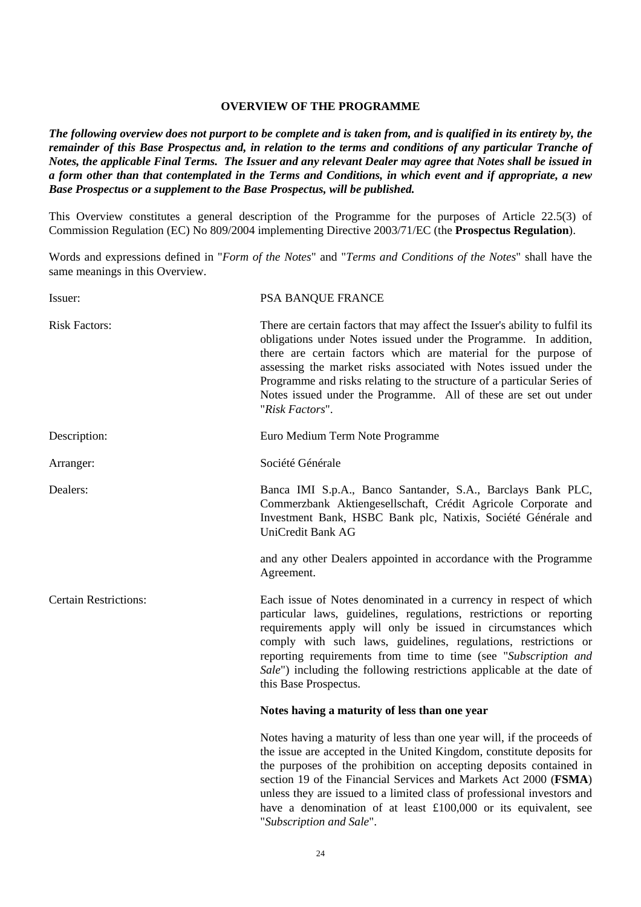#### **OVERVIEW OF THE PROGRAMME**

*The following overview does not purport to be complete and is taken from, and is qualified in its entirety by, the remainder of this Base Prospectus and, in relation to the terms and conditions of any particular Tranche of Notes, the applicable Final Terms. The Issuer and any relevant Dealer may agree that Notes shall be issued in a form other than that contemplated in the Terms and Conditions, in which event and if appropriate, a new Base Prospectus or a supplement to the Base Prospectus, will be published.*

This Overview constitutes a general description of the Programme for the purposes of Article 22.5(3) of Commission Regulation (EC) No 809/2004 implementing Directive 2003/71/EC (the **Prospectus Regulation**).

Words and expressions defined in "*Form of the Notes*" and "*Terms and Conditions of the Notes*" shall have the same meanings in this Overview.

| Issuer:                      | PSA BANQUE FRANCE                                                                                                                                                                                                                                                                                                                                                                                                                                          |  |
|------------------------------|------------------------------------------------------------------------------------------------------------------------------------------------------------------------------------------------------------------------------------------------------------------------------------------------------------------------------------------------------------------------------------------------------------------------------------------------------------|--|
| <b>Risk Factors:</b>         | There are certain factors that may affect the Issuer's ability to fulfil its<br>obligations under Notes issued under the Programme. In addition,<br>there are certain factors which are material for the purpose of<br>assessing the market risks associated with Notes issued under the<br>Programme and risks relating to the structure of a particular Series of<br>Notes issued under the Programme. All of these are set out under<br>"Risk Factors". |  |
| Description:                 | Euro Medium Term Note Programme                                                                                                                                                                                                                                                                                                                                                                                                                            |  |
| Arranger:                    | Société Générale                                                                                                                                                                                                                                                                                                                                                                                                                                           |  |
| Dealers:                     | Banca IMI S.p.A., Banco Santander, S.A., Barclays Bank PLC,<br>Commerzbank Aktiengesellschaft, Crédit Agricole Corporate and<br>Investment Bank, HSBC Bank plc, Natixis, Société Générale and<br>UniCredit Bank AG<br>and any other Dealers appointed in accordance with the Programme                                                                                                                                                                     |  |
|                              | Agreement.                                                                                                                                                                                                                                                                                                                                                                                                                                                 |  |
| <b>Certain Restrictions:</b> | Each issue of Notes denominated in a currency in respect of which<br>particular laws, guidelines, regulations, restrictions or reporting<br>requirements apply will only be issued in circumstances which<br>comply with such laws, guidelines, regulations, restrictions or<br>reporting requirements from time to time (see "Subscription and<br>Sale") including the following restrictions applicable at the date of<br>this Base Prospectus.          |  |
|                              | Notes having a maturity of less than one year                                                                                                                                                                                                                                                                                                                                                                                                              |  |
|                              | Notes having a maturity of less than one year will, if the proceeds of<br>the issue are accepted in the United Kingdom, constitute deposits for<br>the purposes of the prohibition on accepting deposits contained in<br>section 19 of the Financial Services and Markets Act 2000 (FSMA)<br>unless they are issued to a limited class of professional investors and                                                                                       |  |

"*Subscription and Sale*".

have a denomination of at least £100,000 or its equivalent, see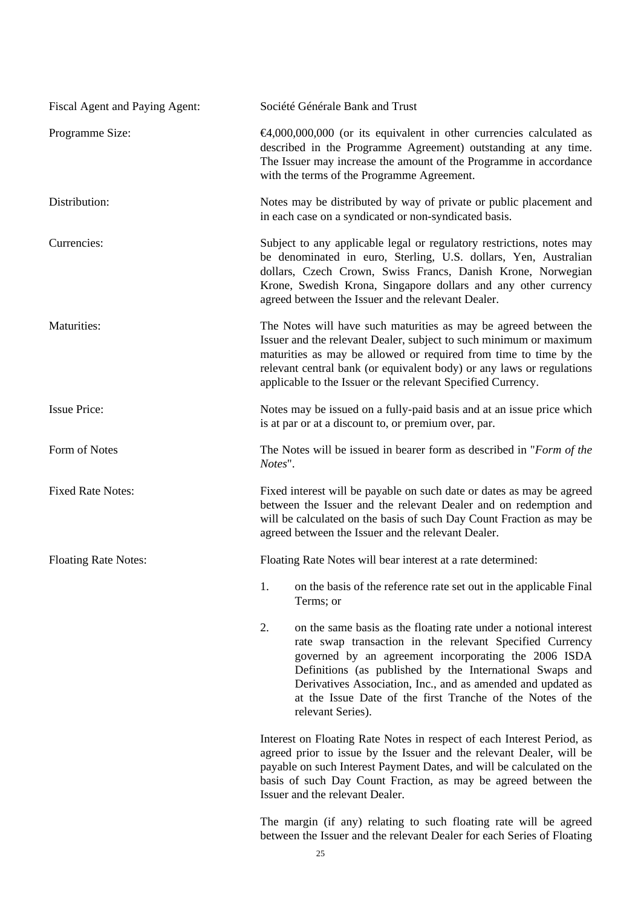| Fiscal Agent and Paying Agent: | Société Générale Bank and Trust                                                                                                                                                                                                                                                                                                                                                                           |  |
|--------------------------------|-----------------------------------------------------------------------------------------------------------------------------------------------------------------------------------------------------------------------------------------------------------------------------------------------------------------------------------------------------------------------------------------------------------|--|
| Programme Size:                | $\bigoplus$ ,000,000,000 (or its equivalent in other currencies calculated as<br>described in the Programme Agreement) outstanding at any time.<br>The Issuer may increase the amount of the Programme in accordance<br>with the terms of the Programme Agreement.                                                                                                                                        |  |
| Distribution:                  | Notes may be distributed by way of private or public placement and<br>in each case on a syndicated or non-syndicated basis.                                                                                                                                                                                                                                                                               |  |
| Currencies:                    | Subject to any applicable legal or regulatory restrictions, notes may<br>be denominated in euro, Sterling, U.S. dollars, Yen, Australian<br>dollars, Czech Crown, Swiss Francs, Danish Krone, Norwegian<br>Krone, Swedish Krona, Singapore dollars and any other currency<br>agreed between the Issuer and the relevant Dealer.                                                                           |  |
| Maturities:                    | The Notes will have such maturities as may be agreed between the<br>Issuer and the relevant Dealer, subject to such minimum or maximum<br>maturities as may be allowed or required from time to time by the<br>relevant central bank (or equivalent body) or any laws or regulations<br>applicable to the Issuer or the relevant Specified Currency.                                                      |  |
| <b>Issue Price:</b>            | Notes may be issued on a fully-paid basis and at an issue price which<br>is at par or at a discount to, or premium over, par.                                                                                                                                                                                                                                                                             |  |
| Form of Notes                  | The Notes will be issued in bearer form as described in "Form of the<br>Notes".                                                                                                                                                                                                                                                                                                                           |  |
| <b>Fixed Rate Notes:</b>       | Fixed interest will be payable on such date or dates as may be agreed<br>between the Issuer and the relevant Dealer and on redemption and<br>will be calculated on the basis of such Day Count Fraction as may be<br>agreed between the Issuer and the relevant Dealer.                                                                                                                                   |  |
| <b>Floating Rate Notes:</b>    | Floating Rate Notes will bear interest at a rate determined:                                                                                                                                                                                                                                                                                                                                              |  |
|                                | on the basis of the reference rate set out in the applicable Final<br>1.<br>Terms; or                                                                                                                                                                                                                                                                                                                     |  |
|                                | 2.<br>on the same basis as the floating rate under a notional interest<br>rate swap transaction in the relevant Specified Currency<br>governed by an agreement incorporating the 2006 ISDA<br>Definitions (as published by the International Swaps and<br>Derivatives Association, Inc., and as amended and updated as<br>at the Issue Date of the first Tranche of the Notes of the<br>relevant Series). |  |
|                                | Interest on Floating Rate Notes in respect of each Interest Period, as<br>agreed prior to issue by the Issuer and the relevant Dealer, will be<br>payable on such Interest Payment Dates, and will be calculated on the<br>basis of such Day Count Fraction, as may be agreed between the<br>Issuer and the relevant Dealer.                                                                              |  |

 The margin (if any) relating to such floating rate will be agreed between the Issuer and the relevant Dealer for each Series of Floating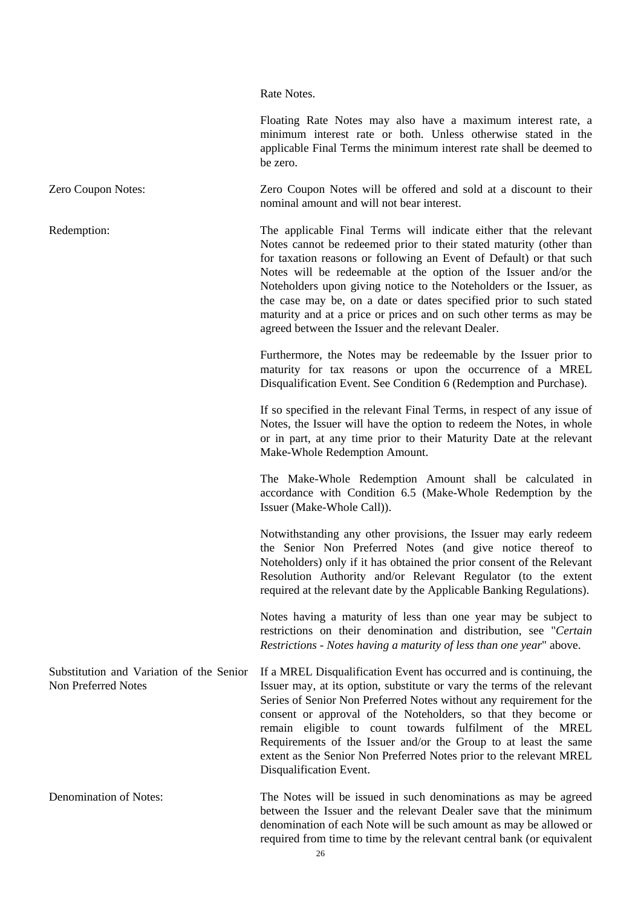Rate Notes.

 Floating Rate Notes may also have a maximum interest rate, a minimum interest rate or both. Unless otherwise stated in the applicable Final Terms the minimum interest rate shall be deemed to be zero.

Zero Coupon Notes: Zero Coupon Notes will be offered and sold at a discount to their nominal amount and will not bear interest.

Redemption: The applicable Final Terms will indicate either that the relevant Notes cannot be redeemed prior to their stated maturity (other than for taxation reasons or following an Event of Default) or that such Notes will be redeemable at the option of the Issuer and/or the Noteholders upon giving notice to the Noteholders or the Issuer, as the case may be, on a date or dates specified prior to such stated maturity and at a price or prices and on such other terms as may be agreed between the Issuer and the relevant Dealer.

> Furthermore, the Notes may be redeemable by the Issuer prior to maturity for tax reasons or upon the occurrence of a MREL Disqualification Event. See Condition 6 (Redemption and Purchase).

> If so specified in the relevant Final Terms, in respect of any issue of Notes, the Issuer will have the option to redeem the Notes, in whole or in part, at any time prior to their Maturity Date at the relevant Make-Whole Redemption Amount.

> The Make-Whole Redemption Amount shall be calculated in accordance with Condition 6.5 (Make-Whole Redemption by the Issuer (Make-Whole Call)).

> Notwithstanding any other provisions, the Issuer may early redeem the Senior Non Preferred Notes (and give notice thereof to Noteholders) only if it has obtained the prior consent of the Relevant Resolution Authority and/or Relevant Regulator (to the extent required at the relevant date by the Applicable Banking Regulations).

> Notes having a maturity of less than one year may be subject to restrictions on their denomination and distribution, see "*Certain Restrictions - Notes having a maturity of less than one year*" above.

Substitution and Variation of the Senior Non Preferred Notes If a MREL Disqualification Event has occurred and is continuing, the Issuer may, at its option, substitute or vary the terms of the relevant Series of Senior Non Preferred Notes without any requirement for the consent or approval of the Noteholders, so that they become or remain eligible to count towards fulfilment of the MREL Requirements of the Issuer and/or the Group to at least the same extent as the Senior Non Preferred Notes prior to the relevant MREL Disqualification Event.

Denomination of Notes: The Notes will be issued in such denominations as may be agreed between the Issuer and the relevant Dealer save that the minimum denomination of each Note will be such amount as may be allowed or required from time to time by the relevant central bank (or equivalent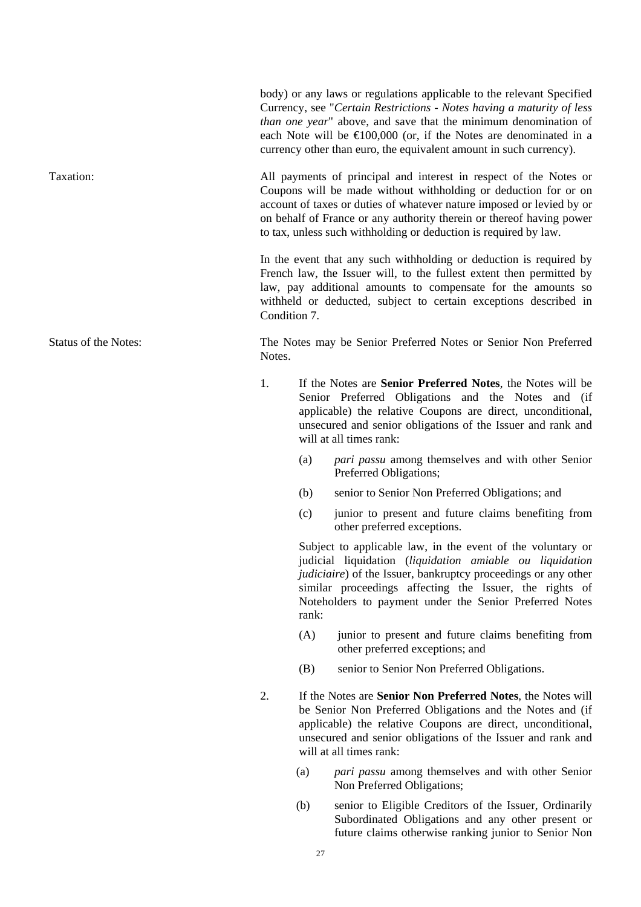Currency, see "*Certain Restrictions - Notes having a maturity of less than one year*" above, and save that the minimum denomination of each Note will be  $\epsilon 100,000$  (or, if the Notes are denominated in a currency other than euro, the equivalent amount in such currency). Taxation: All payments of principal and interest in respect of the Notes or Coupons will be made without withholding or deduction for or on account of taxes or duties of whatever nature imposed or levied by or on behalf of France or any authority therein or thereof having power to tax, unless such withholding or deduction is required by law. In the event that any such withholding or deduction is required by French law, the Issuer will, to the fullest extent then permitted by law, pay additional amounts to compensate for the amounts so withheld or deducted, subject to certain exceptions described in Condition 7. Status of the Notes: The Notes may be Senior Preferred Notes or Senior Non Preferred Notes. 1. If the Notes are **Senior Preferred Notes**, the Notes will be Senior Preferred Obligations and the Notes and (if applicable) the relative Coupons are direct, unconditional, unsecured and senior obligations of the Issuer and rank and will at all times rank: (a) *pari passu* among themselves and with other Senior Preferred Obligations; (b) senior to Senior Non Preferred Obligations; and (c) junior to present and future claims benefiting from other preferred exceptions. Subject to applicable law, in the event of the voluntary or

judicial liquidation (*liquidation amiable ou liquidation judiciaire*) of the Issuer, bankruptcy proceedings or any other similar proceedings affecting the Issuer, the rights of Noteholders to payment under the Senior Preferred Notes rank:

body) or any laws or regulations applicable to the relevant Specified

- (A) junior to present and future claims benefiting from other preferred exceptions; and
- (B) senior to Senior Non Preferred Obligations.
- 2. If the Notes are **Senior Non Preferred Notes**, the Notes will be Senior Non Preferred Obligations and the Notes and (if applicable) the relative Coupons are direct, unconditional, unsecured and senior obligations of the Issuer and rank and will at all times rank:
	- (a) *pari passu* among themselves and with other Senior Non Preferred Obligations;
	- (b) senior to Eligible Creditors of the Issuer, Ordinarily Subordinated Obligations and any other present or future claims otherwise ranking junior to Senior Non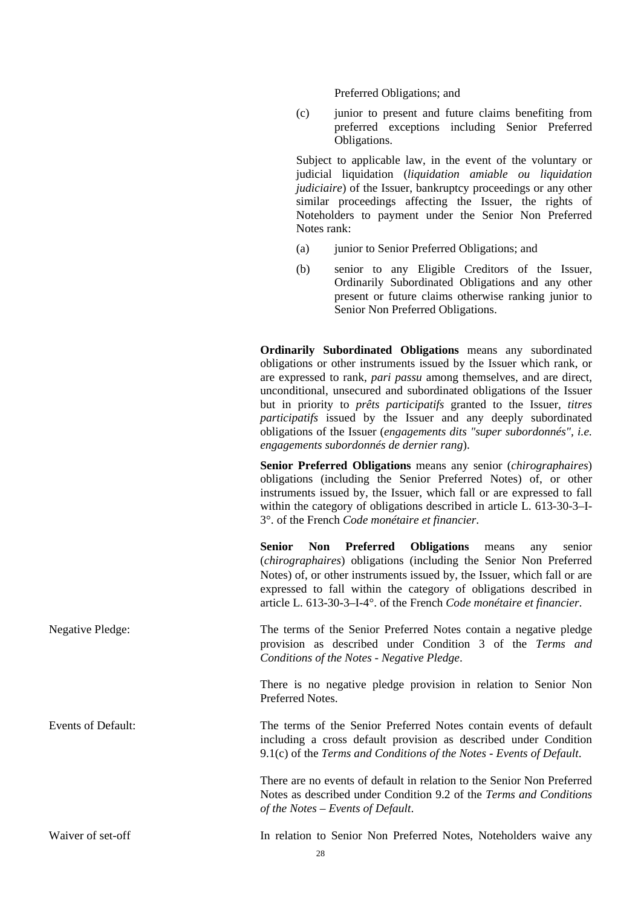Preferred Obligations; and

(c) junior to present and future claims benefiting from preferred exceptions including Senior Preferred Obligations.

Subject to applicable law, in the event of the voluntary or judicial liquidation (*liquidation amiable ou liquidation judiciaire*) of the Issuer, bankruptcy proceedings or any other similar proceedings affecting the Issuer, the rights of Noteholders to payment under the Senior Non Preferred Notes rank:

- (a) junior to Senior Preferred Obligations; and
- (b) senior to any Eligible Creditors of the Issuer, Ordinarily Subordinated Obligations and any other present or future claims otherwise ranking junior to Senior Non Preferred Obligations.

**Ordinarily Subordinated Obligations** means any subordinated obligations or other instruments issued by the Issuer which rank, or are expressed to rank, *pari passu* among themselves, and are direct, unconditional, unsecured and subordinated obligations of the Issuer but in priority to *prêts participatifs* granted to the Issuer, *titres participatifs* issued by the Issuer and any deeply subordinated obligations of the Issuer (*engagements dits "super subordonnés", i.e. engagements subordonnés de dernier rang*).

**Senior Preferred Obligations** means any senior (*chirographaires*) obligations (including the Senior Preferred Notes) of, or other instruments issued by, the Issuer, which fall or are expressed to fall within the category of obligations described in article L. 613-30-3–I-3°. of the French *Code monétaire et financier*.

**Senior Non Preferred Obligations** means any senior (*chirographaires*) obligations (including the Senior Non Preferred Notes) of, or other instruments issued by, the Issuer, which fall or are expressed to fall within the category of obligations described in article L. 613-30-3–I-4°. of the French *Code monétaire et financier*.

Negative Pledge: The terms of the Senior Preferred Notes contain a negative pledge provision as described under Condition 3 of the *Terms and Conditions of the Notes* - *Negative Pledge*.

> There is no negative pledge provision in relation to Senior Non Preferred Notes.

Events of Default: The terms of the Senior Preferred Notes contain events of default including a cross default provision as described under Condition 9.1(c) of the *Terms and Conditions of the Notes* - *Events of Default*.

> There are no events of default in relation to the Senior Non Preferred Notes as described under Condition 9.2 of the *Terms and Conditions of the Notes – Events of Default*.

Waiver of set-off The In relation to Senior Non Preferred Notes, Noteholders waive any

28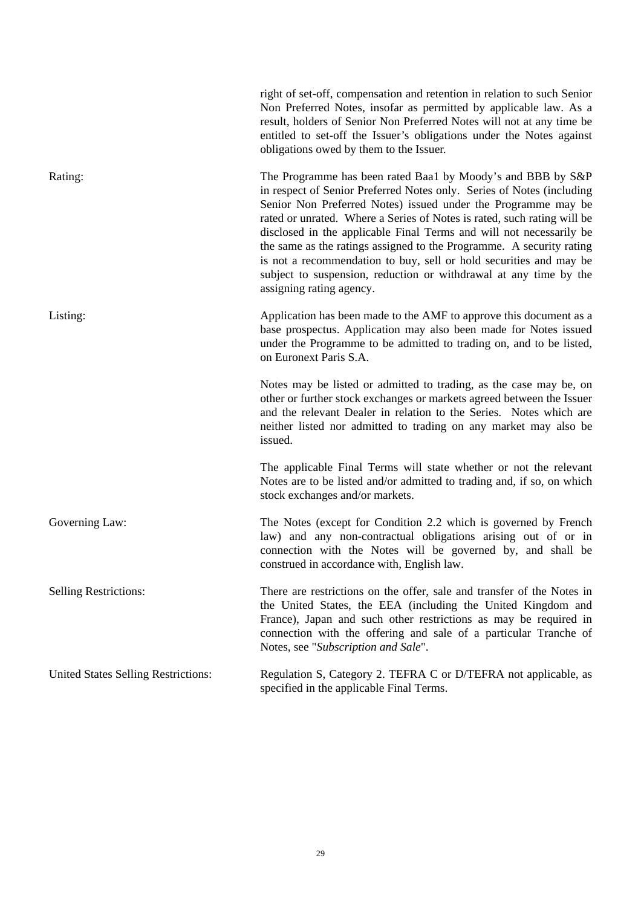|                                     | right of set-off, compensation and retention in relation to such Senior<br>Non Preferred Notes, insofar as permitted by applicable law. As a<br>result, holders of Senior Non Preferred Notes will not at any time be<br>entitled to set-off the Issuer's obligations under the Notes against<br>obligations owed by them to the Issuer.                                                                                                                                                                                                                                                               |
|-------------------------------------|--------------------------------------------------------------------------------------------------------------------------------------------------------------------------------------------------------------------------------------------------------------------------------------------------------------------------------------------------------------------------------------------------------------------------------------------------------------------------------------------------------------------------------------------------------------------------------------------------------|
| Rating:                             | The Programme has been rated Baa1 by Moody's and BBB by S&P<br>in respect of Senior Preferred Notes only. Series of Notes (including<br>Senior Non Preferred Notes) issued under the Programme may be<br>rated or unrated. Where a Series of Notes is rated, such rating will be<br>disclosed in the applicable Final Terms and will not necessarily be<br>the same as the ratings assigned to the Programme. A security rating<br>is not a recommendation to buy, sell or hold securities and may be<br>subject to suspension, reduction or withdrawal at any time by the<br>assigning rating agency. |
| Listing:                            | Application has been made to the AMF to approve this document as a<br>base prospectus. Application may also been made for Notes issued<br>under the Programme to be admitted to trading on, and to be listed,<br>on Euronext Paris S.A.                                                                                                                                                                                                                                                                                                                                                                |
|                                     | Notes may be listed or admitted to trading, as the case may be, on<br>other or further stock exchanges or markets agreed between the Issuer<br>and the relevant Dealer in relation to the Series. Notes which are<br>neither listed nor admitted to trading on any market may also be<br>issued.                                                                                                                                                                                                                                                                                                       |
|                                     | The applicable Final Terms will state whether or not the relevant<br>Notes are to be listed and/or admitted to trading and, if so, on which<br>stock exchanges and/or markets.                                                                                                                                                                                                                                                                                                                                                                                                                         |
| Governing Law:                      | The Notes (except for Condition 2.2 which is governed by French<br>law) and any non-contractual obligations arising out of or in<br>connection with the Notes will be governed by, and shall be<br>construed in accordance with, English law.                                                                                                                                                                                                                                                                                                                                                          |
| <b>Selling Restrictions:</b>        | There are restrictions on the offer, sale and transfer of the Notes in<br>the United States, the EEA (including the United Kingdom and<br>France), Japan and such other restrictions as may be required in<br>connection with the offering and sale of a particular Tranche of<br>Notes, see "Subscription and Sale".                                                                                                                                                                                                                                                                                  |
| United States Selling Restrictions: | Regulation S, Category 2. TEFRA C or D/TEFRA not applicable, as<br>specified in the applicable Final Terms.                                                                                                                                                                                                                                                                                                                                                                                                                                                                                            |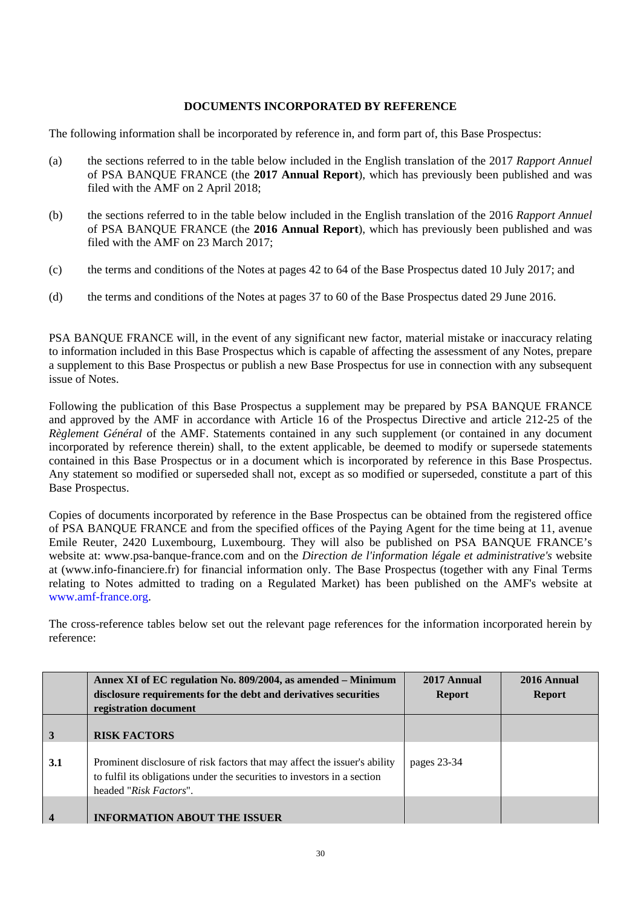## **DOCUMENTS INCORPORATED BY REFERENCE**

The following information shall be incorporated by reference in, and form part of, this Base Prospectus:

- (a) the sections referred to in the table below included in the English translation of the 2017 *Rapport Annuel*  of PSA BANQUE FRANCE (the **2017 Annual Report**), which has previously been published and was filed with the AMF on 2 April 2018;
- (b) the sections referred to in the table below included in the English translation of the 2016 *Rapport Annuel*  of PSA BANQUE FRANCE (the **2016 Annual Report**), which has previously been published and was filed with the AMF on 23 March 2017;
- (c) the terms and conditions of the Notes at pages 42 to 64 of the Base Prospectus dated 10 July 2017; and
- (d) the terms and conditions of the Notes at pages 37 to 60 of the Base Prospectus dated 29 June 2016.

PSA BANQUE FRANCE will, in the event of any significant new factor, material mistake or inaccuracy relating to information included in this Base Prospectus which is capable of affecting the assessment of any Notes, prepare a supplement to this Base Prospectus or publish a new Base Prospectus for use in connection with any subsequent issue of Notes.

Following the publication of this Base Prospectus a supplement may be prepared by PSA BANQUE FRANCE and approved by the AMF in accordance with Article 16 of the Prospectus Directive and article 212-25 of the *Règlement Général* of the AMF. Statements contained in any such supplement (or contained in any document incorporated by reference therein) shall, to the extent applicable, be deemed to modify or supersede statements contained in this Base Prospectus or in a document which is incorporated by reference in this Base Prospectus. Any statement so modified or superseded shall not, except as so modified or superseded, constitute a part of this Base Prospectus.

Copies of documents incorporated by reference in the Base Prospectus can be obtained from the registered office of PSA BANQUE FRANCE and from the specified offices of the Paying Agent for the time being at 11, avenue Emile Reuter, 2420 Luxembourg, Luxembourg. They will also be published on PSA BANQUE FRANCE's website at: www.psa-banque-france.com and on the *Direction de l'information légale et administrative's* website at (www.info-financiere.fr) for financial information only. The Base Prospectus (together with any Final Terms relating to Notes admitted to trading on a Regulated Market) has been published on the AMF's website at www.amf-france.org.

The cross-reference tables below set out the relevant page references for the information incorporated herein by reference:

|                         | Annex XI of EC regulation No. 809/2004, as amended - Minimum<br>disclosure requirements for the debt and derivatives securities<br>registration document                        | 2017 Annual<br><b>Report</b> | 2016 Annual<br><b>Report</b> |
|-------------------------|---------------------------------------------------------------------------------------------------------------------------------------------------------------------------------|------------------------------|------------------------------|
| $\vert$ 3               | <b>RISK FACTORS</b>                                                                                                                                                             |                              |                              |
| 3.1                     | Prominent disclosure of risk factors that may affect the issuer's ability<br>to fulfil its obligations under the securities to investors in a section<br>headed "Risk Factors". | pages 23-34                  |                              |
| $\overline{\mathbf{4}}$ | <b>INFORMATION ABOUT THE ISSUER</b>                                                                                                                                             |                              |                              |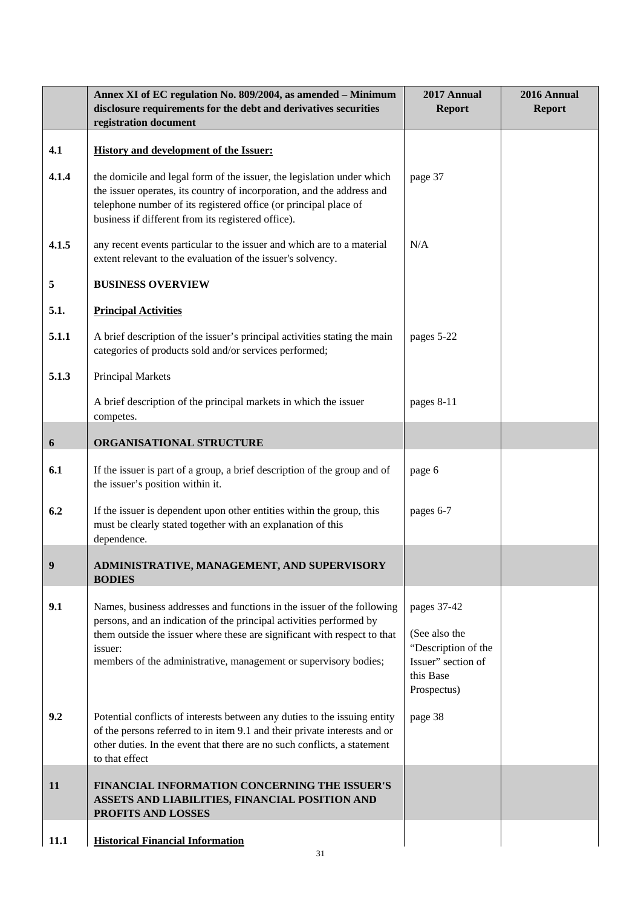|          | Annex XI of EC regulation No. 809/2004, as amended - Minimum<br>disclosure requirements for the debt and derivatives securities<br>registration document                                                                                                                                                 | 2017 Annual<br><b>Report</b>                                                                          | 2016 Annual<br><b>Report</b> |
|----------|----------------------------------------------------------------------------------------------------------------------------------------------------------------------------------------------------------------------------------------------------------------------------------------------------------|-------------------------------------------------------------------------------------------------------|------------------------------|
| 4.1      | <b>History and development of the Issuer:</b>                                                                                                                                                                                                                                                            |                                                                                                       |                              |
| 4.1.4    | the domicile and legal form of the issuer, the legislation under which<br>the issuer operates, its country of incorporation, and the address and<br>telephone number of its registered office (or principal place of<br>business if different from its registered office).                               | page 37                                                                                               |                              |
| 4.1.5    | any recent events particular to the issuer and which are to a material<br>extent relevant to the evaluation of the issuer's solvency.                                                                                                                                                                    | N/A                                                                                                   |                              |
| 5        | <b>BUSINESS OVERVIEW</b>                                                                                                                                                                                                                                                                                 |                                                                                                       |                              |
| 5.1.     | <b>Principal Activities</b>                                                                                                                                                                                                                                                                              |                                                                                                       |                              |
| 5.1.1    | A brief description of the issuer's principal activities stating the main<br>categories of products sold and/or services performed;                                                                                                                                                                      | pages 5-22                                                                                            |                              |
| 5.1.3    | Principal Markets                                                                                                                                                                                                                                                                                        |                                                                                                       |                              |
|          | A brief description of the principal markets in which the issuer<br>competes.                                                                                                                                                                                                                            | pages 8-11                                                                                            |                              |
| 6        | ORGANISATIONAL STRUCTURE                                                                                                                                                                                                                                                                                 |                                                                                                       |                              |
| 6.1      | If the issuer is part of a group, a brief description of the group and of<br>the issuer's position within it.                                                                                                                                                                                            | page 6                                                                                                |                              |
| 6.2      | If the issuer is dependent upon other entities within the group, this<br>must be clearly stated together with an explanation of this<br>dependence.                                                                                                                                                      | pages 6-7                                                                                             |                              |
| $\bf{Q}$ | ADMINISTRATIVE, MANAGEMENT, AND SUPERVISORY<br><b>BODIES</b>                                                                                                                                                                                                                                             |                                                                                                       |                              |
| 9.1      | Names, business addresses and functions in the issuer of the following<br>persons, and an indication of the principal activities performed by<br>them outside the issuer where these are significant with respect to that<br>issuer:<br>members of the administrative, management or supervisory bodies; | pages 37-42<br>(See also the<br>"Description of the<br>Issuer" section of<br>this Base<br>Prospectus) |                              |
| 9.2      | Potential conflicts of interests between any duties to the issuing entity<br>of the persons referred to in item 9.1 and their private interests and or<br>other duties. In the event that there are no such conflicts, a statement<br>to that effect                                                     | page 38                                                                                               |                              |
| 11       | FINANCIAL INFORMATION CONCERNING THE ISSUER'S<br>ASSETS AND LIABILITIES, FINANCIAL POSITION AND<br>PROFITS AND LOSSES                                                                                                                                                                                    |                                                                                                       |                              |
| 11.1     | <b>Historical Financial Information</b>                                                                                                                                                                                                                                                                  |                                                                                                       |                              |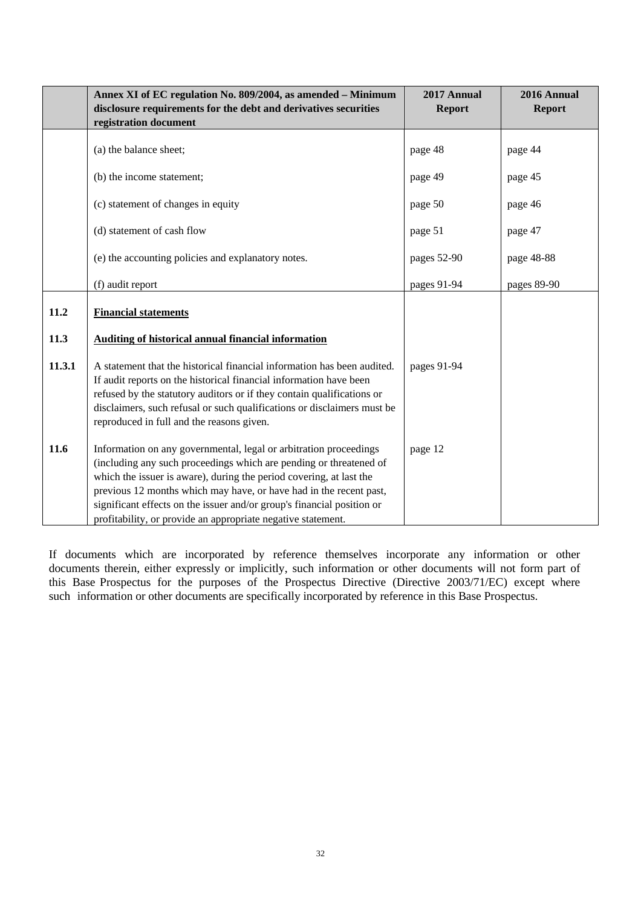|        | Annex XI of EC regulation No. 809/2004, as amended - Minimum<br>disclosure requirements for the debt and derivatives securities<br>registration document                                                                                                                                                                                                                                                                       | 2017 Annual<br><b>Report</b> | 2016 Annual<br><b>Report</b> |
|--------|--------------------------------------------------------------------------------------------------------------------------------------------------------------------------------------------------------------------------------------------------------------------------------------------------------------------------------------------------------------------------------------------------------------------------------|------------------------------|------------------------------|
|        | (a) the balance sheet;                                                                                                                                                                                                                                                                                                                                                                                                         | page 48                      | page 44                      |
|        | (b) the income statement;                                                                                                                                                                                                                                                                                                                                                                                                      | page 49                      | page 45                      |
|        | (c) statement of changes in equity                                                                                                                                                                                                                                                                                                                                                                                             | page 50                      | page 46                      |
|        | (d) statement of cash flow                                                                                                                                                                                                                                                                                                                                                                                                     | page 51                      | page 47                      |
|        | (e) the accounting policies and explanatory notes.                                                                                                                                                                                                                                                                                                                                                                             | pages 52-90                  | page 48-88                   |
|        | (f) audit report                                                                                                                                                                                                                                                                                                                                                                                                               | pages 91-94                  | pages 89-90                  |
| 11.2   | <b>Financial statements</b>                                                                                                                                                                                                                                                                                                                                                                                                    |                              |                              |
| 11.3   | <b>Auditing of historical annual financial information</b>                                                                                                                                                                                                                                                                                                                                                                     |                              |                              |
| 11.3.1 | A statement that the historical financial information has been audited.<br>If audit reports on the historical financial information have been<br>refused by the statutory auditors or if they contain qualifications or<br>disclaimers, such refusal or such qualifications or disclaimers must be<br>reproduced in full and the reasons given.                                                                                | pages 91-94                  |                              |
| 11.6   | Information on any governmental, legal or arbitration proceedings<br>(including any such proceedings which are pending or threatened of<br>which the issuer is aware), during the period covering, at last the<br>previous 12 months which may have, or have had in the recent past,<br>significant effects on the issuer and/or group's financial position or<br>profitability, or provide an appropriate negative statement. | page 12                      |                              |

If documents which are incorporated by reference themselves incorporate any information or other documents therein, either expressly or implicitly, such information or other documents will not form part of this Base Prospectus for the purposes of the Prospectus Directive (Directive 2003/71/EC) except where such information or other documents are specifically incorporated by reference in this Base Prospectus.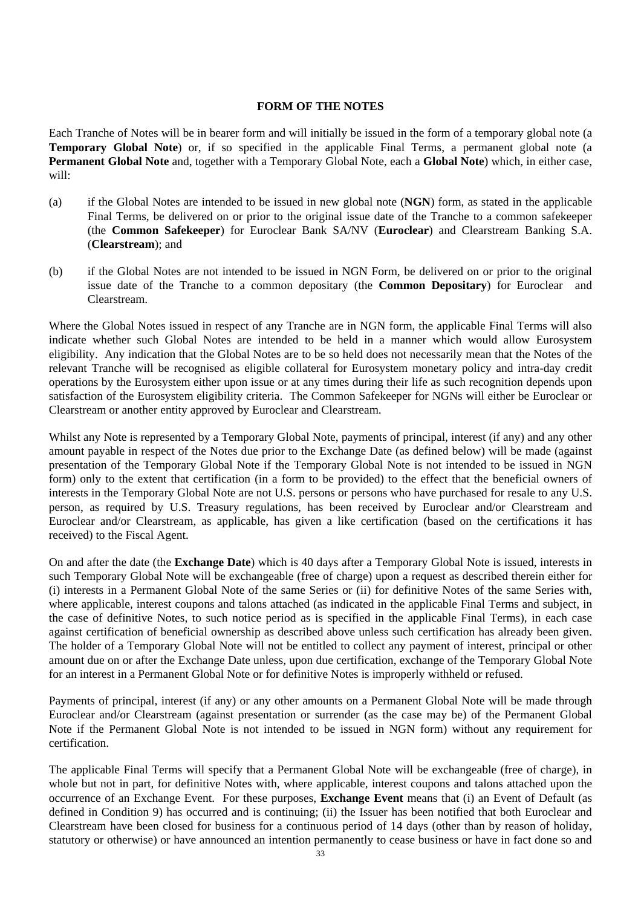#### **FORM OF THE NOTES**

Each Tranche of Notes will be in bearer form and will initially be issued in the form of a temporary global note (a **Temporary Global Note**) or, if so specified in the applicable Final Terms, a permanent global note (a **Permanent Global Note** and, together with a Temporary Global Note, each a **Global Note**) which, in either case, will:

- (a) if the Global Notes are intended to be issued in new global note (**NGN**) form, as stated in the applicable Final Terms, be delivered on or prior to the original issue date of the Tranche to a common safekeeper (the **Common Safekeeper**) for Euroclear Bank SA/NV (**Euroclear**) and Clearstream Banking S.A. (**Clearstream**); and
- (b) if the Global Notes are not intended to be issued in NGN Form, be delivered on or prior to the original issue date of the Tranche to a common depositary (the **Common Depositary**) for Euroclear and Clearstream.

Where the Global Notes issued in respect of any Tranche are in NGN form, the applicable Final Terms will also indicate whether such Global Notes are intended to be held in a manner which would allow Eurosystem eligibility. Any indication that the Global Notes are to be so held does not necessarily mean that the Notes of the relevant Tranche will be recognised as eligible collateral for Eurosystem monetary policy and intra-day credit operations by the Eurosystem either upon issue or at any times during their life as such recognition depends upon satisfaction of the Eurosystem eligibility criteria. The Common Safekeeper for NGNs will either be Euroclear or Clearstream or another entity approved by Euroclear and Clearstream.

Whilst any Note is represented by a Temporary Global Note, payments of principal, interest (if any) and any other amount payable in respect of the Notes due prior to the Exchange Date (as defined below) will be made (against presentation of the Temporary Global Note if the Temporary Global Note is not intended to be issued in NGN form) only to the extent that certification (in a form to be provided) to the effect that the beneficial owners of interests in the Temporary Global Note are not U.S. persons or persons who have purchased for resale to any U.S. person, as required by U.S. Treasury regulations, has been received by Euroclear and/or Clearstream and Euroclear and/or Clearstream, as applicable, has given a like certification (based on the certifications it has received) to the Fiscal Agent.

On and after the date (the **Exchange Date**) which is 40 days after a Temporary Global Note is issued, interests in such Temporary Global Note will be exchangeable (free of charge) upon a request as described therein either for (i) interests in a Permanent Global Note of the same Series or (ii) for definitive Notes of the same Series with, where applicable, interest coupons and talons attached (as indicated in the applicable Final Terms and subject, in the case of definitive Notes, to such notice period as is specified in the applicable Final Terms), in each case against certification of beneficial ownership as described above unless such certification has already been given. The holder of a Temporary Global Note will not be entitled to collect any payment of interest, principal or other amount due on or after the Exchange Date unless, upon due certification, exchange of the Temporary Global Note for an interest in a Permanent Global Note or for definitive Notes is improperly withheld or refused.

Payments of principal, interest (if any) or any other amounts on a Permanent Global Note will be made through Euroclear and/or Clearstream (against presentation or surrender (as the case may be) of the Permanent Global Note if the Permanent Global Note is not intended to be issued in NGN form) without any requirement for certification.

The applicable Final Terms will specify that a Permanent Global Note will be exchangeable (free of charge), in whole but not in part, for definitive Notes with, where applicable, interest coupons and talons attached upon the occurrence of an Exchange Event. For these purposes, **Exchange Event** means that (i) an Event of Default (as defined in Condition 9) has occurred and is continuing; (ii) the Issuer has been notified that both Euroclear and Clearstream have been closed for business for a continuous period of 14 days (other than by reason of holiday, statutory or otherwise) or have announced an intention permanently to cease business or have in fact done so and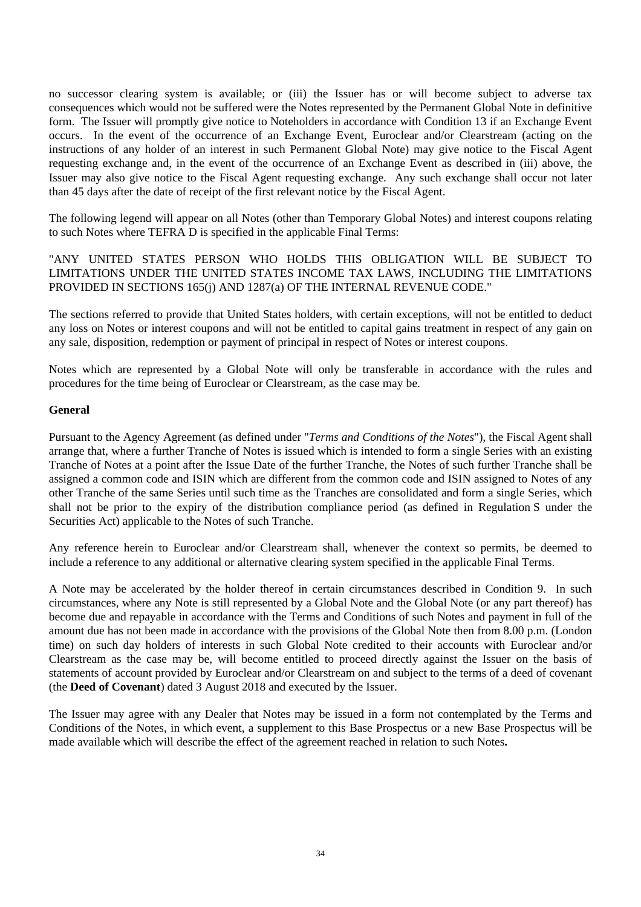no successor clearing system is available; or (iii) the Issuer has or will become subject to adverse tax consequences which would not be suffered were the Notes represented by the Permanent Global Note in definitive form. The Issuer will promptly give notice to Noteholders in accordance with Condition 13 if an Exchange Event occurs. In the event of the occurrence of an Exchange Event, Euroclear and/or Clearstream (acting on the instructions of any holder of an interest in such Permanent Global Note) may give notice to the Fiscal Agent requesting exchange and, in the event of the occurrence of an Exchange Event as described in (iii) above, the Issuer may also give notice to the Fiscal Agent requesting exchange. Any such exchange shall occur not later than 45 days after the date of receipt of the first relevant notice by the Fiscal Agent.

The following legend will appear on all Notes (other than Temporary Global Notes) and interest coupons relating to such Notes where TEFRA D is specified in the applicable Final Terms:

"ANY UNITED STATES PERSON WHO HOLDS THIS OBLIGATION WILL BE SUBJECT TO LIMITATIONS UNDER THE UNITED STATES INCOME TAX LAWS, INCLUDING THE LIMITATIONS PROVIDED IN SECTIONS 165(j) AND 1287(a) OF THE INTERNAL REVENUE CODE."

The sections referred to provide that United States holders, with certain exceptions, will not be entitled to deduct any loss on Notes or interest coupons and will not be entitled to capital gains treatment in respect of any gain on any sale, disposition, redemption or payment of principal in respect of Notes or interest coupons.

Notes which are represented by a Global Note will only be transferable in accordance with the rules and procedures for the time being of Euroclear or Clearstream, as the case may be.

#### **General**

Pursuant to the Agency Agreement (as defined under "*Terms and Conditions of the Notes*"), the Fiscal Agent shall arrange that, where a further Tranche of Notes is issued which is intended to form a single Series with an existing Tranche of Notes at a point after the Issue Date of the further Tranche, the Notes of such further Tranche shall be assigned a common code and ISIN which are different from the common code and ISIN assigned to Notes of any other Tranche of the same Series until such time as the Tranches are consolidated and form a single Series, which shall not be prior to the expiry of the distribution compliance period (as defined in Regulation S under the Securities Act) applicable to the Notes of such Tranche.

Any reference herein to Euroclear and/or Clearstream shall, whenever the context so permits, be deemed to include a reference to any additional or alternative clearing system specified in the applicable Final Terms.

A Note may be accelerated by the holder thereof in certain circumstances described in Condition 9. In such circumstances, where any Note is still represented by a Global Note and the Global Note (or any part thereof) has become due and repayable in accordance with the Terms and Conditions of such Notes and payment in full of the amount due has not been made in accordance with the provisions of the Global Note then from 8.00 p.m. (London time) on such day holders of interests in such Global Note credited to their accounts with Euroclear and/or Clearstream as the case may be, will become entitled to proceed directly against the Issuer on the basis of statements of account provided by Euroclear and/or Clearstream on and subject to the terms of a deed of covenant (the **Deed of Covenant**) dated 3 August 2018 and executed by the Issuer.

The Issuer may agree with any Dealer that Notes may be issued in a form not contemplated by the Terms and Conditions of the Notes, in which event, a supplement to this Base Prospectus or a new Base Prospectus will be made available which will describe the effect of the agreement reached in relation to such Notes**.**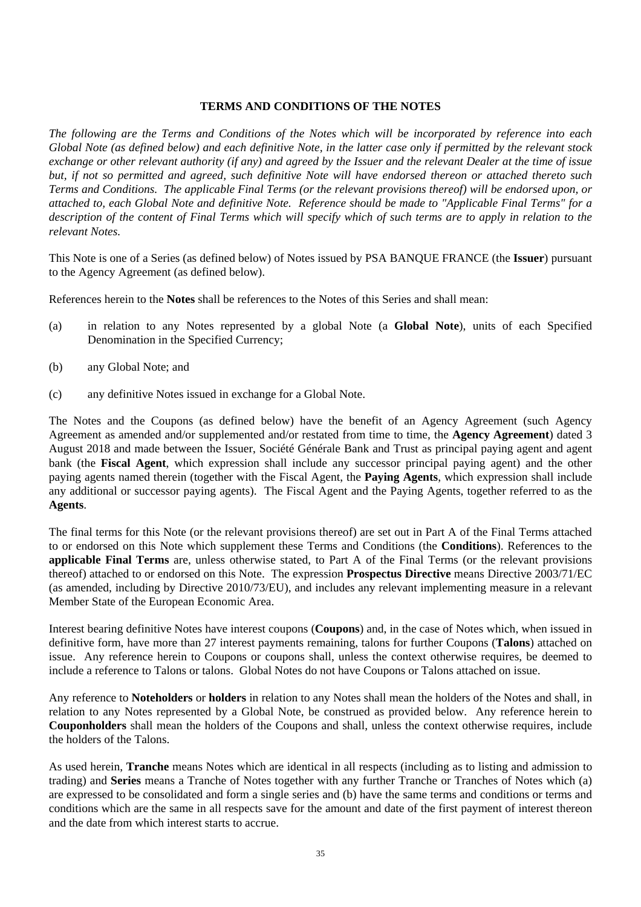#### **TERMS AND CONDITIONS OF THE NOTES**

*The following are the Terms and Conditions of the Notes which will be incorporated by reference into each Global Note (as defined below) and each definitive Note, in the latter case only if permitted by the relevant stock exchange or other relevant authority (if any) and agreed by the Issuer and the relevant Dealer at the time of issue but, if not so permitted and agreed, such definitive Note will have endorsed thereon or attached thereto such Terms and Conditions. The applicable Final Terms (or the relevant provisions thereof) will be endorsed upon, or attached to, each Global Note and definitive Note. Reference should be made to "Applicable Final Terms" for a description of the content of Final Terms which will specify which of such terms are to apply in relation to the relevant Notes.* 

This Note is one of a Series (as defined below) of Notes issued by PSA BANQUE FRANCE (the **Issuer**) pursuant to the Agency Agreement (as defined below).

References herein to the **Notes** shall be references to the Notes of this Series and shall mean:

- (a) in relation to any Notes represented by a global Note (a **Global Note**), units of each Specified Denomination in the Specified Currency;
- (b) any Global Note; and
- (c) any definitive Notes issued in exchange for a Global Note.

The Notes and the Coupons (as defined below) have the benefit of an Agency Agreement (such Agency Agreement as amended and/or supplemented and/or restated from time to time, the **Agency Agreement**) dated 3 August 2018 and made between the Issuer, Société Générale Bank and Trust as principal paying agent and agent bank (the **Fiscal Agent**, which expression shall include any successor principal paying agent) and the other paying agents named therein (together with the Fiscal Agent, the **Paying Agents**, which expression shall include any additional or successor paying agents). The Fiscal Agent and the Paying Agents, together referred to as the **Agents**.

The final terms for this Note (or the relevant provisions thereof) are set out in Part A of the Final Terms attached to or endorsed on this Note which supplement these Terms and Conditions (the **Conditions**). References to the **applicable Final Terms** are, unless otherwise stated, to Part A of the Final Terms (or the relevant provisions thereof) attached to or endorsed on this Note. The expression **Prospectus Directive** means Directive 2003/71/EC (as amended, including by Directive 2010/73/EU), and includes any relevant implementing measure in a relevant Member State of the European Economic Area.

Interest bearing definitive Notes have interest coupons (**Coupons**) and, in the case of Notes which, when issued in definitive form, have more than 27 interest payments remaining, talons for further Coupons (**Talons**) attached on issue. Any reference herein to Coupons or coupons shall, unless the context otherwise requires, be deemed to include a reference to Talons or talons. Global Notes do not have Coupons or Talons attached on issue.

Any reference to **Noteholders** or **holders** in relation to any Notes shall mean the holders of the Notes and shall, in relation to any Notes represented by a Global Note, be construed as provided below. Any reference herein to **Couponholders** shall mean the holders of the Coupons and shall, unless the context otherwise requires, include the holders of the Talons.

As used herein, **Tranche** means Notes which are identical in all respects (including as to listing and admission to trading) and **Series** means a Tranche of Notes together with any further Tranche or Tranches of Notes which (a) are expressed to be consolidated and form a single series and (b) have the same terms and conditions or terms and conditions which are the same in all respects save for the amount and date of the first payment of interest thereon and the date from which interest starts to accrue.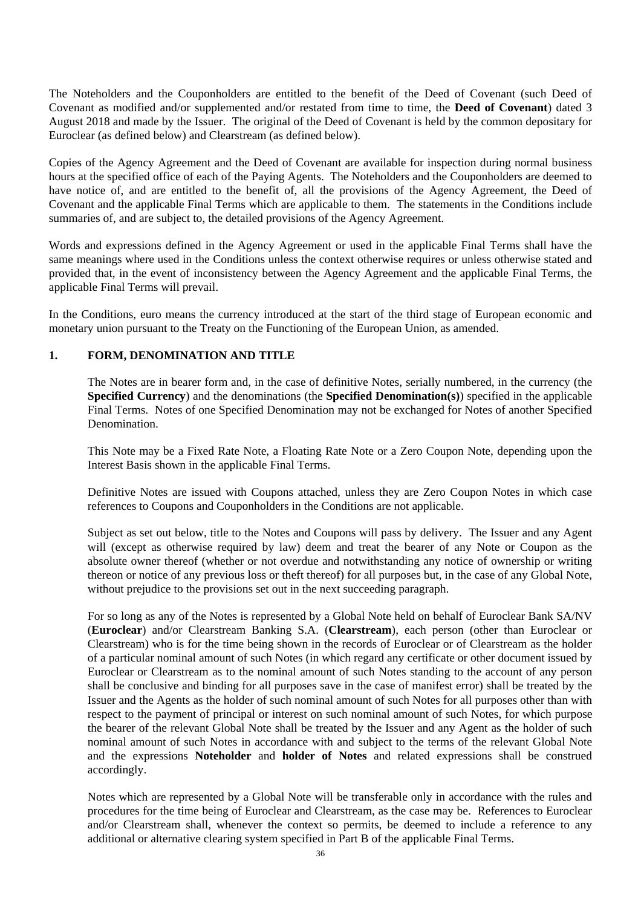The Noteholders and the Couponholders are entitled to the benefit of the Deed of Covenant (such Deed of Covenant as modified and/or supplemented and/or restated from time to time, the **Deed of Covenant**) dated 3 August 2018 and made by the Issuer. The original of the Deed of Covenant is held by the common depositary for Euroclear (as defined below) and Clearstream (as defined below).

Copies of the Agency Agreement and the Deed of Covenant are available for inspection during normal business hours at the specified office of each of the Paying Agents. The Noteholders and the Couponholders are deemed to have notice of, and are entitled to the benefit of, all the provisions of the Agency Agreement, the Deed of Covenant and the applicable Final Terms which are applicable to them. The statements in the Conditions include summaries of, and are subject to, the detailed provisions of the Agency Agreement.

Words and expressions defined in the Agency Agreement or used in the applicable Final Terms shall have the same meanings where used in the Conditions unless the context otherwise requires or unless otherwise stated and provided that, in the event of inconsistency between the Agency Agreement and the applicable Final Terms, the applicable Final Terms will prevail.

In the Conditions, euro means the currency introduced at the start of the third stage of European economic and monetary union pursuant to the Treaty on the Functioning of the European Union, as amended.

## **1. FORM, DENOMINATION AND TITLE**

The Notes are in bearer form and, in the case of definitive Notes, serially numbered, in the currency (the **Specified Currency**) and the denominations (the **Specified Denomination(s)**) specified in the applicable Final Terms. Notes of one Specified Denomination may not be exchanged for Notes of another Specified **Denomination** 

This Note may be a Fixed Rate Note, a Floating Rate Note or a Zero Coupon Note, depending upon the Interest Basis shown in the applicable Final Terms.

Definitive Notes are issued with Coupons attached, unless they are Zero Coupon Notes in which case references to Coupons and Couponholders in the Conditions are not applicable.

Subject as set out below, title to the Notes and Coupons will pass by delivery. The Issuer and any Agent will (except as otherwise required by law) deem and treat the bearer of any Note or Coupon as the absolute owner thereof (whether or not overdue and notwithstanding any notice of ownership or writing thereon or notice of any previous loss or theft thereof) for all purposes but, in the case of any Global Note, without prejudice to the provisions set out in the next succeeding paragraph.

For so long as any of the Notes is represented by a Global Note held on behalf of Euroclear Bank SA/NV (**Euroclear**) and/or Clearstream Banking S.A. (**Clearstream**), each person (other than Euroclear or Clearstream) who is for the time being shown in the records of Euroclear or of Clearstream as the holder of a particular nominal amount of such Notes (in which regard any certificate or other document issued by Euroclear or Clearstream as to the nominal amount of such Notes standing to the account of any person shall be conclusive and binding for all purposes save in the case of manifest error) shall be treated by the Issuer and the Agents as the holder of such nominal amount of such Notes for all purposes other than with respect to the payment of principal or interest on such nominal amount of such Notes, for which purpose the bearer of the relevant Global Note shall be treated by the Issuer and any Agent as the holder of such nominal amount of such Notes in accordance with and subject to the terms of the relevant Global Note and the expressions **Noteholder** and **holder of Notes** and related expressions shall be construed accordingly.

Notes which are represented by a Global Note will be transferable only in accordance with the rules and procedures for the time being of Euroclear and Clearstream, as the case may be. References to Euroclear and/or Clearstream shall, whenever the context so permits, be deemed to include a reference to any additional or alternative clearing system specified in Part B of the applicable Final Terms.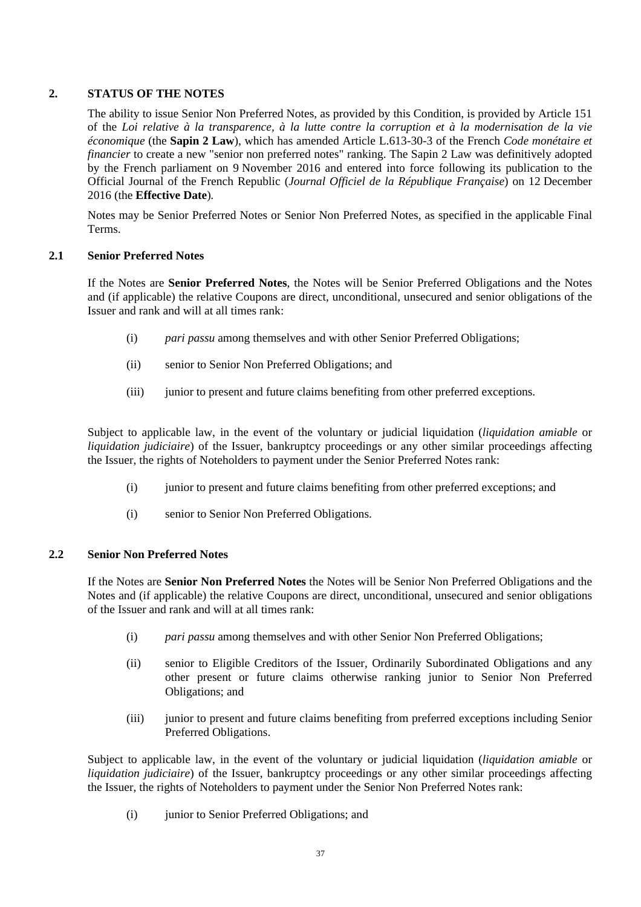# **2. STATUS OF THE NOTES**

The ability to issue Senior Non Preferred Notes, as provided by this Condition, is provided by Article 151 of the *Loi relative à la transparence, à la lutte contre la corruption et à la modernisation de la vie économique* (the **Sapin 2 Law**), which has amended Article L.613-30-3 of the French *Code monétaire et financier* to create a new "senior non preferred notes" ranking. The Sapin 2 Law was definitively adopted by the French parliament on 9 November 2016 and entered into force following its publication to the Official Journal of the French Republic (*Journal Officiel de la République Française*) on 12 December 2016 (the **Effective Date**)*.* 

Notes may be Senior Preferred Notes or Senior Non Preferred Notes, as specified in the applicable Final Terms.

## **2.1 Senior Preferred Notes**

If the Notes are **Senior Preferred Notes**, the Notes will be Senior Preferred Obligations and the Notes and (if applicable) the relative Coupons are direct, unconditional, unsecured and senior obligations of the Issuer and rank and will at all times rank:

- (i) *pari passu* among themselves and with other Senior Preferred Obligations;
- (ii) senior to Senior Non Preferred Obligations; and
- (iii) junior to present and future claims benefiting from other preferred exceptions.

Subject to applicable law, in the event of the voluntary or judicial liquidation (*liquidation amiable* or *liquidation judiciaire*) of the Issuer, bankruptcy proceedings or any other similar proceedings affecting the Issuer, the rights of Noteholders to payment under the Senior Preferred Notes rank:

- (i) junior to present and future claims benefiting from other preferred exceptions; and
- (i) senior to Senior Non Preferred Obligations.

## **2.2 Senior Non Preferred Notes**

If the Notes are **Senior Non Preferred Notes** the Notes will be Senior Non Preferred Obligations and the Notes and (if applicable) the relative Coupons are direct, unconditional, unsecured and senior obligations of the Issuer and rank and will at all times rank:

- (i) *pari passu* among themselves and with other Senior Non Preferred Obligations;
- (ii) senior to Eligible Creditors of the Issuer, Ordinarily Subordinated Obligations and any other present or future claims otherwise ranking junior to Senior Non Preferred Obligations; and
- (iii) junior to present and future claims benefiting from preferred exceptions including Senior Preferred Obligations.

Subject to applicable law, in the event of the voluntary or judicial liquidation (*liquidation amiable* or *liquidation judiciaire*) of the Issuer, bankruptcy proceedings or any other similar proceedings affecting the Issuer, the rights of Noteholders to payment under the Senior Non Preferred Notes rank:

(i) junior to Senior Preferred Obligations; and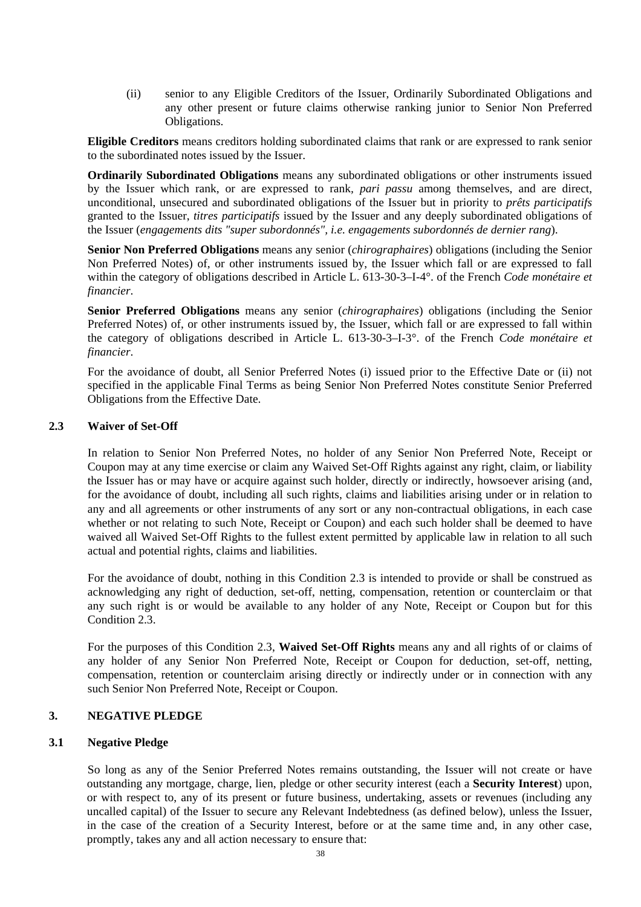(ii) senior to any Eligible Creditors of the Issuer, Ordinarily Subordinated Obligations and any other present or future claims otherwise ranking junior to Senior Non Preferred Obligations.

**Eligible Creditors** means creditors holding subordinated claims that rank or are expressed to rank senior to the subordinated notes issued by the Issuer.

**Ordinarily Subordinated Obligations** means any subordinated obligations or other instruments issued by the Issuer which rank, or are expressed to rank*, pari passu* among themselves, and are direct, unconditional, unsecured and subordinated obligations of the Issuer but in priority to *prêts participatifs* granted to the Issuer, *titres participatifs* issued by the Issuer and any deeply subordinated obligations of the Issuer (*engagements dits "super subordonnés", i.e. engagements subordonnés de dernier rang*).

**Senior Non Preferred Obligations** means any senior (*chirographaires*) obligations (including the Senior Non Preferred Notes) of, or other instruments issued by, the Issuer which fall or are expressed to fall within the category of obligations described in Article L. 613-30-3–I-4°. of the French *Code monétaire et financier*.

**Senior Preferred Obligations** means any senior (*chirographaires*) obligations (including the Senior Preferred Notes) of, or other instruments issued by, the Issuer, which fall or are expressed to fall within the category of obligations described in Article L. 613-30-3–I-3°. of the French *Code monétaire et financier*.

For the avoidance of doubt, all Senior Preferred Notes (i) issued prior to the Effective Date or (ii) not specified in the applicable Final Terms as being Senior Non Preferred Notes constitute Senior Preferred Obligations from the Effective Date.

## **2.3 Waiver of Set-Off**

In relation to Senior Non Preferred Notes, no holder of any Senior Non Preferred Note, Receipt or Coupon may at any time exercise or claim any Waived Set-Off Rights against any right, claim, or liability the Issuer has or may have or acquire against such holder, directly or indirectly, howsoever arising (and, for the avoidance of doubt, including all such rights, claims and liabilities arising under or in relation to any and all agreements or other instruments of any sort or any non-contractual obligations, in each case whether or not relating to such Note, Receipt or Coupon) and each such holder shall be deemed to have waived all Waived Set-Off Rights to the fullest extent permitted by applicable law in relation to all such actual and potential rights, claims and liabilities.

For the avoidance of doubt, nothing in this Condition 2.3 is intended to provide or shall be construed as acknowledging any right of deduction, set-off, netting, compensation, retention or counterclaim or that any such right is or would be available to any holder of any Note, Receipt or Coupon but for this Condition 2.3.

For the purposes of this Condition 2.3, **Waived Set-Off Rights** means any and all rights of or claims of any holder of any Senior Non Preferred Note, Receipt or Coupon for deduction, set-off, netting, compensation, retention or counterclaim arising directly or indirectly under or in connection with any such Senior Non Preferred Note, Receipt or Coupon.

## **3. NEGATIVE PLEDGE**

## **3.1 Negative Pledge**

So long as any of the Senior Preferred Notes remains outstanding, the Issuer will not create or have outstanding any mortgage, charge, lien, pledge or other security interest (each a **Security Interest**) upon, or with respect to, any of its present or future business, undertaking, assets or revenues (including any uncalled capital) of the Issuer to secure any Relevant Indebtedness (as defined below), unless the Issuer, in the case of the creation of a Security Interest, before or at the same time and, in any other case, promptly, takes any and all action necessary to ensure that: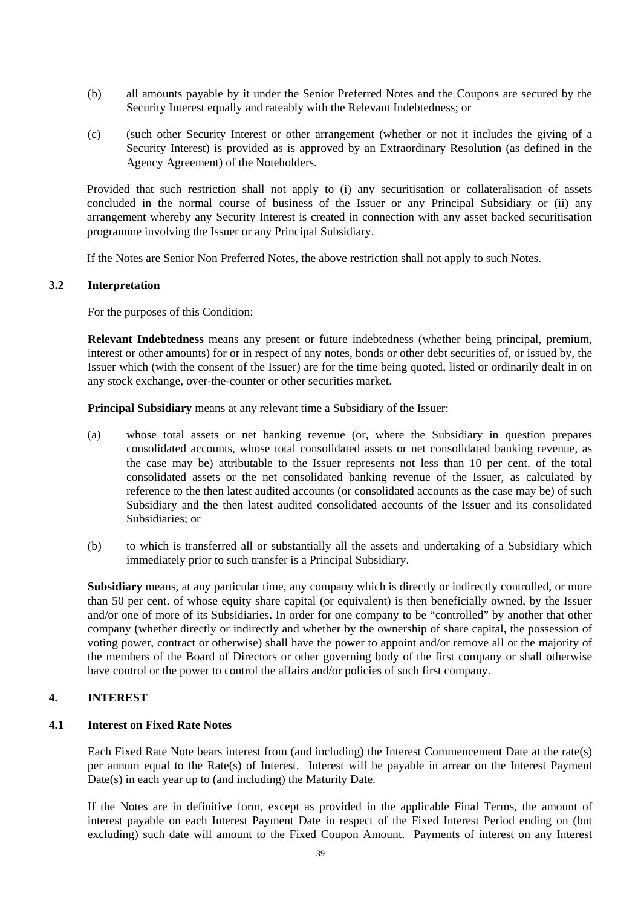- (b) all amounts payable by it under the Senior Preferred Notes and the Coupons are secured by the Security Interest equally and rateably with the Relevant Indebtedness; or
- (c) (such other Security Interest or other arrangement (whether or not it includes the giving of a Security Interest) is provided as is approved by an Extraordinary Resolution (as defined in the Agency Agreement) of the Noteholders.

Provided that such restriction shall not apply to (i) any securitisation or collateralisation of assets concluded in the normal course of business of the Issuer or any Principal Subsidiary or (ii) any arrangement whereby any Security Interest is created in connection with any asset backed securitisation programme involving the Issuer or any Principal Subsidiary.

If the Notes are Senior Non Preferred Notes, the above restriction shall not apply to such Notes.

## **3.2 Interpretation**

For the purposes of this Condition:

**Relevant Indebtedness** means any present or future indebtedness (whether being principal, premium, interest or other amounts) for or in respect of any notes, bonds or other debt securities of, or issued by, the Issuer which (with the consent of the Issuer) are for the time being quoted, listed or ordinarily dealt in on any stock exchange, over-the-counter or other securities market.

**Principal Subsidiary** means at any relevant time a Subsidiary of the Issuer:

- (a) whose total assets or net banking revenue (or, where the Subsidiary in question prepares consolidated accounts, whose total consolidated assets or net consolidated banking revenue, as the case may be) attributable to the Issuer represents not less than 10 per cent. of the total consolidated assets or the net consolidated banking revenue of the Issuer, as calculated by reference to the then latest audited accounts (or consolidated accounts as the case may be) of such Subsidiary and the then latest audited consolidated accounts of the Issuer and its consolidated Subsidiaries; or
- (b) to which is transferred all or substantially all the assets and undertaking of a Subsidiary which immediately prior to such transfer is a Principal Subsidiary.

**Subsidiary** means, at any particular time, any company which is directly or indirectly controlled, or more than 50 per cent. of whose equity share capital (or equivalent) is then beneficially owned, by the Issuer and/or one of more of its Subsidiaries. In order for one company to be "controlled" by another that other company (whether directly or indirectly and whether by the ownership of share capital, the possession of voting power, contract or otherwise) shall have the power to appoint and/or remove all or the majority of the members of the Board of Directors or other governing body of the first company or shall otherwise have control or the power to control the affairs and/or policies of such first company.

## **4. INTEREST**

## **4.1 Interest on Fixed Rate Notes**

Each Fixed Rate Note bears interest from (and including) the Interest Commencement Date at the rate(s) per annum equal to the Rate(s) of Interest. Interest will be payable in arrear on the Interest Payment Date(s) in each year up to (and including) the Maturity Date.

If the Notes are in definitive form, except as provided in the applicable Final Terms, the amount of interest payable on each Interest Payment Date in respect of the Fixed Interest Period ending on (but excluding) such date will amount to the Fixed Coupon Amount. Payments of interest on any Interest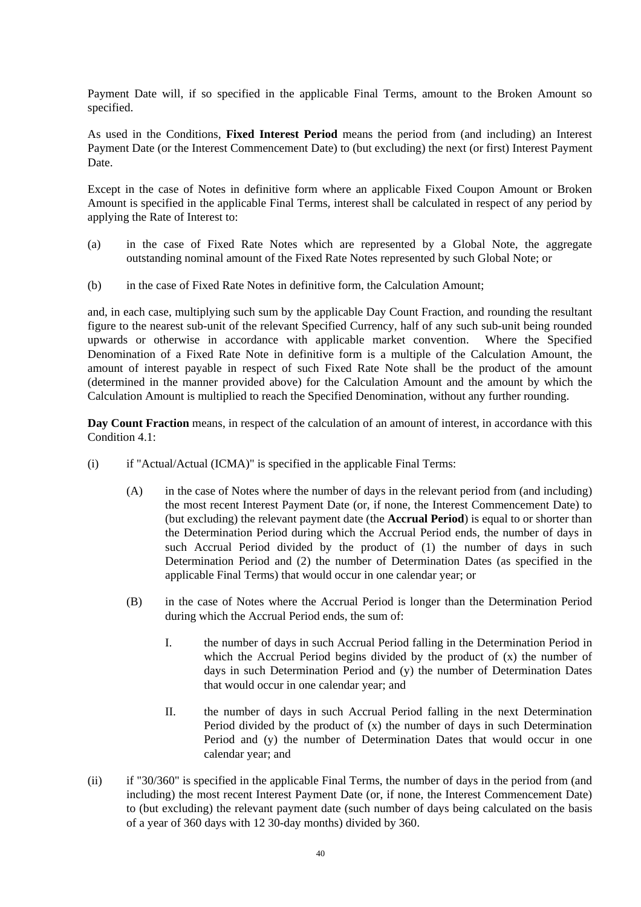Payment Date will, if so specified in the applicable Final Terms, amount to the Broken Amount so specified.

As used in the Conditions, **Fixed Interest Period** means the period from (and including) an Interest Payment Date (or the Interest Commencement Date) to (but excluding) the next (or first) Interest Payment Date.

Except in the case of Notes in definitive form where an applicable Fixed Coupon Amount or Broken Amount is specified in the applicable Final Terms, interest shall be calculated in respect of any period by applying the Rate of Interest to:

- (a) in the case of Fixed Rate Notes which are represented by a Global Note, the aggregate outstanding nominal amount of the Fixed Rate Notes represented by such Global Note; or
- (b) in the case of Fixed Rate Notes in definitive form, the Calculation Amount;

and, in each case, multiplying such sum by the applicable Day Count Fraction, and rounding the resultant figure to the nearest sub-unit of the relevant Specified Currency, half of any such sub-unit being rounded upwards or otherwise in accordance with applicable market convention. Where the Specified Denomination of a Fixed Rate Note in definitive form is a multiple of the Calculation Amount, the amount of interest payable in respect of such Fixed Rate Note shall be the product of the amount (determined in the manner provided above) for the Calculation Amount and the amount by which the Calculation Amount is multiplied to reach the Specified Denomination, without any further rounding.

**Day Count Fraction** means, in respect of the calculation of an amount of interest, in accordance with this Condition 4.1:

- (i) if "Actual/Actual (ICMA)" is specified in the applicable Final Terms:
	- (A) in the case of Notes where the number of days in the relevant period from (and including) the most recent Interest Payment Date (or, if none, the Interest Commencement Date) to (but excluding) the relevant payment date (the **Accrual Period**) is equal to or shorter than the Determination Period during which the Accrual Period ends, the number of days in such Accrual Period divided by the product of (1) the number of days in such Determination Period and (2) the number of Determination Dates (as specified in the applicable Final Terms) that would occur in one calendar year; or
	- (B) in the case of Notes where the Accrual Period is longer than the Determination Period during which the Accrual Period ends, the sum of:
		- I. the number of days in such Accrual Period falling in the Determination Period in which the Accrual Period begins divided by the product of  $(x)$  the number of days in such Determination Period and (y) the number of Determination Dates that would occur in one calendar year; and
		- II. the number of days in such Accrual Period falling in the next Determination Period divided by the product of (x) the number of days in such Determination Period and (y) the number of Determination Dates that would occur in one calendar year; and
- (ii) if "30/360" is specified in the applicable Final Terms, the number of days in the period from (and including) the most recent Interest Payment Date (or, if none, the Interest Commencement Date) to (but excluding) the relevant payment date (such number of days being calculated on the basis of a year of 360 days with 12 30-day months) divided by 360.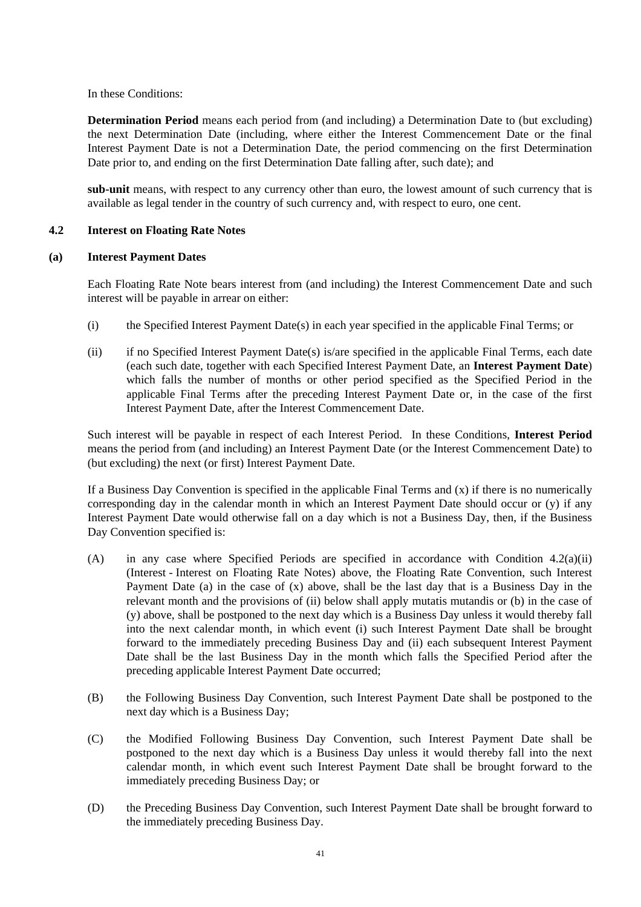In these Conditions:

**Determination Period** means each period from (and including) a Determination Date to (but excluding) the next Determination Date (including, where either the Interest Commencement Date or the final Interest Payment Date is not a Determination Date, the period commencing on the first Determination Date prior to, and ending on the first Determination Date falling after, such date); and

**sub-unit** means, with respect to any currency other than euro, the lowest amount of such currency that is available as legal tender in the country of such currency and, with respect to euro, one cent.

# **4.2 Interest on Floating Rate Notes**

## **(a) Interest Payment Dates**

Each Floating Rate Note bears interest from (and including) the Interest Commencement Date and such interest will be payable in arrear on either:

- (i) the Specified Interest Payment Date(s) in each year specified in the applicable Final Terms; or
- (ii) if no Specified Interest Payment Date(s) is/are specified in the applicable Final Terms, each date (each such date, together with each Specified Interest Payment Date, an **Interest Payment Date**) which falls the number of months or other period specified as the Specified Period in the applicable Final Terms after the preceding Interest Payment Date or, in the case of the first Interest Payment Date, after the Interest Commencement Date.

Such interest will be payable in respect of each Interest Period. In these Conditions, **Interest Period** means the period from (and including) an Interest Payment Date (or the Interest Commencement Date) to (but excluding) the next (or first) Interest Payment Date.

If a Business Day Convention is specified in the applicable Final Terms and  $(x)$  if there is no numerically corresponding day in the calendar month in which an Interest Payment Date should occur or (y) if any Interest Payment Date would otherwise fall on a day which is not a Business Day, then, if the Business Day Convention specified is:

- (A) in any case where Specified Periods are specified in accordance with Condition  $4.2(a)(ii)$ (Interest - Interest on Floating Rate Notes) above, the Floating Rate Convention, such Interest Payment Date (a) in the case of (x) above, shall be the last day that is a Business Day in the relevant month and the provisions of (ii) below shall apply mutatis mutandis or (b) in the case of (y) above, shall be postponed to the next day which is a Business Day unless it would thereby fall into the next calendar month, in which event (i) such Interest Payment Date shall be brought forward to the immediately preceding Business Day and (ii) each subsequent Interest Payment Date shall be the last Business Day in the month which falls the Specified Period after the preceding applicable Interest Payment Date occurred;
- (B) the Following Business Day Convention, such Interest Payment Date shall be postponed to the next day which is a Business Day;
- (C) the Modified Following Business Day Convention, such Interest Payment Date shall be postponed to the next day which is a Business Day unless it would thereby fall into the next calendar month, in which event such Interest Payment Date shall be brought forward to the immediately preceding Business Day; or
- (D) the Preceding Business Day Convention, such Interest Payment Date shall be brought forward to the immediately preceding Business Day.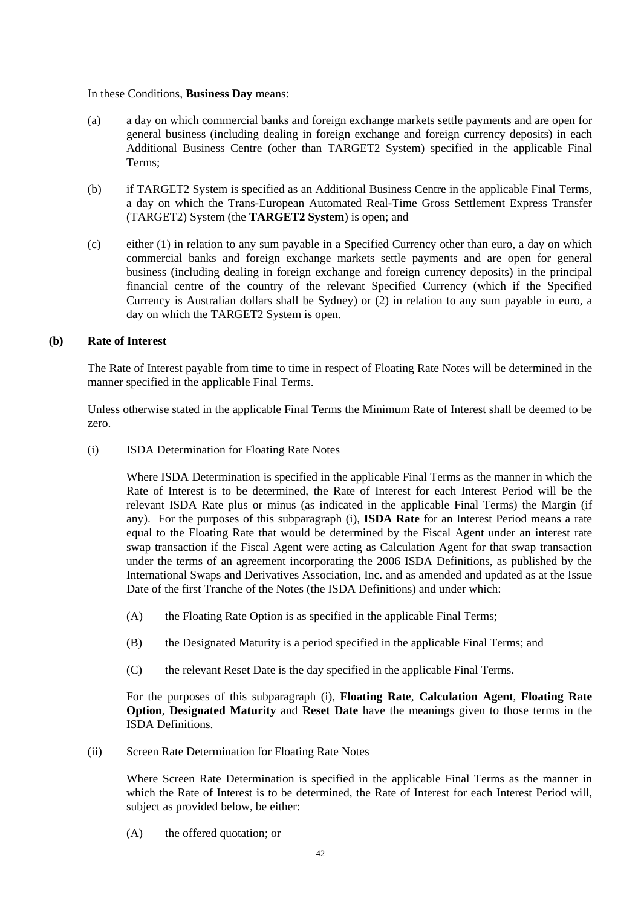### In these Conditions, **Business Day** means:

- (a) a day on which commercial banks and foreign exchange markets settle payments and are open for general business (including dealing in foreign exchange and foreign currency deposits) in each Additional Business Centre (other than TARGET2 System) specified in the applicable Final Terms;
- (b) if TARGET2 System is specified as an Additional Business Centre in the applicable Final Terms, a day on which the Trans-European Automated Real-Time Gross Settlement Express Transfer (TARGET2) System (the **TARGET2 System**) is open; and
- (c) either (1) in relation to any sum payable in a Specified Currency other than euro, a day on which commercial banks and foreign exchange markets settle payments and are open for general business (including dealing in foreign exchange and foreign currency deposits) in the principal financial centre of the country of the relevant Specified Currency (which if the Specified Currency is Australian dollars shall be Sydney) or (2) in relation to any sum payable in euro, a day on which the TARGET2 System is open.

## **(b) Rate of Interest**

The Rate of Interest payable from time to time in respect of Floating Rate Notes will be determined in the manner specified in the applicable Final Terms.

Unless otherwise stated in the applicable Final Terms the Minimum Rate of Interest shall be deemed to be zero.

(i) ISDA Determination for Floating Rate Notes

Where ISDA Determination is specified in the applicable Final Terms as the manner in which the Rate of Interest is to be determined, the Rate of Interest for each Interest Period will be the relevant ISDA Rate plus or minus (as indicated in the applicable Final Terms) the Margin (if any). For the purposes of this subparagraph (i), **ISDA Rate** for an Interest Period means a rate equal to the Floating Rate that would be determined by the Fiscal Agent under an interest rate swap transaction if the Fiscal Agent were acting as Calculation Agent for that swap transaction under the terms of an agreement incorporating the 2006 ISDA Definitions, as published by the International Swaps and Derivatives Association, Inc. and as amended and updated as at the Issue Date of the first Tranche of the Notes (the ISDA Definitions) and under which:

- (A) the Floating Rate Option is as specified in the applicable Final Terms;
- (B) the Designated Maturity is a period specified in the applicable Final Terms; and
- (C) the relevant Reset Date is the day specified in the applicable Final Terms.

For the purposes of this subparagraph (i), **Floating Rate**, **Calculation Agent**, **Floating Rate Option**, **Designated Maturity** and **Reset Date** have the meanings given to those terms in the ISDA Definitions.

(ii) Screen Rate Determination for Floating Rate Notes

Where Screen Rate Determination is specified in the applicable Final Terms as the manner in which the Rate of Interest is to be determined, the Rate of Interest for each Interest Period will, subject as provided below, be either:

(A) the offered quotation; or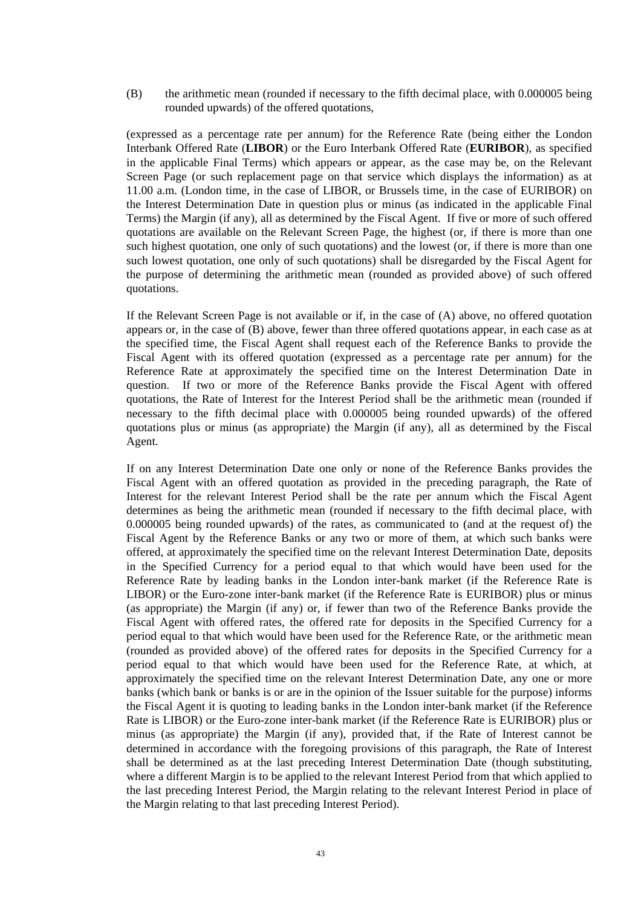(B) the arithmetic mean (rounded if necessary to the fifth decimal place, with 0.000005 being rounded upwards) of the offered quotations,

(expressed as a percentage rate per annum) for the Reference Rate (being either the London Interbank Offered Rate (**LIBOR**) or the Euro Interbank Offered Rate (**EURIBOR**), as specified in the applicable Final Terms) which appears or appear, as the case may be, on the Relevant Screen Page (or such replacement page on that service which displays the information) as at 11.00 a.m. (London time, in the case of LIBOR, or Brussels time, in the case of EURIBOR) on the Interest Determination Date in question plus or minus (as indicated in the applicable Final Terms) the Margin (if any), all as determined by the Fiscal Agent. If five or more of such offered quotations are available on the Relevant Screen Page, the highest (or, if there is more than one such highest quotation, one only of such quotations) and the lowest (or, if there is more than one such lowest quotation, one only of such quotations) shall be disregarded by the Fiscal Agent for the purpose of determining the arithmetic mean (rounded as provided above) of such offered quotations.

If the Relevant Screen Page is not available or if, in the case of (A) above, no offered quotation appears or, in the case of (B) above, fewer than three offered quotations appear, in each case as at the specified time, the Fiscal Agent shall request each of the Reference Banks to provide the Fiscal Agent with its offered quotation (expressed as a percentage rate per annum) for the Reference Rate at approximately the specified time on the Interest Determination Date in question. If two or more of the Reference Banks provide the Fiscal Agent with offered quotations, the Rate of Interest for the Interest Period shall be the arithmetic mean (rounded if necessary to the fifth decimal place with 0.000005 being rounded upwards) of the offered quotations plus or minus (as appropriate) the Margin (if any), all as determined by the Fiscal Agent.

If on any Interest Determination Date one only or none of the Reference Banks provides the Fiscal Agent with an offered quotation as provided in the preceding paragraph, the Rate of Interest for the relevant Interest Period shall be the rate per annum which the Fiscal Agent determines as being the arithmetic mean (rounded if necessary to the fifth decimal place, with 0.000005 being rounded upwards) of the rates, as communicated to (and at the request of) the Fiscal Agent by the Reference Banks or any two or more of them, at which such banks were offered, at approximately the specified time on the relevant Interest Determination Date, deposits in the Specified Currency for a period equal to that which would have been used for the Reference Rate by leading banks in the London inter-bank market (if the Reference Rate is LIBOR) or the Euro-zone inter-bank market (if the Reference Rate is EURIBOR) plus or minus (as appropriate) the Margin (if any) or, if fewer than two of the Reference Banks provide the Fiscal Agent with offered rates, the offered rate for deposits in the Specified Currency for a period equal to that which would have been used for the Reference Rate, or the arithmetic mean (rounded as provided above) of the offered rates for deposits in the Specified Currency for a period equal to that which would have been used for the Reference Rate, at which, at approximately the specified time on the relevant Interest Determination Date, any one or more banks (which bank or banks is or are in the opinion of the Issuer suitable for the purpose) informs the Fiscal Agent it is quoting to leading banks in the London inter-bank market (if the Reference Rate is LIBOR) or the Euro-zone inter-bank market (if the Reference Rate is EURIBOR) plus or minus (as appropriate) the Margin (if any), provided that, if the Rate of Interest cannot be determined in accordance with the foregoing provisions of this paragraph, the Rate of Interest shall be determined as at the last preceding Interest Determination Date (though substituting, where a different Margin is to be applied to the relevant Interest Period from that which applied to the last preceding Interest Period, the Margin relating to the relevant Interest Period in place of the Margin relating to that last preceding Interest Period).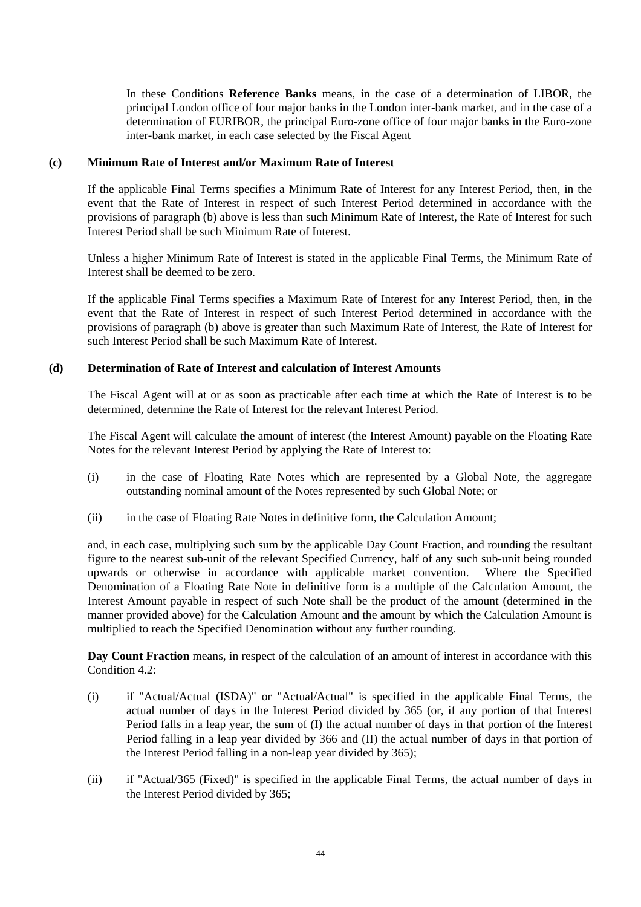In these Conditions **Reference Banks** means, in the case of a determination of LIBOR, the principal London office of four major banks in the London inter-bank market, and in the case of a determination of EURIBOR, the principal Euro-zone office of four major banks in the Euro-zone inter-bank market, in each case selected by the Fiscal Agent

## **(c) Minimum Rate of Interest and/or Maximum Rate of Interest**

If the applicable Final Terms specifies a Minimum Rate of Interest for any Interest Period, then, in the event that the Rate of Interest in respect of such Interest Period determined in accordance with the provisions of paragraph (b) above is less than such Minimum Rate of Interest, the Rate of Interest for such Interest Period shall be such Minimum Rate of Interest.

Unless a higher Minimum Rate of Interest is stated in the applicable Final Terms, the Minimum Rate of Interest shall be deemed to be zero.

If the applicable Final Terms specifies a Maximum Rate of Interest for any Interest Period, then, in the event that the Rate of Interest in respect of such Interest Period determined in accordance with the provisions of paragraph (b) above is greater than such Maximum Rate of Interest, the Rate of Interest for such Interest Period shall be such Maximum Rate of Interest.

# **(d) Determination of Rate of Interest and calculation of Interest Amounts**

The Fiscal Agent will at or as soon as practicable after each time at which the Rate of Interest is to be determined, determine the Rate of Interest for the relevant Interest Period.

The Fiscal Agent will calculate the amount of interest (the Interest Amount) payable on the Floating Rate Notes for the relevant Interest Period by applying the Rate of Interest to:

- (i) in the case of Floating Rate Notes which are represented by a Global Note, the aggregate outstanding nominal amount of the Notes represented by such Global Note; or
- (ii) in the case of Floating Rate Notes in definitive form, the Calculation Amount;

and, in each case, multiplying such sum by the applicable Day Count Fraction, and rounding the resultant figure to the nearest sub-unit of the relevant Specified Currency, half of any such sub-unit being rounded upwards or otherwise in accordance with applicable market convention. Where the Specified Denomination of a Floating Rate Note in definitive form is a multiple of the Calculation Amount, the Interest Amount payable in respect of such Note shall be the product of the amount (determined in the manner provided above) for the Calculation Amount and the amount by which the Calculation Amount is multiplied to reach the Specified Denomination without any further rounding.

**Day Count Fraction** means, in respect of the calculation of an amount of interest in accordance with this Condition  $4.2$ :

- (i) if "Actual/Actual (ISDA)" or "Actual/Actual" is specified in the applicable Final Terms, the actual number of days in the Interest Period divided by 365 (or, if any portion of that Interest Period falls in a leap year, the sum of (I) the actual number of days in that portion of the Interest Period falling in a leap year divided by 366 and (II) the actual number of days in that portion of the Interest Period falling in a non-leap year divided by 365);
- (ii) if "Actual/365 (Fixed)" is specified in the applicable Final Terms, the actual number of days in the Interest Period divided by 365;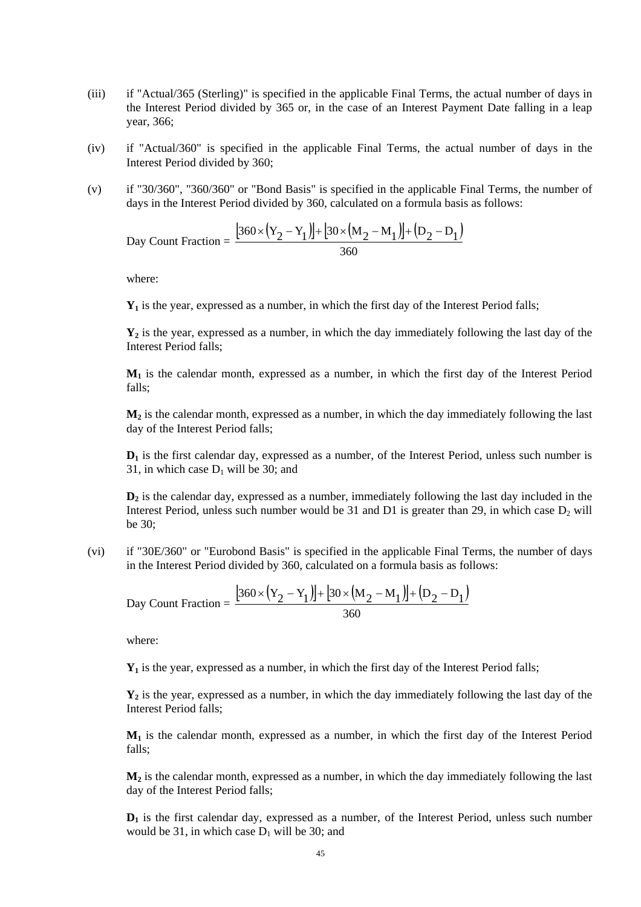- (iii) if "Actual/365 (Sterling)" is specified in the applicable Final Terms, the actual number of days in the Interest Period divided by 365 or, in the case of an Interest Payment Date falling in a leap year, 366;
- (iv) if "Actual/360" is specified in the applicable Final Terms, the actual number of days in the Interest Period divided by 360;
- (v) if "30/360", "360/360" or "Bond Basis" is specified in the applicable Final Terms, the number of days in the Interest Period divided by 360, calculated on a formula basis as follows:

Day Count Fraction = 
$$
\frac{[360 \times (Y_2 - Y_1)] + [30 \times (M_2 - M_1)] + (D_2 - D_1)}{360}
$$

where:

**Y1** is the year, expressed as a number, in which the first day of the Interest Period falls;

**Y2** is the year, expressed as a number, in which the day immediately following the last day of the Interest Period falls;

**M1** is the calendar month, expressed as a number, in which the first day of the Interest Period falls;

**M2** is the calendar month, expressed as a number, in which the day immediately following the last day of the Interest Period falls;

**D1** is the first calendar day, expressed as a number, of the Interest Period, unless such number is 31, in which case  $D_1$  will be 30; and

 **is the calendar day, expressed as a number, immediately following the last day included in the** Interest Period, unless such number would be 31 and D1 is greater than 29, in which case  $D_2$  will be 30;

(vi) if "30E/360" or "Eurobond Basis" is specified in the applicable Final Terms, the number of days in the Interest Period divided by 360, calculated on a formula basis as follows:

Day Count Fraction = 
$$
\frac{[360 \times (Y_2 - Y_1)] + [30 \times (M_2 - M_1)] + (D_2 - D_1)}{360}
$$

where:

**Y1** is the year, expressed as a number, in which the first day of the Interest Period falls;

**Y2** is the year, expressed as a number, in which the day immediately following the last day of the Interest Period falls;

**M1** is the calendar month, expressed as a number, in which the first day of the Interest Period falls;

 $M<sub>2</sub>$  is the calendar month, expressed as a number, in which the day immediately following the last day of the Interest Period falls;

**D1** is the first calendar day, expressed as a number, of the Interest Period, unless such number would be 31, in which case  $D_1$  will be 30; and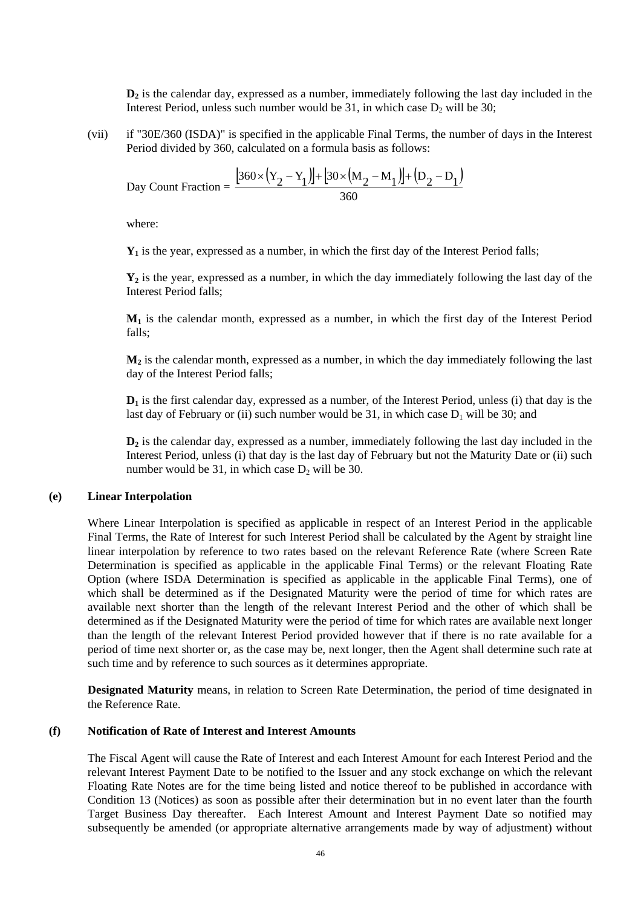**D2** is the calendar day, expressed as a number, immediately following the last day included in the Interest Period, unless such number would be 31, in which case  $D_2$  will be 30;

(vii) if "30E/360 (ISDA)" is specified in the applicable Final Terms, the number of days in the Interest Period divided by 360, calculated on a formula basis as follows:

Day Count Fraction = 
$$
\frac{\left[360 \times (Y_2 - Y_1)\right] + \left[30 \times (M_2 - M_1)\right] + (D_2 - D_1)}{360}
$$

where:

**Y1** is the year, expressed as a number, in which the first day of the Interest Period falls;

 $Y_2$  is the year, expressed as a number, in which the day immediately following the last day of the Interest Period falls;

**M1** is the calendar month, expressed as a number, in which the first day of the Interest Period falls;

 $M_2$  is the calendar month, expressed as a number, in which the day immediately following the last day of the Interest Period falls;

**D1** is the first calendar day, expressed as a number, of the Interest Period, unless (i) that day is the last day of February or (ii) such number would be 31, in which case  $D_1$  will be 30; and

**D<sub>2</sub>** is the calendar day, expressed as a number, immediately following the last day included in the Interest Period, unless (i) that day is the last day of February but not the Maturity Date or (ii) such number would be 31, in which case  $D_2$  will be 30.

#### **(e) Linear Interpolation**

Where Linear Interpolation is specified as applicable in respect of an Interest Period in the applicable Final Terms, the Rate of Interest for such Interest Period shall be calculated by the Agent by straight line linear interpolation by reference to two rates based on the relevant Reference Rate (where Screen Rate Determination is specified as applicable in the applicable Final Terms) or the relevant Floating Rate Option (where ISDA Determination is specified as applicable in the applicable Final Terms), one of which shall be determined as if the Designated Maturity were the period of time for which rates are available next shorter than the length of the relevant Interest Period and the other of which shall be determined as if the Designated Maturity were the period of time for which rates are available next longer than the length of the relevant Interest Period provided however that if there is no rate available for a period of time next shorter or, as the case may be, next longer, then the Agent shall determine such rate at such time and by reference to such sources as it determines appropriate.

**Designated Maturity** means, in relation to Screen Rate Determination, the period of time designated in the Reference Rate.

#### **(f) Notification of Rate of Interest and Interest Amounts**

The Fiscal Agent will cause the Rate of Interest and each Interest Amount for each Interest Period and the relevant Interest Payment Date to be notified to the Issuer and any stock exchange on which the relevant Floating Rate Notes are for the time being listed and notice thereof to be published in accordance with Condition 13 (Notices) as soon as possible after their determination but in no event later than the fourth Target Business Day thereafter. Each Interest Amount and Interest Payment Date so notified may subsequently be amended (or appropriate alternative arrangements made by way of adjustment) without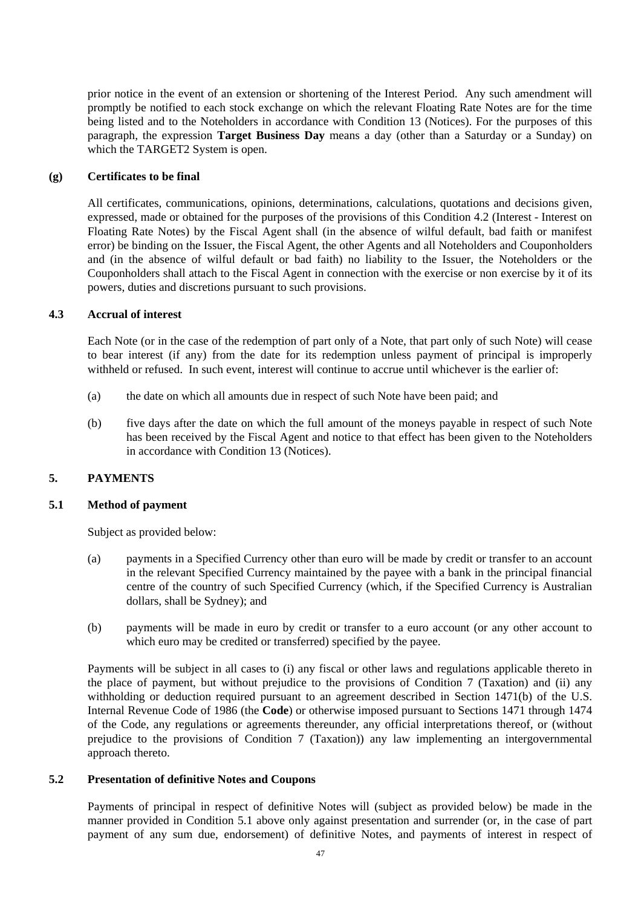prior notice in the event of an extension or shortening of the Interest Period. Any such amendment will promptly be notified to each stock exchange on which the relevant Floating Rate Notes are for the time being listed and to the Noteholders in accordance with Condition 13 (Notices). For the purposes of this paragraph, the expression **Target Business Day** means a day (other than a Saturday or a Sunday) on which the TARGET2 System is open.

## **(g) Certificates to be final**

All certificates, communications, opinions, determinations, calculations, quotations and decisions given, expressed, made or obtained for the purposes of the provisions of this Condition 4.2 (Interest - Interest on Floating Rate Notes) by the Fiscal Agent shall (in the absence of wilful default, bad faith or manifest error) be binding on the Issuer, the Fiscal Agent, the other Agents and all Noteholders and Couponholders and (in the absence of wilful default or bad faith) no liability to the Issuer, the Noteholders or the Couponholders shall attach to the Fiscal Agent in connection with the exercise or non exercise by it of its powers, duties and discretions pursuant to such provisions.

### **4.3 Accrual of interest**

Each Note (or in the case of the redemption of part only of a Note, that part only of such Note) will cease to bear interest (if any) from the date for its redemption unless payment of principal is improperly withheld or refused. In such event, interest will continue to accrue until whichever is the earlier of:

- (a) the date on which all amounts due in respect of such Note have been paid; and
- (b) five days after the date on which the full amount of the moneys payable in respect of such Note has been received by the Fiscal Agent and notice to that effect has been given to the Noteholders in accordance with Condition 13 (Notices).

## **5. PAYMENTS**

#### **5.1 Method of payment**

Subject as provided below:

- (a) payments in a Specified Currency other than euro will be made by credit or transfer to an account in the relevant Specified Currency maintained by the payee with a bank in the principal financial centre of the country of such Specified Currency (which, if the Specified Currency is Australian dollars, shall be Sydney); and
- (b) payments will be made in euro by credit or transfer to a euro account (or any other account to which euro may be credited or transferred) specified by the payee.

Payments will be subject in all cases to (i) any fiscal or other laws and regulations applicable thereto in the place of payment, but without prejudice to the provisions of Condition 7 (Taxation) and (ii) any withholding or deduction required pursuant to an agreement described in Section 1471(b) of the U.S. Internal Revenue Code of 1986 (the **Code**) or otherwise imposed pursuant to Sections 1471 through 1474 of the Code, any regulations or agreements thereunder, any official interpretations thereof, or (without prejudice to the provisions of Condition 7 (Taxation)) any law implementing an intergovernmental approach thereto.

### **5.2 Presentation of definitive Notes and Coupons**

Payments of principal in respect of definitive Notes will (subject as provided below) be made in the manner provided in Condition 5.1 above only against presentation and surrender (or, in the case of part payment of any sum due, endorsement) of definitive Notes, and payments of interest in respect of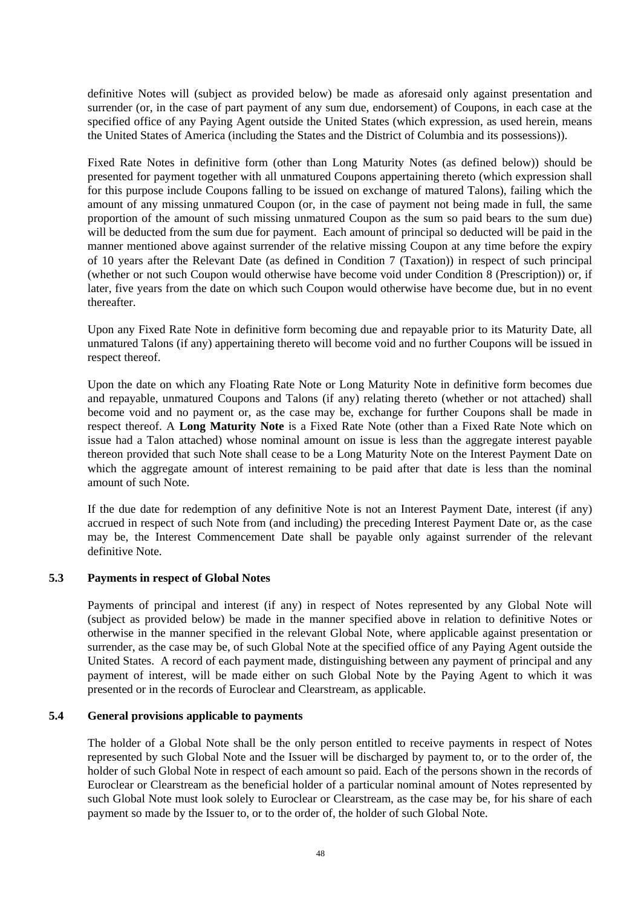definitive Notes will (subject as provided below) be made as aforesaid only against presentation and surrender (or, in the case of part payment of any sum due, endorsement) of Coupons, in each case at the specified office of any Paying Agent outside the United States (which expression, as used herein, means the United States of America (including the States and the District of Columbia and its possessions)).

Fixed Rate Notes in definitive form (other than Long Maturity Notes (as defined below)) should be presented for payment together with all unmatured Coupons appertaining thereto (which expression shall for this purpose include Coupons falling to be issued on exchange of matured Talons), failing which the amount of any missing unmatured Coupon (or, in the case of payment not being made in full, the same proportion of the amount of such missing unmatured Coupon as the sum so paid bears to the sum due) will be deducted from the sum due for payment. Each amount of principal so deducted will be paid in the manner mentioned above against surrender of the relative missing Coupon at any time before the expiry of 10 years after the Relevant Date (as defined in Condition 7 (Taxation)) in respect of such principal (whether or not such Coupon would otherwise have become void under Condition 8 (Prescription)) or, if later, five years from the date on which such Coupon would otherwise have become due, but in no event thereafter.

Upon any Fixed Rate Note in definitive form becoming due and repayable prior to its Maturity Date, all unmatured Talons (if any) appertaining thereto will become void and no further Coupons will be issued in respect thereof.

Upon the date on which any Floating Rate Note or Long Maturity Note in definitive form becomes due and repayable, unmatured Coupons and Talons (if any) relating thereto (whether or not attached) shall become void and no payment or, as the case may be, exchange for further Coupons shall be made in respect thereof. A **Long Maturity Note** is a Fixed Rate Note (other than a Fixed Rate Note which on issue had a Talon attached) whose nominal amount on issue is less than the aggregate interest payable thereon provided that such Note shall cease to be a Long Maturity Note on the Interest Payment Date on which the aggregate amount of interest remaining to be paid after that date is less than the nominal amount of such Note.

If the due date for redemption of any definitive Note is not an Interest Payment Date, interest (if any) accrued in respect of such Note from (and including) the preceding Interest Payment Date or, as the case may be, the Interest Commencement Date shall be payable only against surrender of the relevant definitive Note.

## **5.3 Payments in respect of Global Notes**

Payments of principal and interest (if any) in respect of Notes represented by any Global Note will (subject as provided below) be made in the manner specified above in relation to definitive Notes or otherwise in the manner specified in the relevant Global Note, where applicable against presentation or surrender, as the case may be, of such Global Note at the specified office of any Paying Agent outside the United States. A record of each payment made, distinguishing between any payment of principal and any payment of interest, will be made either on such Global Note by the Paying Agent to which it was presented or in the records of Euroclear and Clearstream, as applicable.

## **5.4 General provisions applicable to payments**

The holder of a Global Note shall be the only person entitled to receive payments in respect of Notes represented by such Global Note and the Issuer will be discharged by payment to, or to the order of, the holder of such Global Note in respect of each amount so paid. Each of the persons shown in the records of Euroclear or Clearstream as the beneficial holder of a particular nominal amount of Notes represented by such Global Note must look solely to Euroclear or Clearstream, as the case may be, for his share of each payment so made by the Issuer to, or to the order of, the holder of such Global Note.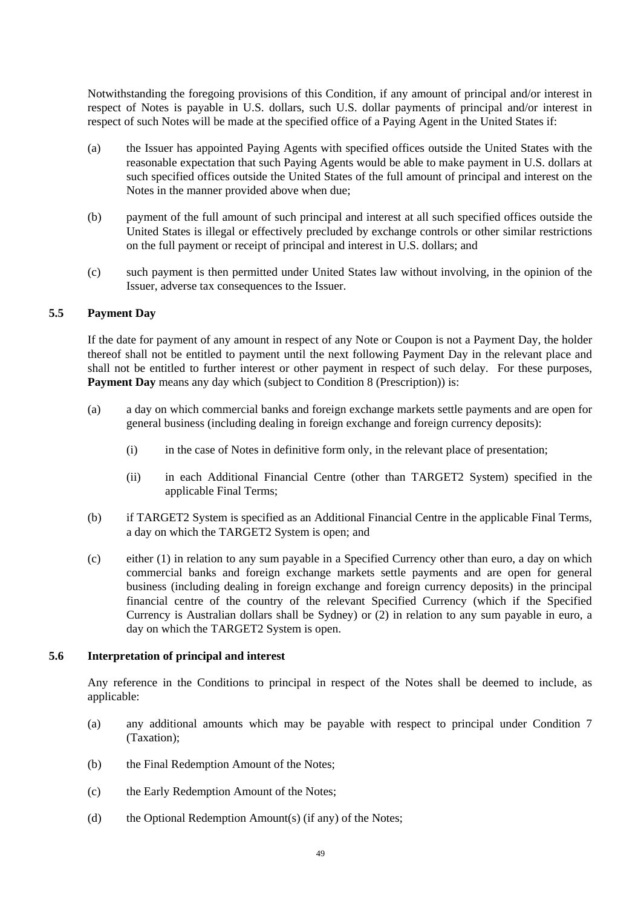Notwithstanding the foregoing provisions of this Condition, if any amount of principal and/or interest in respect of Notes is payable in U.S. dollars, such U.S. dollar payments of principal and/or interest in respect of such Notes will be made at the specified office of a Paying Agent in the United States if:

- (a) the Issuer has appointed Paying Agents with specified offices outside the United States with the reasonable expectation that such Paying Agents would be able to make payment in U.S. dollars at such specified offices outside the United States of the full amount of principal and interest on the Notes in the manner provided above when due;
- (b) payment of the full amount of such principal and interest at all such specified offices outside the United States is illegal or effectively precluded by exchange controls or other similar restrictions on the full payment or receipt of principal and interest in U.S. dollars; and
- (c) such payment is then permitted under United States law without involving, in the opinion of the Issuer, adverse tax consequences to the Issuer.

# **5.5 Payment Day**

If the date for payment of any amount in respect of any Note or Coupon is not a Payment Day, the holder thereof shall not be entitled to payment until the next following Payment Day in the relevant place and shall not be entitled to further interest or other payment in respect of such delay. For these purposes, **Payment Day** means any day which (subject to Condition 8 (Prescription)) is:

- (a) a day on which commercial banks and foreign exchange markets settle payments and are open for general business (including dealing in foreign exchange and foreign currency deposits):
	- (i) in the case of Notes in definitive form only, in the relevant place of presentation;
	- (ii) in each Additional Financial Centre (other than TARGET2 System) specified in the applicable Final Terms;
- (b) if TARGET2 System is specified as an Additional Financial Centre in the applicable Final Terms, a day on which the TARGET2 System is open; and
- (c) either (1) in relation to any sum payable in a Specified Currency other than euro, a day on which commercial banks and foreign exchange markets settle payments and are open for general business (including dealing in foreign exchange and foreign currency deposits) in the principal financial centre of the country of the relevant Specified Currency (which if the Specified Currency is Australian dollars shall be Sydney) or (2) in relation to any sum payable in euro, a day on which the TARGET2 System is open.

## **5.6 Interpretation of principal and interest**

Any reference in the Conditions to principal in respect of the Notes shall be deemed to include, as applicable:

- (a) any additional amounts which may be payable with respect to principal under Condition 7 (Taxation);
- (b) the Final Redemption Amount of the Notes;
- (c) the Early Redemption Amount of the Notes;
- (d) the Optional Redemption Amount(s) (if any) of the Notes;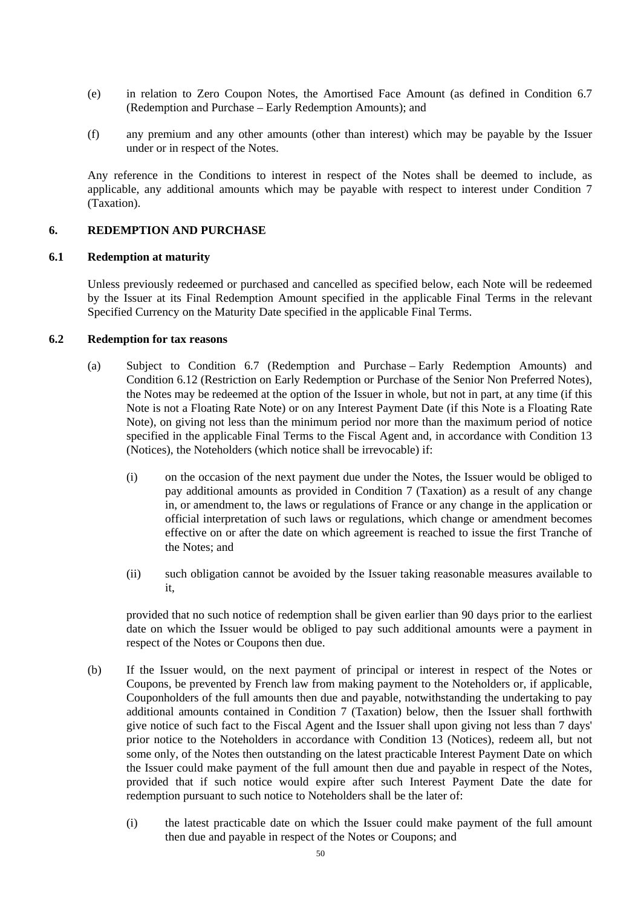- (e) in relation to Zero Coupon Notes, the Amortised Face Amount (as defined in Condition 6.7 (Redemption and Purchase – Early Redemption Amounts); and
- (f) any premium and any other amounts (other than interest) which may be payable by the Issuer under or in respect of the Notes.

Any reference in the Conditions to interest in respect of the Notes shall be deemed to include, as applicable, any additional amounts which may be payable with respect to interest under Condition 7 (Taxation).

# **6. REDEMPTION AND PURCHASE**

## **6.1 Redemption at maturity**

Unless previously redeemed or purchased and cancelled as specified below, each Note will be redeemed by the Issuer at its Final Redemption Amount specified in the applicable Final Terms in the relevant Specified Currency on the Maturity Date specified in the applicable Final Terms.

## **6.2 Redemption for tax reasons**

- (a) Subject to Condition 6.7 (Redemption and Purchase Early Redemption Amounts) and Condition 6.12 (Restriction on Early Redemption or Purchase of the Senior Non Preferred Notes), the Notes may be redeemed at the option of the Issuer in whole, but not in part, at any time (if this Note is not a Floating Rate Note) or on any Interest Payment Date (if this Note is a Floating Rate Note), on giving not less than the minimum period nor more than the maximum period of notice specified in the applicable Final Terms to the Fiscal Agent and, in accordance with Condition 13 (Notices), the Noteholders (which notice shall be irrevocable) if:
	- (i) on the occasion of the next payment due under the Notes, the Issuer would be obliged to pay additional amounts as provided in Condition 7 (Taxation) as a result of any change in, or amendment to, the laws or regulations of France or any change in the application or official interpretation of such laws or regulations, which change or amendment becomes effective on or after the date on which agreement is reached to issue the first Tranche of the Notes; and
	- (ii) such obligation cannot be avoided by the Issuer taking reasonable measures available to it,

provided that no such notice of redemption shall be given earlier than 90 days prior to the earliest date on which the Issuer would be obliged to pay such additional amounts were a payment in respect of the Notes or Coupons then due.

- (b) If the Issuer would, on the next payment of principal or interest in respect of the Notes or Coupons, be prevented by French law from making payment to the Noteholders or, if applicable, Couponholders of the full amounts then due and payable, notwithstanding the undertaking to pay additional amounts contained in Condition 7 (Taxation) below, then the Issuer shall forthwith give notice of such fact to the Fiscal Agent and the Issuer shall upon giving not less than 7 days' prior notice to the Noteholders in accordance with Condition 13 (Notices), redeem all, but not some only, of the Notes then outstanding on the latest practicable Interest Payment Date on which the Issuer could make payment of the full amount then due and payable in respect of the Notes, provided that if such notice would expire after such Interest Payment Date the date for redemption pursuant to such notice to Noteholders shall be the later of:
	- (i) the latest practicable date on which the Issuer could make payment of the full amount then due and payable in respect of the Notes or Coupons; and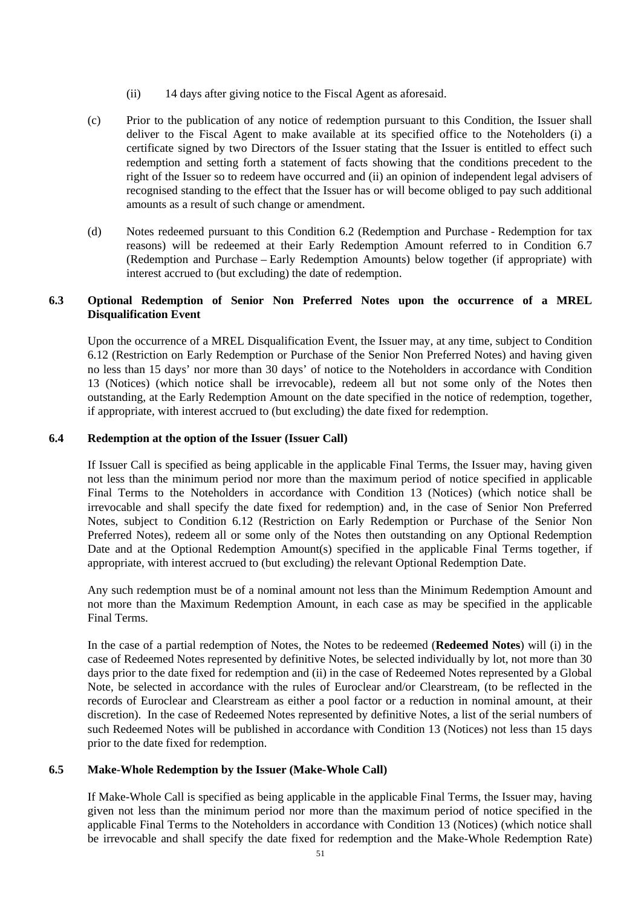- (ii) 14 days after giving notice to the Fiscal Agent as aforesaid.
- (c) Prior to the publication of any notice of redemption pursuant to this Condition, the Issuer shall deliver to the Fiscal Agent to make available at its specified office to the Noteholders (i) a certificate signed by two Directors of the Issuer stating that the Issuer is entitled to effect such redemption and setting forth a statement of facts showing that the conditions precedent to the right of the Issuer so to redeem have occurred and (ii) an opinion of independent legal advisers of recognised standing to the effect that the Issuer has or will become obliged to pay such additional amounts as a result of such change or amendment.
- (d) Notes redeemed pursuant to this Condition 6.2 (Redemption and Purchase Redemption for tax reasons) will be redeemed at their Early Redemption Amount referred to in Condition 6.7 (Redemption and Purchase – Early Redemption Amounts) below together (if appropriate) with interest accrued to (but excluding) the date of redemption.

# **6.3 Optional Redemption of Senior Non Preferred Notes upon the occurrence of a MREL Disqualification Event**

Upon the occurrence of a MREL Disqualification Event, the Issuer may, at any time, subject to Condition 6.12 (Restriction on Early Redemption or Purchase of the Senior Non Preferred Notes) and having given no less than 15 days' nor more than 30 days' of notice to the Noteholders in accordance with Condition 13 (Notices) (which notice shall be irrevocable), redeem all but not some only of the Notes then outstanding, at the Early Redemption Amount on the date specified in the notice of redemption, together, if appropriate, with interest accrued to (but excluding) the date fixed for redemption.

# **6.4 Redemption at the option of the Issuer (Issuer Call)**

If Issuer Call is specified as being applicable in the applicable Final Terms, the Issuer may, having given not less than the minimum period nor more than the maximum period of notice specified in applicable Final Terms to the Noteholders in accordance with Condition 13 (Notices) (which notice shall be irrevocable and shall specify the date fixed for redemption) and, in the case of Senior Non Preferred Notes, subject to Condition 6.12 (Restriction on Early Redemption or Purchase of the Senior Non Preferred Notes), redeem all or some only of the Notes then outstanding on any Optional Redemption Date and at the Optional Redemption Amount(s) specified in the applicable Final Terms together, if appropriate, with interest accrued to (but excluding) the relevant Optional Redemption Date.

Any such redemption must be of a nominal amount not less than the Minimum Redemption Amount and not more than the Maximum Redemption Amount, in each case as may be specified in the applicable Final Terms.

In the case of a partial redemption of Notes, the Notes to be redeemed (**Redeemed Notes**) will (i) in the case of Redeemed Notes represented by definitive Notes, be selected individually by lot, not more than 30 days prior to the date fixed for redemption and (ii) in the case of Redeemed Notes represented by a Global Note, be selected in accordance with the rules of Euroclear and/or Clearstream, (to be reflected in the records of Euroclear and Clearstream as either a pool factor or a reduction in nominal amount, at their discretion). In the case of Redeemed Notes represented by definitive Notes, a list of the serial numbers of such Redeemed Notes will be published in accordance with Condition 13 (Notices) not less than 15 days prior to the date fixed for redemption.

## **6.5 Make-Whole Redemption by the Issuer (Make-Whole Call)**

If Make-Whole Call is specified as being applicable in the applicable Final Terms, the Issuer may, having given not less than the minimum period nor more than the maximum period of notice specified in the applicable Final Terms to the Noteholders in accordance with Condition 13 (Notices) (which notice shall be irrevocable and shall specify the date fixed for redemption and the Make-Whole Redemption Rate)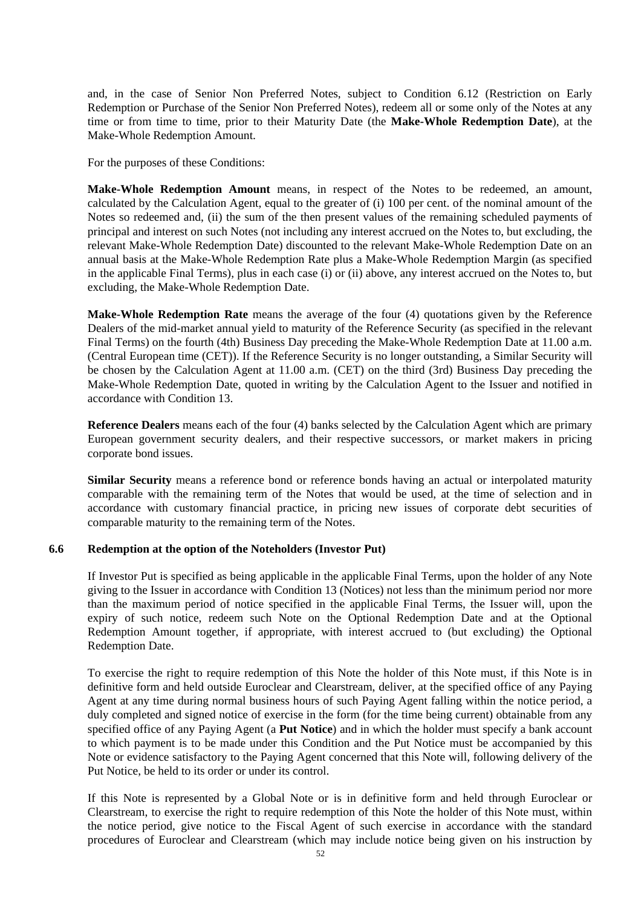and, in the case of Senior Non Preferred Notes, subject to Condition 6.12 (Restriction on Early Redemption or Purchase of the Senior Non Preferred Notes), redeem all or some only of the Notes at any time or from time to time, prior to their Maturity Date (the **Make-Whole Redemption Date**), at the Make-Whole Redemption Amount.

For the purposes of these Conditions:

**Make-Whole Redemption Amount** means, in respect of the Notes to be redeemed, an amount, calculated by the Calculation Agent, equal to the greater of (i) 100 per cent. of the nominal amount of the Notes so redeemed and, (ii) the sum of the then present values of the remaining scheduled payments of principal and interest on such Notes (not including any interest accrued on the Notes to, but excluding, the relevant Make-Whole Redemption Date) discounted to the relevant Make-Whole Redemption Date on an annual basis at the Make-Whole Redemption Rate plus a Make-Whole Redemption Margin (as specified in the applicable Final Terms), plus in each case (i) or (ii) above, any interest accrued on the Notes to, but excluding, the Make-Whole Redemption Date.

**Make-Whole Redemption Rate** means the average of the four (4) quotations given by the Reference Dealers of the mid-market annual yield to maturity of the Reference Security (as specified in the relevant Final Terms) on the fourth (4th) Business Day preceding the Make-Whole Redemption Date at 11.00 a.m. (Central European time (CET)). If the Reference Security is no longer outstanding, a Similar Security will be chosen by the Calculation Agent at 11.00 a.m. (CET) on the third (3rd) Business Day preceding the Make-Whole Redemption Date, quoted in writing by the Calculation Agent to the Issuer and notified in accordance with Condition 13.

**Reference Dealers** means each of the four (4) banks selected by the Calculation Agent which are primary European government security dealers, and their respective successors, or market makers in pricing corporate bond issues.

**Similar Security** means a reference bond or reference bonds having an actual or interpolated maturity comparable with the remaining term of the Notes that would be used, at the time of selection and in accordance with customary financial practice, in pricing new issues of corporate debt securities of comparable maturity to the remaining term of the Notes.

## **6.6 Redemption at the option of the Noteholders (Investor Put)**

If Investor Put is specified as being applicable in the applicable Final Terms, upon the holder of any Note giving to the Issuer in accordance with Condition 13 (Notices) not less than the minimum period nor more than the maximum period of notice specified in the applicable Final Terms, the Issuer will, upon the expiry of such notice, redeem such Note on the Optional Redemption Date and at the Optional Redemption Amount together, if appropriate, with interest accrued to (but excluding) the Optional Redemption Date.

To exercise the right to require redemption of this Note the holder of this Note must, if this Note is in definitive form and held outside Euroclear and Clearstream, deliver, at the specified office of any Paying Agent at any time during normal business hours of such Paying Agent falling within the notice period, a duly completed and signed notice of exercise in the form (for the time being current) obtainable from any specified office of any Paying Agent (a **Put Notice**) and in which the holder must specify a bank account to which payment is to be made under this Condition and the Put Notice must be accompanied by this Note or evidence satisfactory to the Paying Agent concerned that this Note will, following delivery of the Put Notice, be held to its order or under its control.

If this Note is represented by a Global Note or is in definitive form and held through Euroclear or Clearstream, to exercise the right to require redemption of this Note the holder of this Note must, within the notice period, give notice to the Fiscal Agent of such exercise in accordance with the standard procedures of Euroclear and Clearstream (which may include notice being given on his instruction by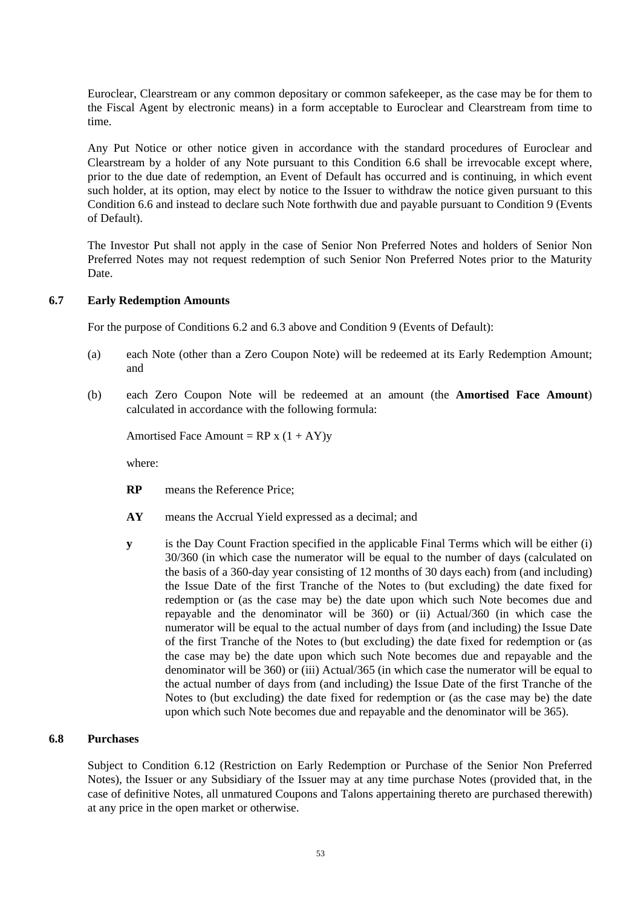Euroclear, Clearstream or any common depositary or common safekeeper, as the case may be for them to the Fiscal Agent by electronic means) in a form acceptable to Euroclear and Clearstream from time to time.

Any Put Notice or other notice given in accordance with the standard procedures of Euroclear and Clearstream by a holder of any Note pursuant to this Condition 6.6 shall be irrevocable except where, prior to the due date of redemption, an Event of Default has occurred and is continuing, in which event such holder, at its option, may elect by notice to the Issuer to withdraw the notice given pursuant to this Condition 6.6 and instead to declare such Note forthwith due and payable pursuant to Condition 9 (Events of Default).

The Investor Put shall not apply in the case of Senior Non Preferred Notes and holders of Senior Non Preferred Notes may not request redemption of such Senior Non Preferred Notes prior to the Maturity Date.

## **6.7 Early Redemption Amounts**

For the purpose of Conditions 6.2 and 6.3 above and Condition 9 (Events of Default):

- (a) each Note (other than a Zero Coupon Note) will be redeemed at its Early Redemption Amount; and
- (b) each Zero Coupon Note will be redeemed at an amount (the **Amortised Face Amount**) calculated in accordance with the following formula:

Amortised Face Amount =  $RP x (1 + AY)y$ 

where:

- **RP** means the Reference Price;
- **AY** means the Accrual Yield expressed as a decimal; and
- **y** is the Day Count Fraction specified in the applicable Final Terms which will be either (i) 30/360 (in which case the numerator will be equal to the number of days (calculated on the basis of a 360-day year consisting of 12 months of 30 days each) from (and including) the Issue Date of the first Tranche of the Notes to (but excluding) the date fixed for redemption or (as the case may be) the date upon which such Note becomes due and repayable and the denominator will be 360) or (ii) Actual/360 (in which case the numerator will be equal to the actual number of days from (and including) the Issue Date of the first Tranche of the Notes to (but excluding) the date fixed for redemption or (as the case may be) the date upon which such Note becomes due and repayable and the denominator will be 360) or (iii) Actual/365 (in which case the numerator will be equal to the actual number of days from (and including) the Issue Date of the first Tranche of the Notes to (but excluding) the date fixed for redemption or (as the case may be) the date upon which such Note becomes due and repayable and the denominator will be 365).

## **6.8 Purchases**

Subject to Condition 6.12 (Restriction on Early Redemption or Purchase of the Senior Non Preferred Notes), the Issuer or any Subsidiary of the Issuer may at any time purchase Notes (provided that, in the case of definitive Notes, all unmatured Coupons and Talons appertaining thereto are purchased therewith) at any price in the open market or otherwise.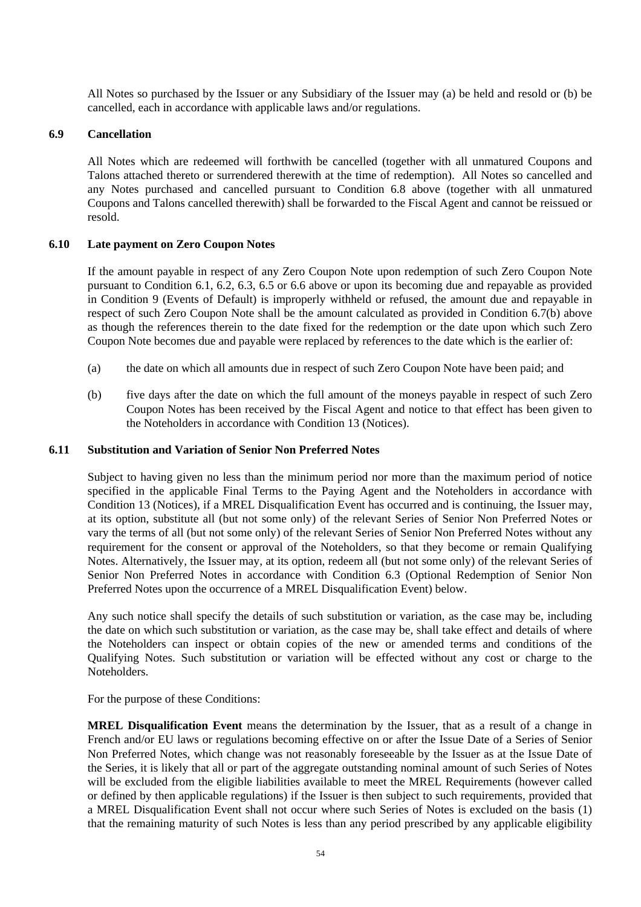All Notes so purchased by the Issuer or any Subsidiary of the Issuer may (a) be held and resold or (b) be cancelled, each in accordance with applicable laws and/or regulations.

## **6.9 Cancellation**

All Notes which are redeemed will forthwith be cancelled (together with all unmatured Coupons and Talons attached thereto or surrendered therewith at the time of redemption). All Notes so cancelled and any Notes purchased and cancelled pursuant to Condition 6.8 above (together with all unmatured Coupons and Talons cancelled therewith) shall be forwarded to the Fiscal Agent and cannot be reissued or resold.

# **6.10 Late payment on Zero Coupon Notes**

If the amount payable in respect of any Zero Coupon Note upon redemption of such Zero Coupon Note pursuant to Condition 6.1, 6.2, 6.3, 6.5 or 6.6 above or upon its becoming due and repayable as provided in Condition 9 (Events of Default) is improperly withheld or refused, the amount due and repayable in respect of such Zero Coupon Note shall be the amount calculated as provided in Condition 6.7(b) above as though the references therein to the date fixed for the redemption or the date upon which such Zero Coupon Note becomes due and payable were replaced by references to the date which is the earlier of:

- (a) the date on which all amounts due in respect of such Zero Coupon Note have been paid; and
- (b) five days after the date on which the full amount of the moneys payable in respect of such Zero Coupon Notes has been received by the Fiscal Agent and notice to that effect has been given to the Noteholders in accordance with Condition 13 (Notices).

## **6.11 Substitution and Variation of Senior Non Preferred Notes**

Subject to having given no less than the minimum period nor more than the maximum period of notice specified in the applicable Final Terms to the Paying Agent and the Noteholders in accordance with Condition 13 (Notices), if a MREL Disqualification Event has occurred and is continuing, the Issuer may, at its option, substitute all (but not some only) of the relevant Series of Senior Non Preferred Notes or vary the terms of all (but not some only) of the relevant Series of Senior Non Preferred Notes without any requirement for the consent or approval of the Noteholders, so that they become or remain Qualifying Notes. Alternatively, the Issuer may, at its option, redeem all (but not some only) of the relevant Series of Senior Non Preferred Notes in accordance with Condition 6.3 (Optional Redemption of Senior Non Preferred Notes upon the occurrence of a MREL Disqualification Event) below.

Any such notice shall specify the details of such substitution or variation, as the case may be, including the date on which such substitution or variation, as the case may be, shall take effect and details of where the Noteholders can inspect or obtain copies of the new or amended terms and conditions of the Qualifying Notes. Such substitution or variation will be effected without any cost or charge to the Noteholders.

For the purpose of these Conditions:

**MREL Disqualification Event** means the determination by the Issuer, that as a result of a change in French and/or EU laws or regulations becoming effective on or after the Issue Date of a Series of Senior Non Preferred Notes, which change was not reasonably foreseeable by the Issuer as at the Issue Date of the Series, it is likely that all or part of the aggregate outstanding nominal amount of such Series of Notes will be excluded from the eligible liabilities available to meet the MREL Requirements (however called or defined by then applicable regulations) if the Issuer is then subject to such requirements, provided that a MREL Disqualification Event shall not occur where such Series of Notes is excluded on the basis (1) that the remaining maturity of such Notes is less than any period prescribed by any applicable eligibility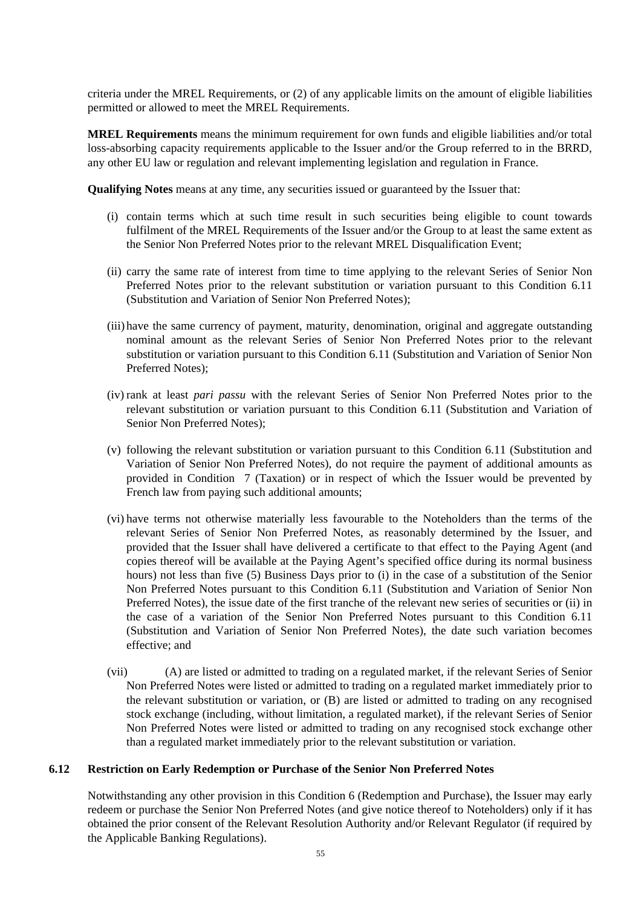criteria under the MREL Requirements, or (2) of any applicable limits on the amount of eligible liabilities permitted or allowed to meet the MREL Requirements.

**MREL Requirements** means the minimum requirement for own funds and eligible liabilities and/or total loss-absorbing capacity requirements applicable to the Issuer and/or the Group referred to in the BRRD, any other EU law or regulation and relevant implementing legislation and regulation in France.

**Qualifying Notes** means at any time, any securities issued or guaranteed by the Issuer that:

- (i) contain terms which at such time result in such securities being eligible to count towards fulfilment of the MREL Requirements of the Issuer and/or the Group to at least the same extent as the Senior Non Preferred Notes prior to the relevant MREL Disqualification Event;
- (ii) carry the same rate of interest from time to time applying to the relevant Series of Senior Non Preferred Notes prior to the relevant substitution or variation pursuant to this Condition 6.11 (Substitution and Variation of Senior Non Preferred Notes);
- (iii) have the same currency of payment, maturity, denomination, original and aggregate outstanding nominal amount as the relevant Series of Senior Non Preferred Notes prior to the relevant substitution or variation pursuant to this Condition 6.11 (Substitution and Variation of Senior Non Preferred Notes);
- (iv) rank at least *pari passu* with the relevant Series of Senior Non Preferred Notes prior to the relevant substitution or variation pursuant to this Condition 6.11 (Substitution and Variation of Senior Non Preferred Notes);
- (v) following the relevant substitution or variation pursuant to this Condition 6.11 (Substitution and Variation of Senior Non Preferred Notes), do not require the payment of additional amounts as provided in Condition 7 (Taxation) or in respect of which the Issuer would be prevented by French law from paying such additional amounts;
- (vi) have terms not otherwise materially less favourable to the Noteholders than the terms of the relevant Series of Senior Non Preferred Notes, as reasonably determined by the Issuer, and provided that the Issuer shall have delivered a certificate to that effect to the Paying Agent (and copies thereof will be available at the Paying Agent's specified office during its normal business hours) not less than five (5) Business Days prior to (i) in the case of a substitution of the Senior Non Preferred Notes pursuant to this Condition 6.11 (Substitution and Variation of Senior Non Preferred Notes), the issue date of the first tranche of the relevant new series of securities or (ii) in the case of a variation of the Senior Non Preferred Notes pursuant to this Condition 6.11 (Substitution and Variation of Senior Non Preferred Notes), the date such variation becomes effective; and
- (vii) (A) are listed or admitted to trading on a regulated market, if the relevant Series of Senior Non Preferred Notes were listed or admitted to trading on a regulated market immediately prior to the relevant substitution or variation, or (B) are listed or admitted to trading on any recognised stock exchange (including, without limitation, a regulated market), if the relevant Series of Senior Non Preferred Notes were listed or admitted to trading on any recognised stock exchange other than a regulated market immediately prior to the relevant substitution or variation.

## **6.12 Restriction on Early Redemption or Purchase of the Senior Non Preferred Notes**

Notwithstanding any other provision in this Condition 6 (Redemption and Purchase), the Issuer may early redeem or purchase the Senior Non Preferred Notes (and give notice thereof to Noteholders) only if it has obtained the prior consent of the Relevant Resolution Authority and/or Relevant Regulator (if required by the Applicable Banking Regulations).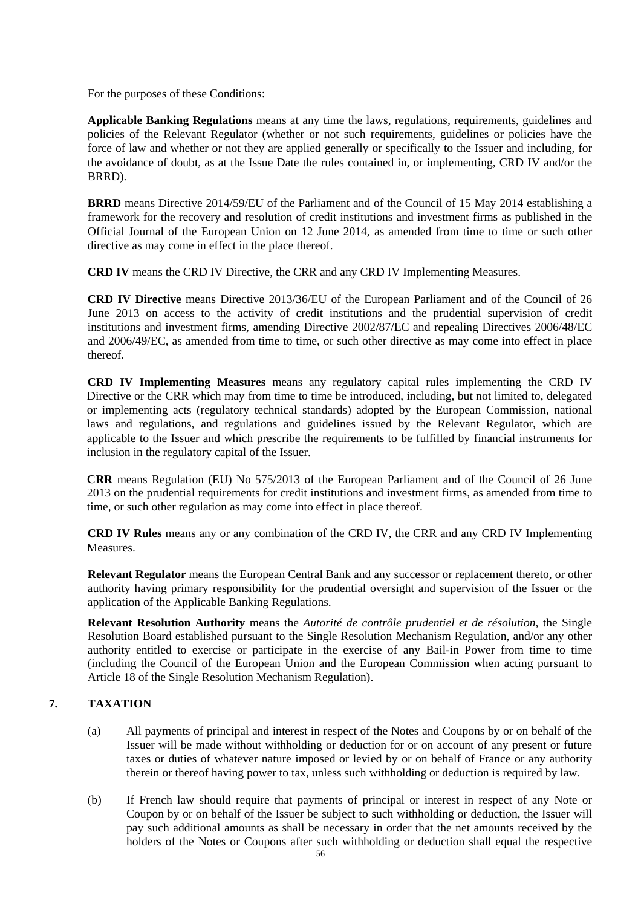For the purposes of these Conditions:

**Applicable Banking Regulations** means at any time the laws, regulations, requirements, guidelines and policies of the Relevant Regulator (whether or not such requirements, guidelines or policies have the force of law and whether or not they are applied generally or specifically to the Issuer and including, for the avoidance of doubt, as at the Issue Date the rules contained in, or implementing, CRD IV and/or the BRRD).

**BRRD** means Directive 2014/59/EU of the Parliament and of the Council of 15 May 2014 establishing a framework for the recovery and resolution of credit institutions and investment firms as published in the Official Journal of the European Union on 12 June 2014, as amended from time to time or such other directive as may come in effect in the place thereof.

**CRD IV** means the CRD IV Directive, the CRR and any CRD IV Implementing Measures.

**CRD IV Directive** means Directive 2013/36/EU of the European Parliament and of the Council of 26 June 2013 on access to the activity of credit institutions and the prudential supervision of credit institutions and investment firms, amending Directive 2002/87/EC and repealing Directives 2006/48/EC and 2006/49/EC, as amended from time to time, or such other directive as may come into effect in place thereof.

**CRD IV Implementing Measures** means any regulatory capital rules implementing the CRD IV Directive or the CRR which may from time to time be introduced, including, but not limited to, delegated or implementing acts (regulatory technical standards) adopted by the European Commission, national laws and regulations, and regulations and guidelines issued by the Relevant Regulator, which are applicable to the Issuer and which prescribe the requirements to be fulfilled by financial instruments for inclusion in the regulatory capital of the Issuer.

**CRR** means Regulation (EU) No 575/2013 of the European Parliament and of the Council of 26 June 2013 on the prudential requirements for credit institutions and investment firms, as amended from time to time, or such other regulation as may come into effect in place thereof.

**CRD IV Rules** means any or any combination of the CRD IV, the CRR and any CRD IV Implementing Measures.

**Relevant Regulator** means the European Central Bank and any successor or replacement thereto, or other authority having primary responsibility for the prudential oversight and supervision of the Issuer or the application of the Applicable Banking Regulations.

**Relevant Resolution Authority** means the *Autorité de contrôle prudentiel et de résolution*, the Single Resolution Board established pursuant to the Single Resolution Mechanism Regulation, and/or any other authority entitled to exercise or participate in the exercise of any Bail-in Power from time to time (including the Council of the European Union and the European Commission when acting pursuant to Article 18 of the Single Resolution Mechanism Regulation).

# **7. TAXATION**

- (a) All payments of principal and interest in respect of the Notes and Coupons by or on behalf of the Issuer will be made without withholding or deduction for or on account of any present or future taxes or duties of whatever nature imposed or levied by or on behalf of France or any authority therein or thereof having power to tax, unless such withholding or deduction is required by law.
- (b) If French law should require that payments of principal or interest in respect of any Note or Coupon by or on behalf of the Issuer be subject to such withholding or deduction, the Issuer will pay such additional amounts as shall be necessary in order that the net amounts received by the holders of the Notes or Coupons after such withholding or deduction shall equal the respective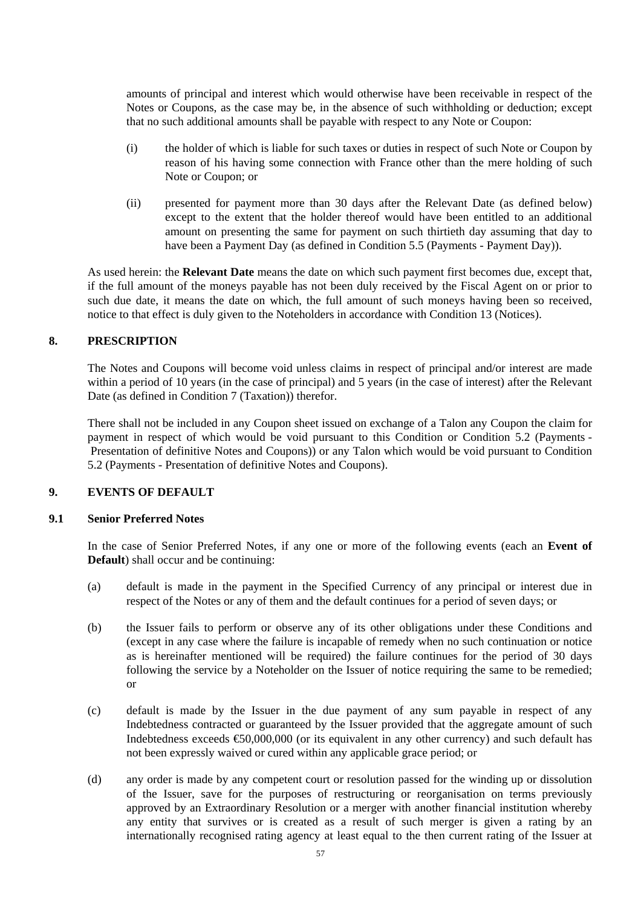amounts of principal and interest which would otherwise have been receivable in respect of the Notes or Coupons, as the case may be, in the absence of such withholding or deduction; except that no such additional amounts shall be payable with respect to any Note or Coupon:

- (i) the holder of which is liable for such taxes or duties in respect of such Note or Coupon by reason of his having some connection with France other than the mere holding of such Note or Coupon; or
- (ii) presented for payment more than 30 days after the Relevant Date (as defined below) except to the extent that the holder thereof would have been entitled to an additional amount on presenting the same for payment on such thirtieth day assuming that day to have been a Payment Day (as defined in Condition 5.5 (Payments - Payment Day)).

As used herein: the **Relevant Date** means the date on which such payment first becomes due, except that, if the full amount of the moneys payable has not been duly received by the Fiscal Agent on or prior to such due date, it means the date on which, the full amount of such moneys having been so received, notice to that effect is duly given to the Noteholders in accordance with Condition 13 (Notices).

# **8. PRESCRIPTION**

The Notes and Coupons will become void unless claims in respect of principal and/or interest are made within a period of 10 years (in the case of principal) and 5 years (in the case of interest) after the Relevant Date (as defined in Condition 7 (Taxation)) therefor.

There shall not be included in any Coupon sheet issued on exchange of a Talon any Coupon the claim for payment in respect of which would be void pursuant to this Condition or Condition 5.2 (Payments - Presentation of definitive Notes and Coupons)) or any Talon which would be void pursuant to Condition 5.2 (Payments - Presentation of definitive Notes and Coupons).

# **9. EVENTS OF DEFAULT**

## **9.1 Senior Preferred Notes**

In the case of Senior Preferred Notes, if any one or more of the following events (each an **Event of Default**) shall occur and be continuing:

- (a) default is made in the payment in the Specified Currency of any principal or interest due in respect of the Notes or any of them and the default continues for a period of seven days; or
- (b) the Issuer fails to perform or observe any of its other obligations under these Conditions and (except in any case where the failure is incapable of remedy when no such continuation or notice as is hereinafter mentioned will be required) the failure continues for the period of 30 days following the service by a Noteholder on the Issuer of notice requiring the same to be remedied; or
- (c) default is made by the Issuer in the due payment of any sum payable in respect of any Indebtedness contracted or guaranteed by the Issuer provided that the aggregate amount of such Indebtedness exceeds €50,000,000 (or its equivalent in any other currency) and such default has not been expressly waived or cured within any applicable grace period; or
- (d) any order is made by any competent court or resolution passed for the winding up or dissolution of the Issuer, save for the purposes of restructuring or reorganisation on terms previously approved by an Extraordinary Resolution or a merger with another financial institution whereby any entity that survives or is created as a result of such merger is given a rating by an internationally recognised rating agency at least equal to the then current rating of the Issuer at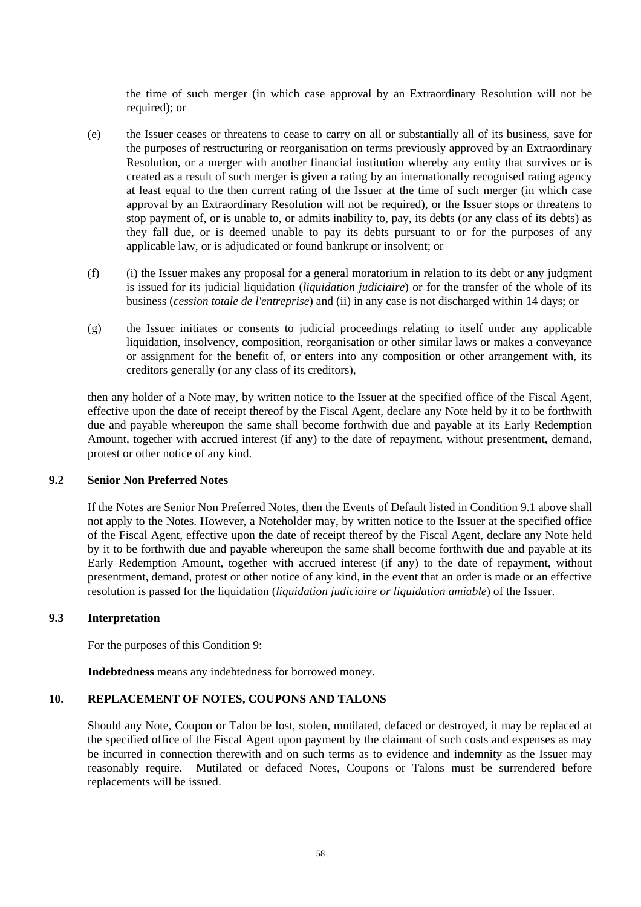the time of such merger (in which case approval by an Extraordinary Resolution will not be required); or

- (e) the Issuer ceases or threatens to cease to carry on all or substantially all of its business, save for the purposes of restructuring or reorganisation on terms previously approved by an Extraordinary Resolution, or a merger with another financial institution whereby any entity that survives or is created as a result of such merger is given a rating by an internationally recognised rating agency at least equal to the then current rating of the Issuer at the time of such merger (in which case approval by an Extraordinary Resolution will not be required), or the Issuer stops or threatens to stop payment of, or is unable to, or admits inability to, pay, its debts (or any class of its debts) as they fall due, or is deemed unable to pay its debts pursuant to or for the purposes of any applicable law, or is adjudicated or found bankrupt or insolvent; or
- (f) (i) the Issuer makes any proposal for a general moratorium in relation to its debt or any judgment is issued for its judicial liquidation (*liquidation judiciaire*) or for the transfer of the whole of its business (*cession totale de l'entreprise*) and (ii) in any case is not discharged within 14 days; or
- (g) the Issuer initiates or consents to judicial proceedings relating to itself under any applicable liquidation, insolvency, composition, reorganisation or other similar laws or makes a conveyance or assignment for the benefit of, or enters into any composition or other arrangement with, its creditors generally (or any class of its creditors),

then any holder of a Note may, by written notice to the Issuer at the specified office of the Fiscal Agent, effective upon the date of receipt thereof by the Fiscal Agent, declare any Note held by it to be forthwith due and payable whereupon the same shall become forthwith due and payable at its Early Redemption Amount, together with accrued interest (if any) to the date of repayment, without presentment, demand, protest or other notice of any kind.

# **9.2 Senior Non Preferred Notes**

If the Notes are Senior Non Preferred Notes, then the Events of Default listed in Condition 9.1 above shall not apply to the Notes. However, a Noteholder may, by written notice to the Issuer at the specified office of the Fiscal Agent, effective upon the date of receipt thereof by the Fiscal Agent, declare any Note held by it to be forthwith due and payable whereupon the same shall become forthwith due and payable at its Early Redemption Amount, together with accrued interest (if any) to the date of repayment, without presentment, demand, protest or other notice of any kind, in the event that an order is made or an effective resolution is passed for the liquidation (*liquidation judiciaire or liquidation amiable*) of the Issuer.

#### **9.3 Interpretation**

For the purposes of this Condition 9:

**Indebtedness** means any indebtedness for borrowed money.

## **10. REPLACEMENT OF NOTES, COUPONS AND TALONS**

Should any Note, Coupon or Talon be lost, stolen, mutilated, defaced or destroyed, it may be replaced at the specified office of the Fiscal Agent upon payment by the claimant of such costs and expenses as may be incurred in connection therewith and on such terms as to evidence and indemnity as the Issuer may reasonably require. Mutilated or defaced Notes, Coupons or Talons must be surrendered before replacements will be issued.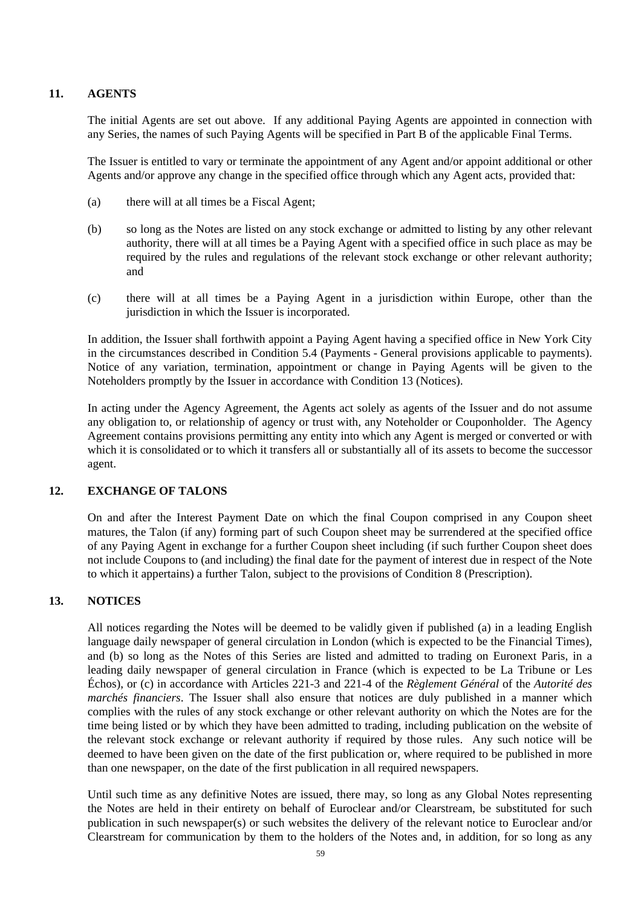# **11. AGENTS**

The initial Agents are set out above. If any additional Paying Agents are appointed in connection with any Series, the names of such Paying Agents will be specified in Part B of the applicable Final Terms.

The Issuer is entitled to vary or terminate the appointment of any Agent and/or appoint additional or other Agents and/or approve any change in the specified office through which any Agent acts, provided that:

- (a) there will at all times be a Fiscal Agent;
- (b) so long as the Notes are listed on any stock exchange or admitted to listing by any other relevant authority, there will at all times be a Paying Agent with a specified office in such place as may be required by the rules and regulations of the relevant stock exchange or other relevant authority; and
- (c) there will at all times be a Paying Agent in a jurisdiction within Europe, other than the jurisdiction in which the Issuer is incorporated.

In addition, the Issuer shall forthwith appoint a Paying Agent having a specified office in New York City in the circumstances described in Condition 5.4 (Payments - General provisions applicable to payments). Notice of any variation, termination, appointment or change in Paying Agents will be given to the Noteholders promptly by the Issuer in accordance with Condition 13 (Notices).

In acting under the Agency Agreement, the Agents act solely as agents of the Issuer and do not assume any obligation to, or relationship of agency or trust with, any Noteholder or Couponholder. The Agency Agreement contains provisions permitting any entity into which any Agent is merged or converted or with which it is consolidated or to which it transfers all or substantially all of its assets to become the successor agent.

## **12. EXCHANGE OF TALONS**

On and after the Interest Payment Date on which the final Coupon comprised in any Coupon sheet matures, the Talon (if any) forming part of such Coupon sheet may be surrendered at the specified office of any Paying Agent in exchange for a further Coupon sheet including (if such further Coupon sheet does not include Coupons to (and including) the final date for the payment of interest due in respect of the Note to which it appertains) a further Talon, subject to the provisions of Condition 8 (Prescription).

## **13. NOTICES**

All notices regarding the Notes will be deemed to be validly given if published (a) in a leading English language daily newspaper of general circulation in London (which is expected to be the Financial Times), and (b) so long as the Notes of this Series are listed and admitted to trading on Euronext Paris, in a leading daily newspaper of general circulation in France (which is expected to be La Tribune or Les Échos), or (c) in accordance with Articles 221-3 and 221-4 of the *Règlement Général* of the *Autorité des marchés financiers*. The Issuer shall also ensure that notices are duly published in a manner which complies with the rules of any stock exchange or other relevant authority on which the Notes are for the time being listed or by which they have been admitted to trading, including publication on the website of the relevant stock exchange or relevant authority if required by those rules. Any such notice will be deemed to have been given on the date of the first publication or, where required to be published in more than one newspaper, on the date of the first publication in all required newspapers.

Until such time as any definitive Notes are issued, there may, so long as any Global Notes representing the Notes are held in their entirety on behalf of Euroclear and/or Clearstream, be substituted for such publication in such newspaper(s) or such websites the delivery of the relevant notice to Euroclear and/or Clearstream for communication by them to the holders of the Notes and, in addition, for so long as any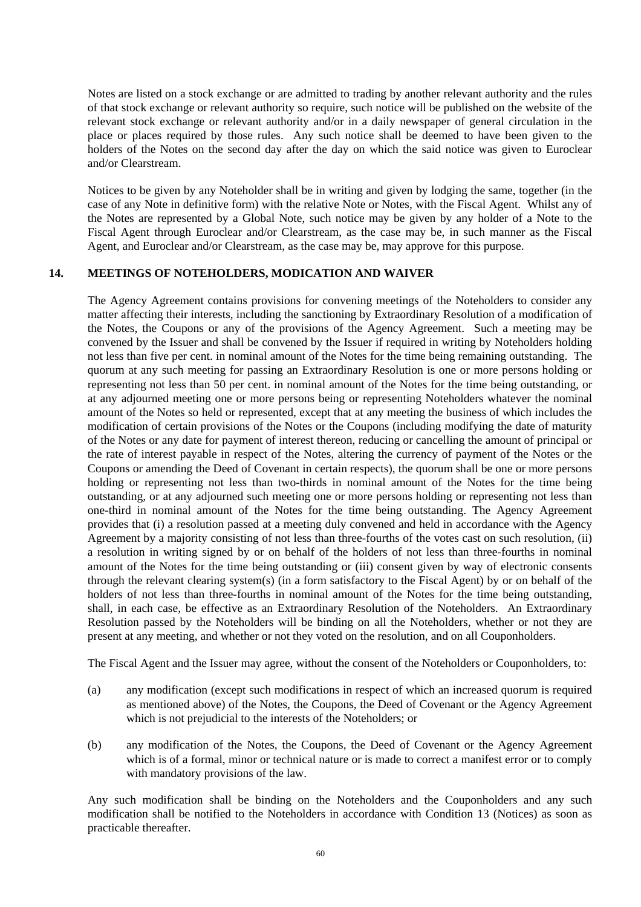Notes are listed on a stock exchange or are admitted to trading by another relevant authority and the rules of that stock exchange or relevant authority so require, such notice will be published on the website of the relevant stock exchange or relevant authority and/or in a daily newspaper of general circulation in the place or places required by those rules. Any such notice shall be deemed to have been given to the holders of the Notes on the second day after the day on which the said notice was given to Euroclear and/or Clearstream.

Notices to be given by any Noteholder shall be in writing and given by lodging the same, together (in the case of any Note in definitive form) with the relative Note or Notes, with the Fiscal Agent. Whilst any of the Notes are represented by a Global Note, such notice may be given by any holder of a Note to the Fiscal Agent through Euroclear and/or Clearstream, as the case may be, in such manner as the Fiscal Agent, and Euroclear and/or Clearstream, as the case may be, may approve for this purpose.

### **14. MEETINGS OF NOTEHOLDERS, MODICATION AND WAIVER**

The Agency Agreement contains provisions for convening meetings of the Noteholders to consider any matter affecting their interests, including the sanctioning by Extraordinary Resolution of a modification of the Notes, the Coupons or any of the provisions of the Agency Agreement. Such a meeting may be convened by the Issuer and shall be convened by the Issuer if required in writing by Noteholders holding not less than five per cent. in nominal amount of the Notes for the time being remaining outstanding. The quorum at any such meeting for passing an Extraordinary Resolution is one or more persons holding or representing not less than 50 per cent. in nominal amount of the Notes for the time being outstanding, or at any adjourned meeting one or more persons being or representing Noteholders whatever the nominal amount of the Notes so held or represented, except that at any meeting the business of which includes the modification of certain provisions of the Notes or the Coupons (including modifying the date of maturity of the Notes or any date for payment of interest thereon, reducing or cancelling the amount of principal or the rate of interest payable in respect of the Notes, altering the currency of payment of the Notes or the Coupons or amending the Deed of Covenant in certain respects), the quorum shall be one or more persons holding or representing not less than two-thirds in nominal amount of the Notes for the time being outstanding, or at any adjourned such meeting one or more persons holding or representing not less than one-third in nominal amount of the Notes for the time being outstanding. The Agency Agreement provides that (i) a resolution passed at a meeting duly convened and held in accordance with the Agency Agreement by a majority consisting of not less than three-fourths of the votes cast on such resolution, (ii) a resolution in writing signed by or on behalf of the holders of not less than three-fourths in nominal amount of the Notes for the time being outstanding or (iii) consent given by way of electronic consents through the relevant clearing system(s) (in a form satisfactory to the Fiscal Agent) by or on behalf of the holders of not less than three-fourths in nominal amount of the Notes for the time being outstanding, shall, in each case, be effective as an Extraordinary Resolution of the Noteholders. An Extraordinary Resolution passed by the Noteholders will be binding on all the Noteholders, whether or not they are present at any meeting, and whether or not they voted on the resolution, and on all Couponholders.

The Fiscal Agent and the Issuer may agree, without the consent of the Noteholders or Couponholders, to:

- (a) any modification (except such modifications in respect of which an increased quorum is required as mentioned above) of the Notes, the Coupons, the Deed of Covenant or the Agency Agreement which is not prejudicial to the interests of the Noteholders; or
- (b) any modification of the Notes, the Coupons, the Deed of Covenant or the Agency Agreement which is of a formal, minor or technical nature or is made to correct a manifest error or to comply with mandatory provisions of the law.

Any such modification shall be binding on the Noteholders and the Couponholders and any such modification shall be notified to the Noteholders in accordance with Condition 13 (Notices) as soon as practicable thereafter.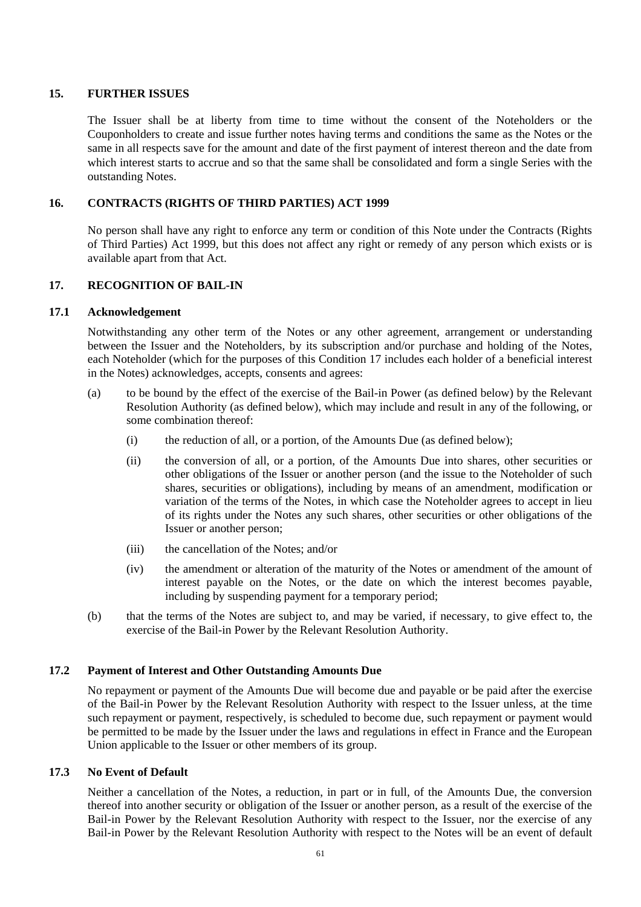## **15. FURTHER ISSUES**

The Issuer shall be at liberty from time to time without the consent of the Noteholders or the Couponholders to create and issue further notes having terms and conditions the same as the Notes or the same in all respects save for the amount and date of the first payment of interest thereon and the date from which interest starts to accrue and so that the same shall be consolidated and form a single Series with the outstanding Notes.

## **16. CONTRACTS (RIGHTS OF THIRD PARTIES) ACT 1999**

No person shall have any right to enforce any term or condition of this Note under the Contracts (Rights of Third Parties) Act 1999, but this does not affect any right or remedy of any person which exists or is available apart from that Act.

## **17. RECOGNITION OF BAIL-IN**

## **17.1 Acknowledgement**

Notwithstanding any other term of the Notes or any other agreement, arrangement or understanding between the Issuer and the Noteholders, by its subscription and/or purchase and holding of the Notes, each Noteholder (which for the purposes of this Condition 17 includes each holder of a beneficial interest in the Notes) acknowledges, accepts, consents and agrees:

- (a) to be bound by the effect of the exercise of the Bail-in Power (as defined below) by the Relevant Resolution Authority (as defined below), which may include and result in any of the following, or some combination thereof:
	- (i) the reduction of all, or a portion, of the Amounts Due (as defined below);
	- (ii) the conversion of all, or a portion, of the Amounts Due into shares, other securities or other obligations of the Issuer or another person (and the issue to the Noteholder of such shares, securities or obligations), including by means of an amendment, modification or variation of the terms of the Notes, in which case the Noteholder agrees to accept in lieu of its rights under the Notes any such shares, other securities or other obligations of the Issuer or another person;
	- (iii) the cancellation of the Notes; and/or
	- (iv) the amendment or alteration of the maturity of the Notes or amendment of the amount of interest payable on the Notes, or the date on which the interest becomes payable, including by suspending payment for a temporary period;
- (b) that the terms of the Notes are subject to, and may be varied, if necessary, to give effect to, the exercise of the Bail-in Power by the Relevant Resolution Authority.

## **17.2 Payment of Interest and Other Outstanding Amounts Due**

No repayment or payment of the Amounts Due will become due and payable or be paid after the exercise of the Bail-in Power by the Relevant Resolution Authority with respect to the Issuer unless, at the time such repayment or payment, respectively, is scheduled to become due, such repayment or payment would be permitted to be made by the Issuer under the laws and regulations in effect in France and the European Union applicable to the Issuer or other members of its group.

## **17.3 No Event of Default**

Neither a cancellation of the Notes, a reduction, in part or in full, of the Amounts Due, the conversion thereof into another security or obligation of the Issuer or another person, as a result of the exercise of the Bail-in Power by the Relevant Resolution Authority with respect to the Issuer, nor the exercise of any Bail-in Power by the Relevant Resolution Authority with respect to the Notes will be an event of default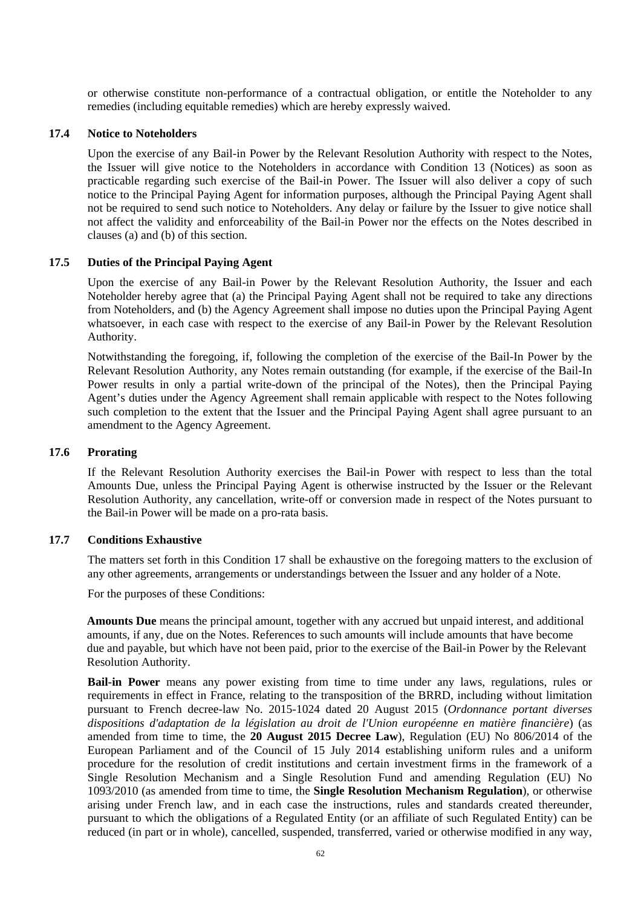or otherwise constitute non-performance of a contractual obligation, or entitle the Noteholder to any remedies (including equitable remedies) which are hereby expressly waived.

#### **17.4 Notice to Noteholders**

Upon the exercise of any Bail-in Power by the Relevant Resolution Authority with respect to the Notes, the Issuer will give notice to the Noteholders in accordance with Condition 13 (Notices) as soon as practicable regarding such exercise of the Bail-in Power. The Issuer will also deliver a copy of such notice to the Principal Paying Agent for information purposes, although the Principal Paying Agent shall not be required to send such notice to Noteholders. Any delay or failure by the Issuer to give notice shall not affect the validity and enforceability of the Bail-in Power nor the effects on the Notes described in clauses (a) and (b) of this section.

### **17.5 Duties of the Principal Paying Agent**

Upon the exercise of any Bail-in Power by the Relevant Resolution Authority, the Issuer and each Noteholder hereby agree that (a) the Principal Paying Agent shall not be required to take any directions from Noteholders, and (b) the Agency Agreement shall impose no duties upon the Principal Paying Agent whatsoever, in each case with respect to the exercise of any Bail-in Power by the Relevant Resolution Authority.

Notwithstanding the foregoing, if, following the completion of the exercise of the Bail-In Power by the Relevant Resolution Authority, any Notes remain outstanding (for example, if the exercise of the Bail-In Power results in only a partial write-down of the principal of the Notes), then the Principal Paying Agent's duties under the Agency Agreement shall remain applicable with respect to the Notes following such completion to the extent that the Issuer and the Principal Paying Agent shall agree pursuant to an amendment to the Agency Agreement.

#### **17.6 Prorating**

If the Relevant Resolution Authority exercises the Bail-in Power with respect to less than the total Amounts Due, unless the Principal Paying Agent is otherwise instructed by the Issuer or the Relevant Resolution Authority, any cancellation, write-off or conversion made in respect of the Notes pursuant to the Bail-in Power will be made on a pro-rata basis.

#### **17.7 Conditions Exhaustive**

The matters set forth in this Condition 17 shall be exhaustive on the foregoing matters to the exclusion of any other agreements, arrangements or understandings between the Issuer and any holder of a Note.

For the purposes of these Conditions:

**Amounts Due** means the principal amount, together with any accrued but unpaid interest, and additional amounts, if any, due on the Notes. References to such amounts will include amounts that have become due and payable, but which have not been paid, prior to the exercise of the Bail-in Power by the Relevant Resolution Authority.

**Bail-in Power** means any power existing from time to time under any laws, regulations, rules or requirements in effect in France, relating to the transposition of the BRRD, including without limitation pursuant to French decree-law No. 2015-1024 dated 20 August 2015 (*Ordonnance portant diverses dispositions d'adaptation de la législation au droit de l'Union européenne en matière financière*) (as amended from time to time, the **20 August 2015 Decree Law**), Regulation (EU) No 806/2014 of the European Parliament and of the Council of 15 July 2014 establishing uniform rules and a uniform procedure for the resolution of credit institutions and certain investment firms in the framework of a Single Resolution Mechanism and a Single Resolution Fund and amending Regulation (EU) No 1093/2010 (as amended from time to time, the **Single Resolution Mechanism Regulation**), or otherwise arising under French law, and in each case the instructions, rules and standards created thereunder, pursuant to which the obligations of a Regulated Entity (or an affiliate of such Regulated Entity) can be reduced (in part or in whole), cancelled, suspended, transferred, varied or otherwise modified in any way,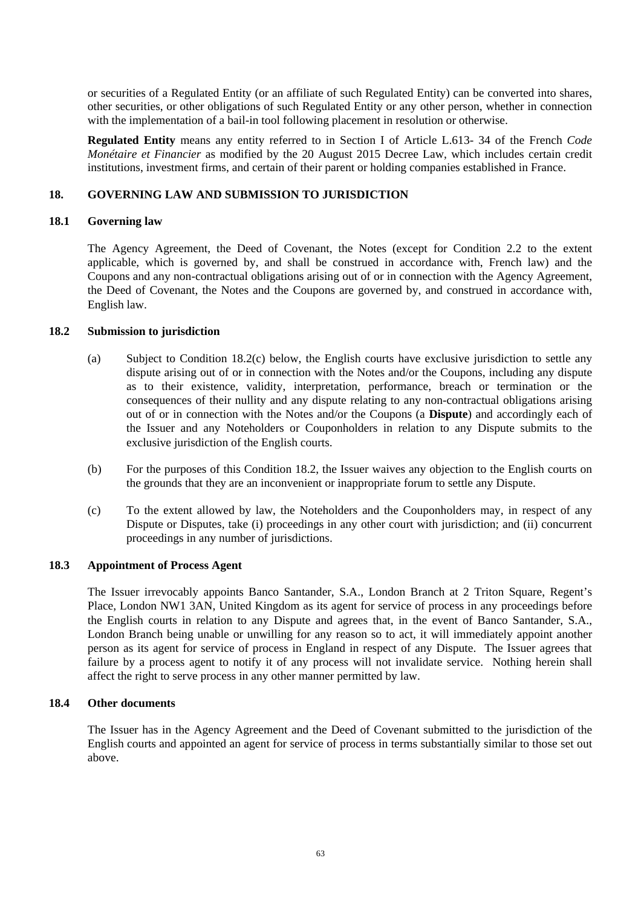or securities of a Regulated Entity (or an affiliate of such Regulated Entity) can be converted into shares, other securities, or other obligations of such Regulated Entity or any other person, whether in connection with the implementation of a bail-in tool following placement in resolution or otherwise.

**Regulated Entity** means any entity referred to in Section I of Article L.613- 34 of the French *Code Monétaire et Financier* as modified by the 20 August 2015 Decree Law, which includes certain credit institutions, investment firms, and certain of their parent or holding companies established in France.

## **18. GOVERNING LAW AND SUBMISSION TO JURISDICTION**

## **18.1 Governing law**

The Agency Agreement, the Deed of Covenant, the Notes (except for Condition 2.2 to the extent applicable, which is governed by, and shall be construed in accordance with, French law) and the Coupons and any non-contractual obligations arising out of or in connection with the Agency Agreement, the Deed of Covenant, the Notes and the Coupons are governed by, and construed in accordance with, English law.

# **18.2 Submission to jurisdiction**

- (a) Subject to Condition 18.2(c) below, the English courts have exclusive jurisdiction to settle any dispute arising out of or in connection with the Notes and/or the Coupons, including any dispute as to their existence, validity, interpretation, performance, breach or termination or the consequences of their nullity and any dispute relating to any non-contractual obligations arising out of or in connection with the Notes and/or the Coupons (a **Dispute**) and accordingly each of the Issuer and any Noteholders or Couponholders in relation to any Dispute submits to the exclusive jurisdiction of the English courts.
- (b) For the purposes of this Condition 18.2, the Issuer waives any objection to the English courts on the grounds that they are an inconvenient or inappropriate forum to settle any Dispute.
- (c) To the extent allowed by law, the Noteholders and the Couponholders may, in respect of any Dispute or Disputes, take (i) proceedings in any other court with jurisdiction; and (ii) concurrent proceedings in any number of jurisdictions.

## **18.3 Appointment of Process Agent**

The Issuer irrevocably appoints Banco Santander, S.A., London Branch at 2 Triton Square, Regent's Place, London NW1 3AN, United Kingdom as its agent for service of process in any proceedings before the English courts in relation to any Dispute and agrees that, in the event of Banco Santander, S.A., London Branch being unable or unwilling for any reason so to act, it will immediately appoint another person as its agent for service of process in England in respect of any Dispute. The Issuer agrees that failure by a process agent to notify it of any process will not invalidate service. Nothing herein shall affect the right to serve process in any other manner permitted by law.

# **18.4 Other documents**

The Issuer has in the Agency Agreement and the Deed of Covenant submitted to the jurisdiction of the English courts and appointed an agent for service of process in terms substantially similar to those set out above.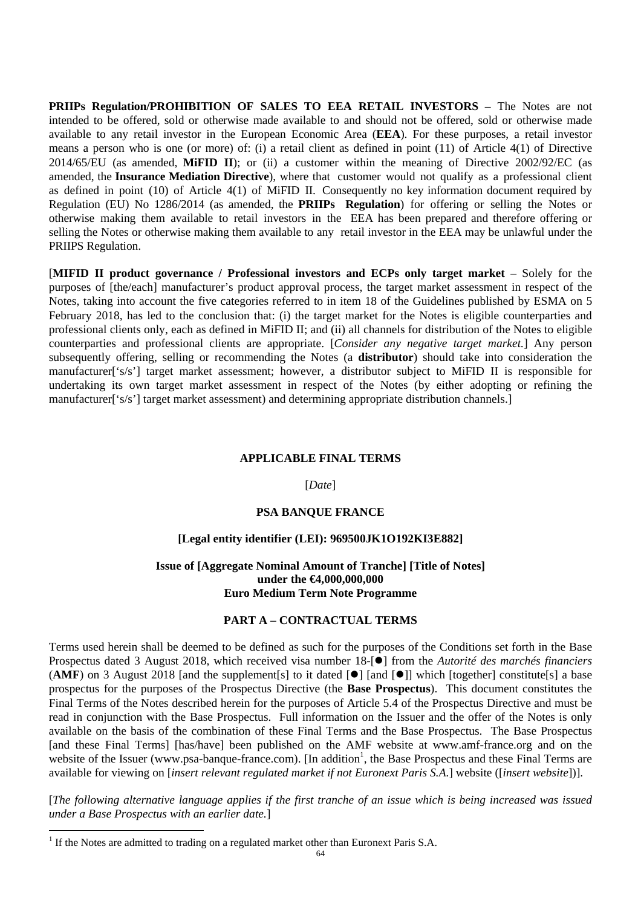**PRIIPs Regulation/PROHIBITION OF SALES TO EEA RETAIL INVESTORS** – The Notes are not intended to be offered, sold or otherwise made available to and should not be offered, sold or otherwise made available to any retail investor in the European Economic Area (**EEA**). For these purposes, a retail investor means a person who is one (or more) of: (i) a retail client as defined in point (11) of Article 4(1) of Directive 2014/65/EU (as amended, **MiFID II**); or (ii) a customer within the meaning of Directive 2002/92/EC (as amended, the **Insurance Mediation Directive**), where that customer would not qualify as a professional client as defined in point (10) of Article 4(1) of MiFID II. Consequently no key information document required by Regulation (EU) No 1286/2014 (as amended, the **PRIIPs Regulation**) for offering or selling the Notes or otherwise making them available to retail investors in the EEA has been prepared and therefore offering or selling the Notes or otherwise making them available to any retail investor in the EEA may be unlawful under the PRIIPS Regulation.

[**MIFID II product governance / Professional investors and ECPs only target market** – Solely for the purposes of [the/each] manufacturer's product approval process, the target market assessment in respect of the Notes, taking into account the five categories referred to in item 18 of the Guidelines published by ESMA on 5 February 2018, has led to the conclusion that: (i) the target market for the Notes is eligible counterparties and professional clients only, each as defined in MiFID II; and (ii) all channels for distribution of the Notes to eligible counterparties and professional clients are appropriate. [*Consider any negative target market.*] Any person subsequently offering, selling or recommending the Notes (a **distributor**) should take into consideration the manufacturer['s/s'] target market assessment; however, a distributor subject to MiFID II is responsible for undertaking its own target market assessment in respect of the Notes (by either adopting or refining the manufacturer['s/s'] target market assessment) and determining appropriate distribution channels.]

#### **APPLICABLE FINAL TERMS**

#### [*Date*]

### **PSA BANQUE FRANCE**

## **[Legal entity identifier (LEI): 969500JK1O192KI3E882]**

## **Issue of [Aggregate Nominal Amount of Tranche] [Title of Notes] under the €4,000,000,000 Euro Medium Term Note Programme**

### **PART A – CONTRACTUAL TERMS**

Terms used herein shall be deemed to be defined as such for the purposes of the Conditions set forth in the Base Prospectus dated 3 August 2018, which received visa number 18-[●] from the *Autorité des marchés financiers* (AMF) on 3 August 2018 [and the supplement[s] to it dated  $[\bullet]$  [and  $[\bullet]$ ] which [together] constitute[s] a base prospectus for the purposes of the Prospectus Directive (the **Base Prospectus**). This document constitutes the Final Terms of the Notes described herein for the purposes of Article 5.4 of the Prospectus Directive and must be read in conjunction with the Base Prospectus. Full information on the Issuer and the offer of the Notes is only available on the basis of the combination of these Final Terms and the Base Prospectus. The Base Prospectus [and these Final Terms] [has/have] been published on the AMF website at www.amf-france.org and on the website of the Issuer (www.psa-banque-france.com). [In addition<sup>1</sup>, the Base Prospectus and these Final Terms are available for viewing on [*insert relevant regulated market if not Euronext Paris S.A.*] website ([*insert website*])].

[*The following alternative language applies if the first tranche of an issue which is being increased was issued under a Base Prospectus with an earlier date.*]

1

 $<sup>1</sup>$  If the Notes are admitted to trading on a regulated market other than Euronext Paris S.A.</sup>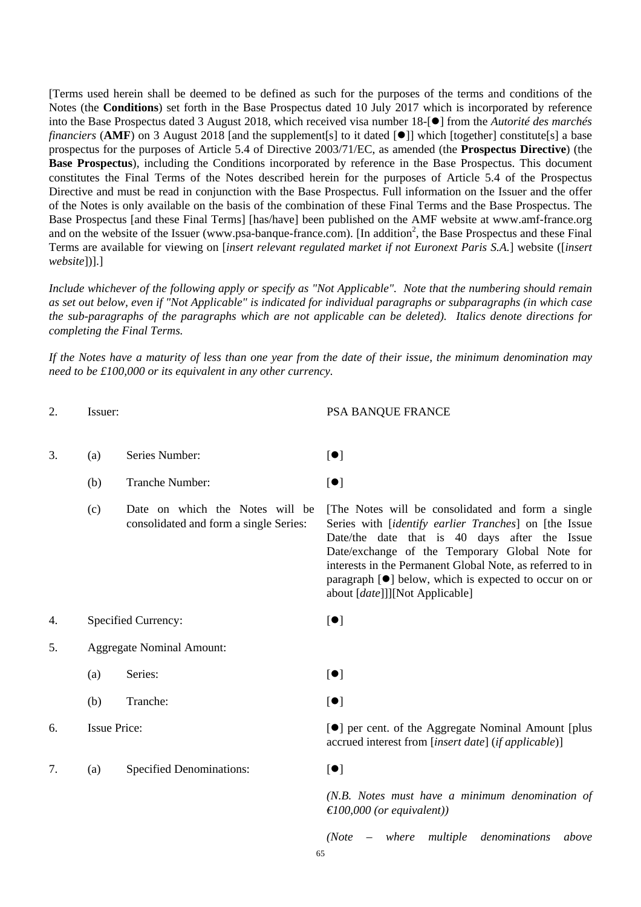[Terms used herein shall be deemed to be defined as such for the purposes of the terms and conditions of the Notes (the **Conditions**) set forth in the Base Prospectus dated 10 July 2017 which is incorporated by reference into the Base Prospectus dated 3 August 2018, which received visa number 18-<sup>[•</sup>] from the *Autorité des marchés financiers* (AMF) on 3 August 2018 [and the supplement[s] to it dated [<sup>o</sup>]] which [together] constitute[s] a base prospectus for the purposes of Article 5.4 of Directive 2003/71/EC, as amended (the **Prospectus Directive**) (the **Base Prospectus**), including the Conditions incorporated by reference in the Base Prospectus. This document constitutes the Final Terms of the Notes described herein for the purposes of Article 5.4 of the Prospectus Directive and must be read in conjunction with the Base Prospectus. Full information on the Issuer and the offer of the Notes is only available on the basis of the combination of these Final Terms and the Base Prospectus. The Base Prospectus [and these Final Terms] [has/have] been published on the AMF website at www.amf-france.org and on the website of the Issuer (www.psa-banque-france.com). [In addition<sup>2</sup>, the Base Prospectus and these Final Terms are available for viewing on [*insert relevant regulated market if not Euronext Paris S.A.*] website ([*insert website*])].]

*Include whichever of the following apply or specify as "Not Applicable". Note that the numbering should remain as set out below, even if "Not Applicable" is indicated for individual paragraphs or subparagraphs (in which case the sub-paragraphs of the paragraphs which are not applicable can be deleted). Italics denote directions for completing the Final Terms.*

*If the Notes have a maturity of less than one year from the date of their issue, the minimum denomination may need to be £100,000 or its equivalent in any other currency.*

2. Issuer: PSA BANQUE FRANCE

| ۷. | ISSUCI. |                                                                           | LAN DANQUE L'IVANCE                                                                                                                                                                                                                                                                                                                                                                    |
|----|---------|---------------------------------------------------------------------------|----------------------------------------------------------------------------------------------------------------------------------------------------------------------------------------------------------------------------------------------------------------------------------------------------------------------------------------------------------------------------------------|
| 3. | (a)     | Series Number:                                                            | $\lbrack \bullet \rbrack$                                                                                                                                                                                                                                                                                                                                                              |
|    | (b)     | Tranche Number:                                                           | $\left[ \bullet \right]$                                                                                                                                                                                                                                                                                                                                                               |
|    | (c)     | Date on which the Notes will be<br>consolidated and form a single Series: | [The Notes will be consolidated and form a single<br>Series with [identify earlier Tranches] on [the Issue<br>Date/the date that is 40 days after the Issue<br>Date/exchange of the Temporary Global Note for<br>interests in the Permanent Global Note, as referred to in<br>paragraph $[\bullet]$ below, which is expected to occur on or<br>about [ <i>date</i> ]]][Not Applicable] |
| 4. |         | Specified Currency:                                                       | $\left[ \bullet \right]$                                                                                                                                                                                                                                                                                                                                                               |
| 5. |         | <b>Aggregate Nominal Amount:</b>                                          |                                                                                                                                                                                                                                                                                                                                                                                        |
|    | (a)     | Series:                                                                   | $\left[ \bullet \right]$                                                                                                                                                                                                                                                                                                                                                               |
|    | (b)     | Tranche:                                                                  | $\left[ \bullet \right]$                                                                                                                                                                                                                                                                                                                                                               |
| 6. |         | <b>Issue Price:</b>                                                       | [ <sup>•</sup> ] per cent. of the Aggregate Nominal Amount [plus]<br>accrued interest from [insert date] (if applicable)]                                                                                                                                                                                                                                                              |
| 7. | (a)     | <b>Specified Denominations:</b>                                           | [•]                                                                                                                                                                                                                                                                                                                                                                                    |
|    |         |                                                                           | (N.B. Notes must have a minimum denomination of<br>$\in$ 100,000 (or equivalent))                                                                                                                                                                                                                                                                                                      |
|    |         |                                                                           | $-$ where<br>multiple denominations<br>(Note<br>above                                                                                                                                                                                                                                                                                                                                  |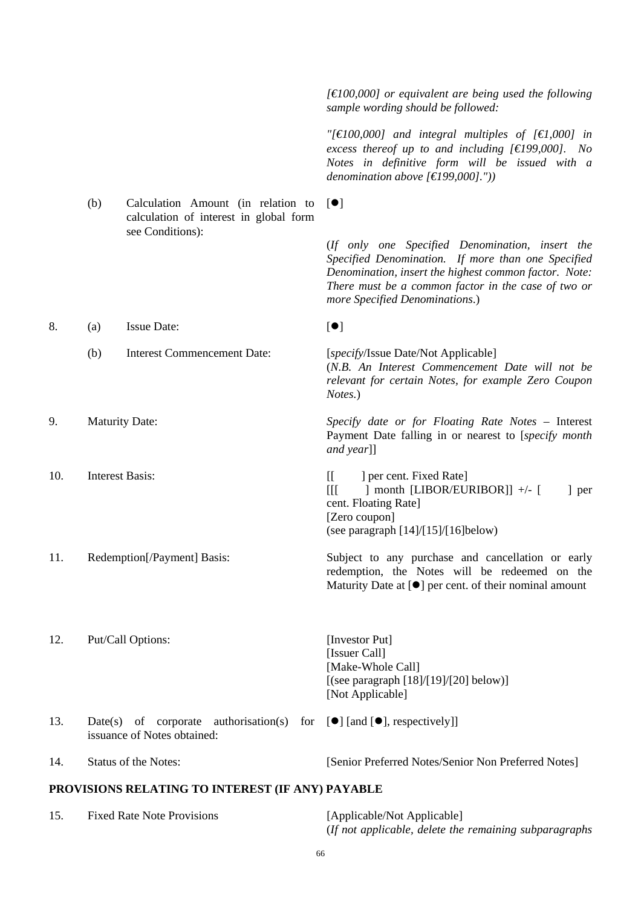*sample wording should be followed: "[€100,000] and integral multiples of [€1,000] in excess thereof up to and including [€199,000]. No Notes in definitive form will be issued with a denomination above [€199,000]."))* (b) Calculation Amount (in relation to calculation of interest in global form see Conditions):  $[•]$  (*If only one Specified Denomination, insert the Specified Denomination. If more than one Specified Denomination, insert the highest common factor. Note: There must be a common factor in the case of two or more Specified Denominations*.) 8. (a) Issue Date:  $\lceil \bullet \rceil$ (b) Interest Commencement Date: [*specify*/Issue Date/Not Applicable] (*N.B. An Interest Commencement Date will not be relevant for certain Notes, for example Zero Coupon Notes.*) 9. Maturity Date: *Specify date or for Floating Rate Notes* – Interest Payment Date falling in or nearest to [*specify month and year*]] 10. Interest Basis: [[ ] per cent. Fixed Rate]  $[$ [ $]$   $]$  month  $[LIBOR/EURIBOR]$ ] +/- $[$   $]$  per cent. Floating Rate] [Zero coupon] (see paragraph [14]/[15]/[16]below) 11. Redemption[/Payment] Basis: Subject to any purchase and cancellation or early redemption, the Notes will be redeemed on the Maturity Date at  $[①]$  per cent. of their nominal amount 12. Put/Call Options: [Investor Put] [Issuer Call] [Make-Whole Call]  $[(see paragraph [18]/[19]/[20] below)]$  [Not Applicable] 13. Date(s) of corporate authorisation(s) for  $[\bullet]$  [and  $[\bullet]$ , respectively]] issuance of Notes obtained: 14. Status of the Notes: [Senior Preferred Notes/Senior Non Preferred Notes] **PROVISIONS RELATING TO INTEREST (IF ANY) PAYABLE** 

*[€100,000] or equivalent are being used the following* 

#### 15. Fixed Rate Note Provisions [Applicable/Not Applicable] (*If not applicable, delete the remaining subparagraphs*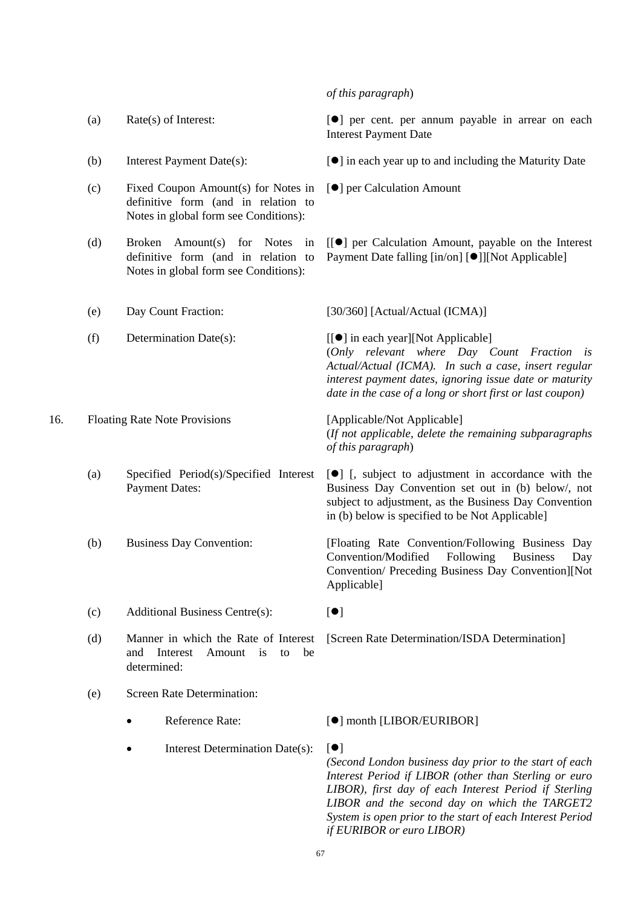*of this paragraph*)

*of this paragraph*)

Applicable]

- 
- 
- (c) Fixed Coupon Amount(s) for Notes in definitive form (and in relation to Notes in global form see Conditions):
- (d) Broken Amount(s) for Notes in definitive form (and in relation to Notes in global form see Conditions):
- (a) Rate(s) of Interest:  $\bullet$  | per cent. per annum payable in arrear on each Interest Payment Date
- (b) Interest Payment Date(s):  $[\bullet]$  in each year up to and including the Maturity Date
	- [ $\bullet$ ] per Calculation Amount
	- [[] per Calculation Amount, payable on the Interest Payment Date falling  $\lceil \text{in}/\text{on} \rceil$  [ $\bullet$ ]][Not Applicable]

 (*Only relevant where Day Count Fraction is Actual/Actual (ICMA). In such a case, insert regular interest payment dates, ignoring issue date or maturity date in the case of a long or short first or last coupon)*

(*If not applicable, delete the remaining subparagraphs* 

 $[\bullet]$  [, subject to adjustment in accordance with the Business Day Convention set out in (b) below/, not subject to adjustment, as the Business Day Convention

Convention/Modified Following Business Day Convention/ Preceding Business Day Convention][Not

in (b) below is specified to be Not Applicable]

- (e) Day Count Fraction: [30/360] [Actual/Actual (ICMA)]
- (f) Determination Date(s):  $\begin{bmatrix} \bullet \\ \bullet \end{bmatrix}$  in each year][Not Applicable]

16. Floating Rate Note Provisions [Applicable/Not Applicable]

- (a) Specified Period(s)/Specified Interest Payment Dates:
- (b) Business Day Convention: [Floating Rate Convention/Following Business Day
- (c) Additional Business Centre(s):  $[•]$
- (d) Manner in which the Rate of Interest and Interest Amount is to be determined:

[Screen Rate Determination/ISDA Determination]

- (e) Screen Rate Determination:
	- Reference Rate:  $\lceil \bullet \rceil$  month [LIBOR/EURIBOR]
	- Interest Determination Date(s):  $[\bullet]$

*(Second London business day prior to the start of each Interest Period if LIBOR (other than Sterling or euro LIBOR), first day of each Interest Period if Sterling LIBOR and the second day on which the TARGET2 System is open prior to the start of each Interest Period if EURIBOR or euro LIBOR)*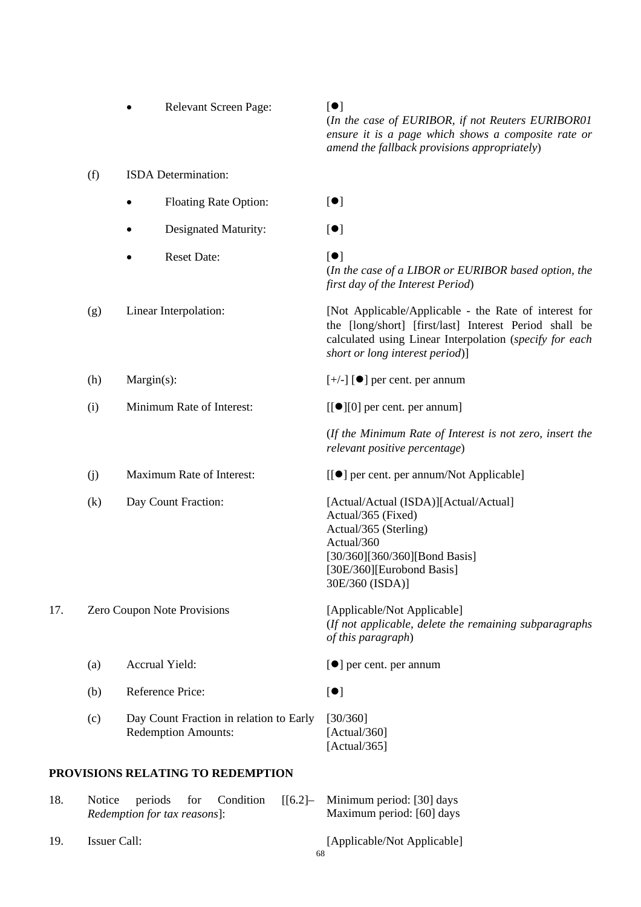|     |                             |                       |                            | Relevant Screen Page:                   |        | $\lbrack \bullet \rbrack$<br>(In the case of EURIBOR, if not Reuters EURIBOR01<br>ensure it is a page which shows a composite rate or<br>amend the fallback provisions appropriately)                         |
|-----|-----------------------------|-----------------------|----------------------------|-----------------------------------------|--------|---------------------------------------------------------------------------------------------------------------------------------------------------------------------------------------------------------------|
|     | (f)                         | ISDA Determination:   |                            |                                         |        |                                                                                                                                                                                                               |
|     |                             |                       |                            | <b>Floating Rate Option:</b>            |        | [•]                                                                                                                                                                                                           |
|     |                             |                       |                            | Designated Maturity:                    |        | [•]                                                                                                                                                                                                           |
|     |                             |                       | <b>Reset Date:</b>         |                                         |        | $\lbrack \bullet \rbrack$<br>(In the case of a LIBOR or EURIBOR based option, the<br>first day of the Interest Period)                                                                                        |
|     | (g)                         | Linear Interpolation: |                            |                                         |        | [Not Applicable/Applicable - the Rate of interest for<br>the [long/short] [first/last] Interest Period shall be<br>calculated using Linear Interpolation (specify for each<br>short or long interest period)] |
|     | (h)                         | Margin(s):            |                            |                                         |        | $[+/$ ] [ $\bullet$ ] per cent. per annum                                                                                                                                                                     |
|     | (i)                         |                       |                            | Minimum Rate of Interest:               |        | $[[\bullet][0]$ per cent. per annum]                                                                                                                                                                          |
|     |                             |                       |                            |                                         |        | (If the Minimum Rate of Interest is not zero, insert the<br>relevant positive percentage)                                                                                                                     |
|     | (j)                         |                       |                            | Maximum Rate of Interest:               |        | [[●] per cent. per annum/Not Applicable]                                                                                                                                                                      |
|     | (k)                         |                       | Day Count Fraction:        |                                         |        | [Actual/Actual (ISDA)][Actual/Actual]<br>Actual/365 (Fixed)<br>Actual/365 (Sterling)<br>Actual/360<br>[30/360][360/360][Bond Basis]<br>[30E/360][Eurobond Basis]<br>30E/360 (ISDA)]                           |
| 17. | Zero Coupon Note Provisions |                       |                            |                                         |        | [Applicable/Not Applicable]<br>(If not applicable, delete the remaining subparagraphs<br>of this paragraph)                                                                                                   |
|     | (a)                         |                       | Accrual Yield:             |                                         |        | $\left[\bullet\right]$ per cent. per annum                                                                                                                                                                    |
|     | (b)                         |                       | Reference Price:           |                                         |        | [•]                                                                                                                                                                                                           |
|     | (c)                         |                       | <b>Redemption Amounts:</b> | Day Count Fraction in relation to Early |        | [30/360]<br>[Actual/360]<br>[Actual/365]                                                                                                                                                                      |
|     |                             |                       |                            | PROVISIONS RELATING TO REDEMPTION       |        |                                                                                                                                                                                                               |
| 18. | Notice                      | periods               | for                        | Condition                               | [[6.2] | Minimum period: [30] days                                                                                                                                                                                     |

18. Notice periods for Condition [[6.2]*– Redemption for tax reasons*]: Maximum period: [60] days 19. Issuer Call: [Applicable/Not Applicable]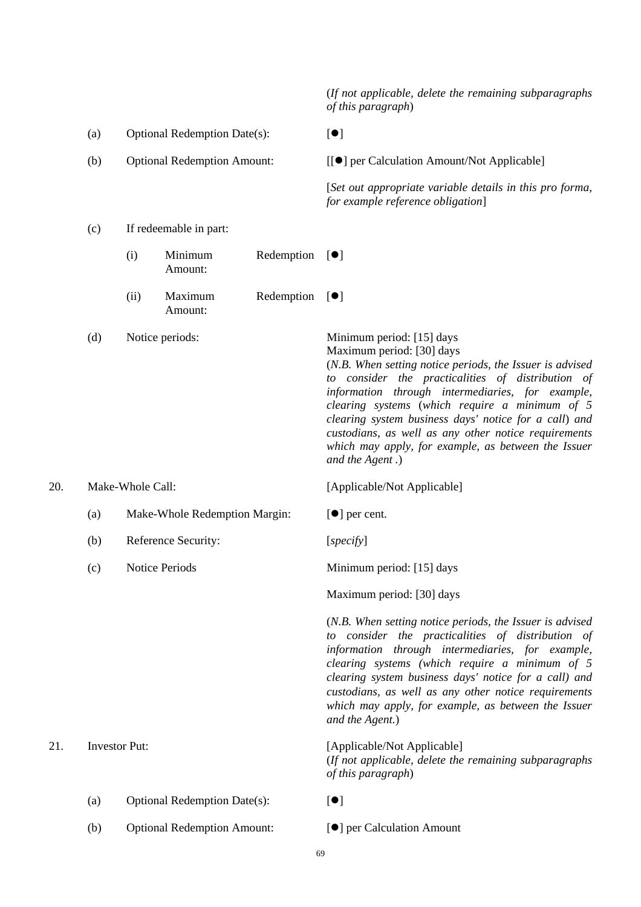(*If not applicable, delete the remaining subparagraphs of this paragraph*)

- (a) Optional Redemption Date(s):  $[•]$ (b) Optional Redemption Amount: [[ $\bullet$ ] per Calculation Amount/Not Applicable] [*Set out appropriate variable details in this pro forma, for example reference obligation*] (c) If redeemable in part:  $(i)$  Minimum Redemption  $[•]$ Amount: (ii) Maximum Redemption Amount:  $\lceil \bullet \rceil$ (d) Notice periods: Minimum period: [15] days Maximum period: [30] days (*N.B. When setting notice periods, the Issuer is advised to consider the practicalities of distribution of information through intermediaries, for example, clearing systems* (*which require a minimum of 5 clearing system business days' notice for a call*) *and custodians, as well as any other notice requirements which may apply, for example, as between the Issuer and the Agent .*) 20. Make-Whole Call: [Applicable/Not Applicable] (a) Make-Whole Redemption Margin:  $[①]$  per cent. (b) Reference Security: [*specify*] (c) Notice Periods Minimum period: [15] days Maximum period: [30] days (*N.B. When setting notice periods, the Issuer is advised to consider the practicalities of distribution of information through intermediaries, for example, clearing systems (which require a minimum of 5 clearing system business days' notice for a call) and custodians, as well as any other notice requirements which may apply, for example, as between the Issuer and the Agent.*) 21. Investor Put: [Applicable/Not Applicable] (*If not applicable, delete the remaining subparagraphs of this paragraph*) (a) Optional Redemption Date(s):  $[•]$ 
	- (b) Optional Redemption Amount:  $[•]$  per Calculation Amount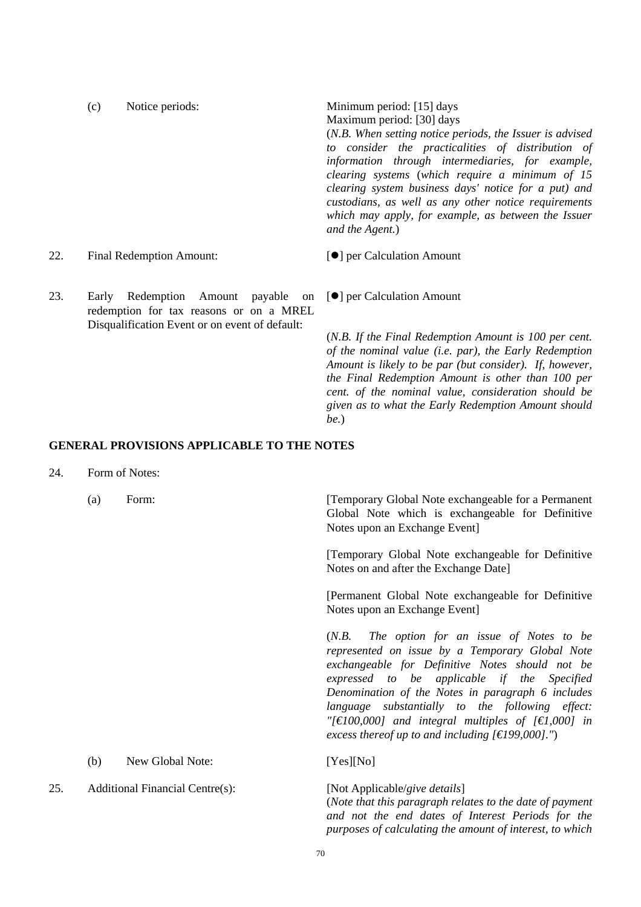|     | (c) | Notice periods:                                                                           | Minimum period: [15] days                                                                                                                                                              |  |  |
|-----|-----|-------------------------------------------------------------------------------------------|----------------------------------------------------------------------------------------------------------------------------------------------------------------------------------------|--|--|
|     |     |                                                                                           | Maximum period: [30] days                                                                                                                                                              |  |  |
|     |     |                                                                                           | (N.B. When setting notice periods, the Issuer is advised                                                                                                                               |  |  |
|     |     |                                                                                           | to consider the practicalities of distribution of                                                                                                                                      |  |  |
|     |     |                                                                                           | information through intermediaries, for example,                                                                                                                                       |  |  |
|     |     |                                                                                           | clearing systems (which require a minimum of 15                                                                                                                                        |  |  |
|     |     |                                                                                           | clearing system business days' notice for a put) and<br>custodians, as well as any other notice requirements<br>which may apply, for example, as between the Issuer<br>and the Agent.) |  |  |
| 22. |     | Final Redemption Amount:                                                                  | [●] per Calculation Amount                                                                                                                                                             |  |  |
| 23. |     | Early Redemption Amount payable on [ <sup>o</sup> ] per Calculation Amount                |                                                                                                                                                                                        |  |  |
|     |     | redemption for tax reasons or on a MREL<br>Disqualification Event or on event of default: |                                                                                                                                                                                        |  |  |
|     |     |                                                                                           | (N.B. If the Final Redemption Amount is 100 per cent.                                                                                                                                  |  |  |

*be.*)

**GENERAL PROVISIONS APPLICABLE TO THE NOTES** 

- 24. Form of Notes:
	-

(a) Form: [Temporary Global Note exchangeable for a Permanent Global Note which is exchangeable for Definitive Notes upon an Exchange Event]

*of the nominal value (i.e. par), the Early Redemption Amount is likely to be par (but consider). If, however, the Final Redemption Amount is other than 100 per cent. of the nominal value, consideration should be given as to what the Early Redemption Amount should* 

 [Temporary Global Note exchangeable for Definitive Notes on and after the Exchange Date]

 [Permanent Global Note exchangeable for Definitive Notes upon an Exchange Event]

 (*N.B. The option for an issue of Notes to be represented on issue by a Temporary Global Note exchangeable for Definitive Notes should not be expressed to be applicable if the Specified Denomination of the Notes in paragraph 6 includes language substantially to the following effect: "[€100,000] and integral multiples of [€1,000] in excess thereof up to and including [€199,000]."*)

(b) New Global Note: [Yes][No]

25. Additional Financial Centre(s): [Not Applicable/*give details*] (*Note that this paragraph relates to the date of payment and not the end dates of Interest Periods for the purposes of calculating the amount of interest, to which*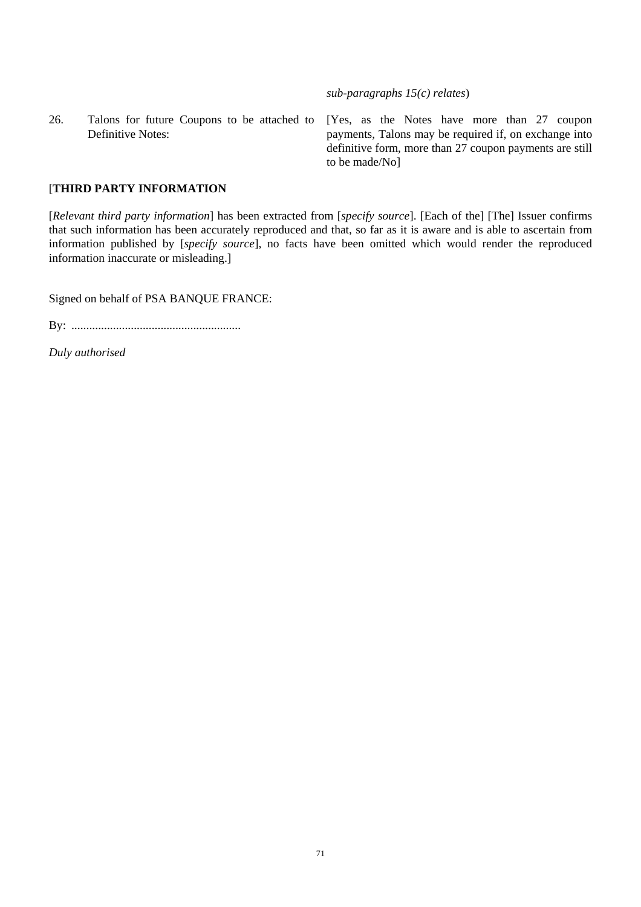*sub-paragraphs 15(c) relates*)

26. Talons for future Coupons to be attached to Definitive Notes:

[Yes, as the Notes have more than 27 coupon payments, Talons may be required if, on exchange into definitive form, more than 27 coupon payments are still to be made/No]

## [**THIRD PARTY INFORMATION**

[*Relevant third party information*] has been extracted from [*specify source*]. [Each of the] [The] Issuer confirms that such information has been accurately reproduced and that, so far as it is aware and is able to ascertain from information published by [*specify source*], no facts have been omitted which would render the reproduced information inaccurate or misleading.]

Signed on behalf of PSA BANQUE FRANCE:

By: .........................................................

*Duly authorised*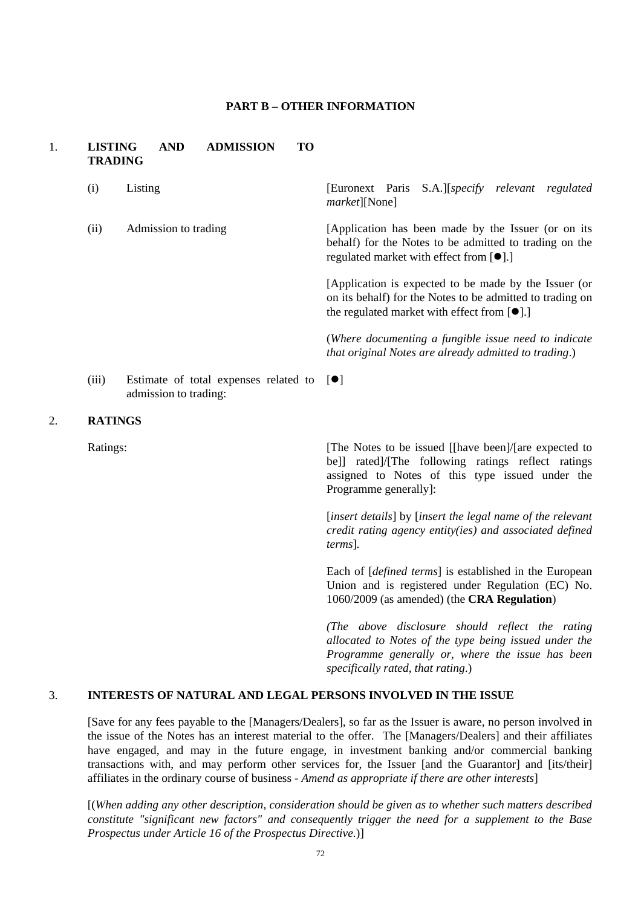### **PART B – OTHER INFORMATION**

## 1. **LISTING AND ADMISSION TO TRADING**

|    | (i)            | Listing                                                                    | [Euronext Paris S.A.][specify relevant regulated<br><i>market</i> ][None]                                                                                                               |
|----|----------------|----------------------------------------------------------------------------|-----------------------------------------------------------------------------------------------------------------------------------------------------------------------------------------|
|    | (ii)           | Admission to trading                                                       | [Application has been made by the Issuer (or on its)<br>behalf) for the Notes to be admitted to trading on the<br>regulated market with effect from $[\bullet]$ .]                      |
|    |                |                                                                            | [Application is expected to be made by the Issuer (or<br>on its behalf) for the Notes to be admitted to trading on<br>the regulated market with effect from $[\bullet]$ .]              |
|    |                |                                                                            | (Where documenting a fungible issue need to indicate<br>that original Notes are already admitted to trading.)                                                                           |
|    | (iii)          | Estimate of total expenses related to $[\bullet]$<br>admission to trading: |                                                                                                                                                                                         |
| 2. | <b>RATINGS</b> |                                                                            |                                                                                                                                                                                         |
|    | Ratings:       |                                                                            | [The Notes to be issued [[have been]/[are expected to<br>be]] rated]/[The following ratings reflect ratings<br>assigned to Notes of this type issued under the<br>Programme generally]: |

 [*insert details*] by [*insert the legal name of the relevant credit rating agency entity(ies) and associated defined terms*]*.* 

 Each of [*defined terms*] is established in the European Union and is registered under Regulation (EC) No. 1060/2009 (as amended) (the **CRA Regulation**)

*(The above disclosure should reflect the rating allocated to Notes of the type being issued under the Programme generally or, where the issue has been specifically rated, that rating*.)

#### 3. **INTERESTS OF NATURAL AND LEGAL PERSONS INVOLVED IN THE ISSUE**

[Save for any fees payable to the [Managers/Dealers], so far as the Issuer is aware, no person involved in the issue of the Notes has an interest material to the offer. The [Managers/Dealers] and their affiliates have engaged, and may in the future engage, in investment banking and/or commercial banking transactions with, and may perform other services for, the Issuer [and the Guarantor] and [its/their] affiliates in the ordinary course of business - *Amend as appropriate if there are other interests*]

[(*When adding any other description, consideration should be given as to whether such matters described constitute "significant new factors" and consequently trigger the need for a supplement to the Base Prospectus under Article 16 of the Prospectus Directive.*)]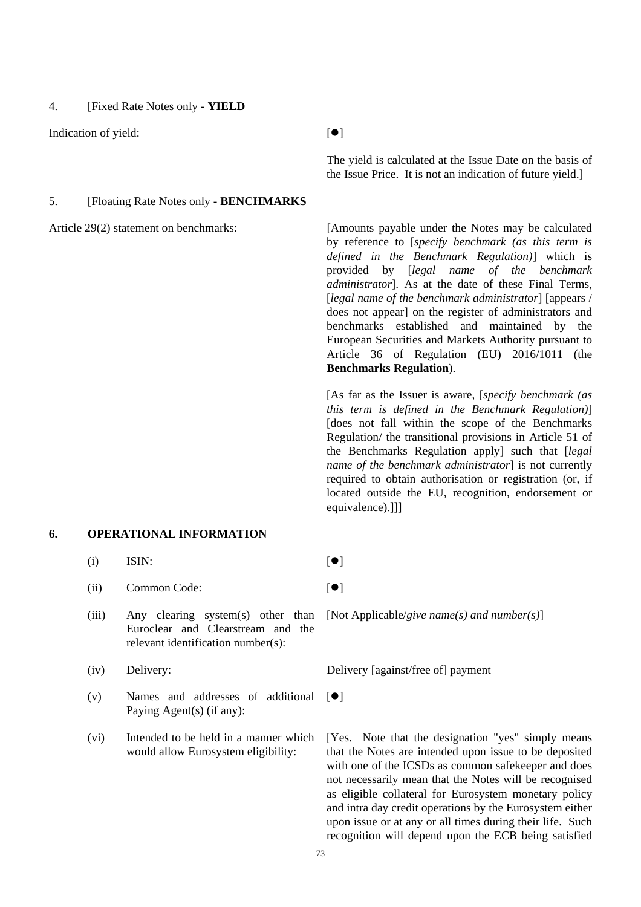4. [Fixed Rate Notes only - **YIELD**

Indication of yield:  $[$  |  $]$ 

 The yield is calculated at the Issue Date on the basis of the Issue Price. It is not an indication of future yield.]

# 5. [Floating Rate Notes only - **BENCHMARKS**

#### **6. OPERATIONAL INFORMATION**

- (i) ISIN:  $[\bullet]$
- $(iii)$  Common Code:  $[①]$
- (iii) Any clearing system(s) other than Euroclear and Clearstream and the relevant identification number(s):
- 
- $(v)$  Names and addresses of additional  $[•]$ Paying Agent(s) (if any):
- (vi) Intended to be held in a manner which would allow Eurosystem eligibility:

Article 29(2) statement on benchmarks: [Amounts payable under the Notes may be calculated by reference to [*specify benchmark (as this term is defined in the Benchmark Regulation)*] which is provided by [*legal name of the benchmark administrator*]. As at the date of these Final Terms, [*legal name of the benchmark administrator*] [appears / does not appear] on the register of administrators and benchmarks established and maintained by the European Securities and Markets Authority pursuant to Article 36 of Regulation (EU) 2016/1011 (the **Benchmarks Regulation**).

> [As far as the Issuer is aware, [*specify benchmark (as this term is defined in the Benchmark Regulation)*] [does not fall within the scope of the Benchmarks Regulation/ the transitional provisions in Article 51 of the Benchmarks Regulation apply] such that [*legal name of the benchmark administrator*] is not currently required to obtain authorisation or registration (or, if located outside the EU, recognition, endorsement or equivalence).]]]

[Not Applicable/*give name(s) and number(s)*]

(iv) Delivery: Delivery Delivery [against/free of] payment

[Yes. Note that the designation "yes" simply means that the Notes are intended upon issue to be deposited with one of the ICSDs as common safekeeper and does not necessarily mean that the Notes will be recognised as eligible collateral for Eurosystem monetary policy and intra day credit operations by the Eurosystem either upon issue or at any or all times during their life. Such recognition will depend upon the ECB being satisfied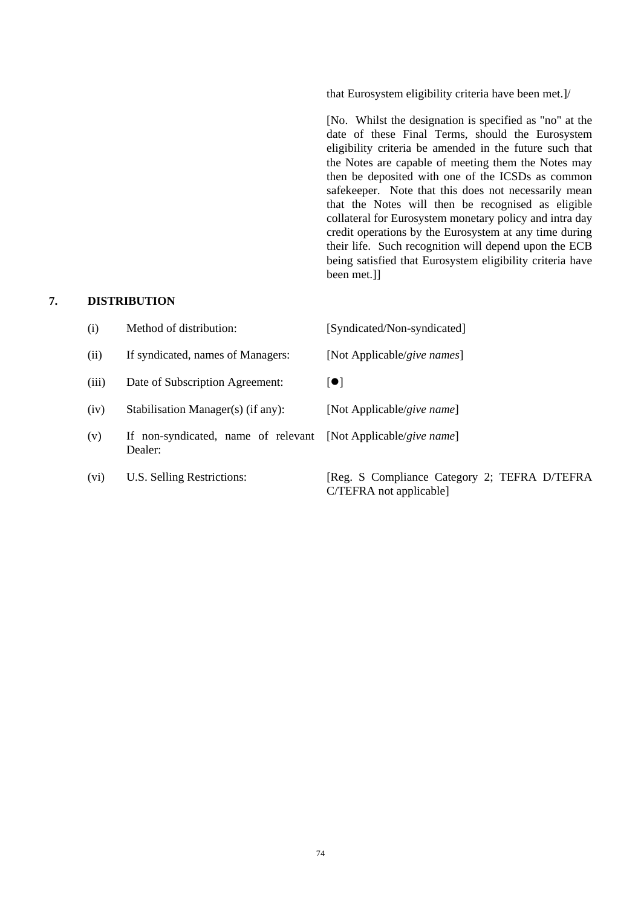that Eurosystem eligibility criteria have been met.]/

[No. Whilst the designation is specified as "no" at the date of these Final Terms, should the Eurosystem eligibility criteria be amended in the future such that the Notes are capable of meeting them the Notes may then be deposited with one of the ICSDs as common safekeeper. Note that this does not necessarily mean that the Notes will then be recognised as eligible collateral for Eurosystem monetary policy and intra day credit operations by the Eurosystem at any time during their life. Such recognition will depend upon the ECB being satisfied that Eurosystem eligibility criteria have been met.]]

## **7. DISTRIBUTION**

| (i)   | Method of distribution:                                                   | [Syndicated/Non-syndicated]                                             |
|-------|---------------------------------------------------------------------------|-------------------------------------------------------------------------|
| (ii)  | If syndicated, names of Managers:                                         | [Not Applicable/give names]                                             |
| (iii) | Date of Subscription Agreement:                                           | $\lceil \bullet \rceil$                                                 |
| (iv)  | Stabilisation Manager(s) (if any):                                        | [Not Applicable/give name]                                              |
| (v)   | If non-syndicated, name of relevant [Not Applicable/give name]<br>Dealer: |                                                                         |
| (vi)  | U.S. Selling Restrictions:                                                | [Reg. S Compliance Category 2; TEFRA D/TEFRA<br>C/TEFRA not applicable] |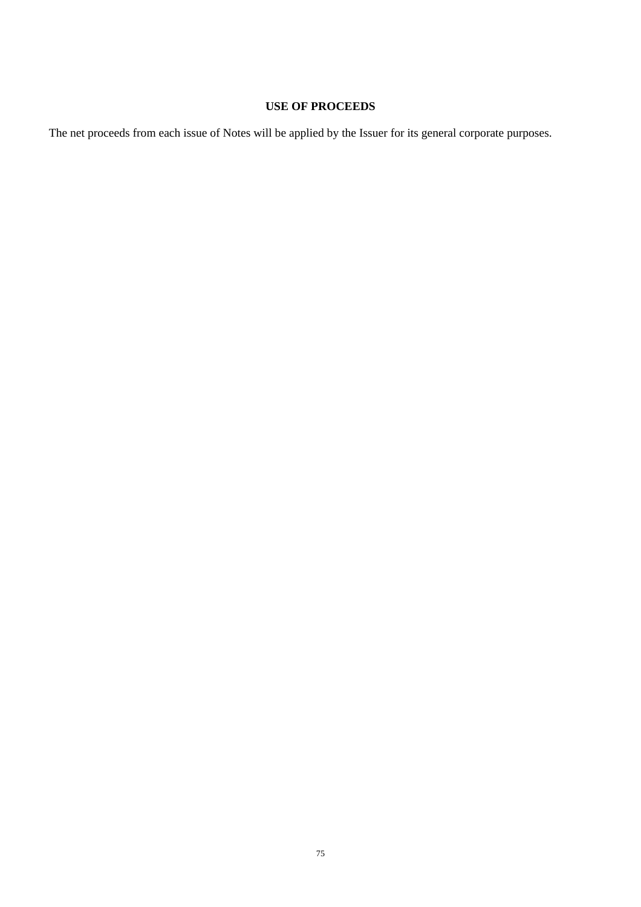# **USE OF PROCEEDS**

The net proceeds from each issue of Notes will be applied by the Issuer for its general corporate purposes.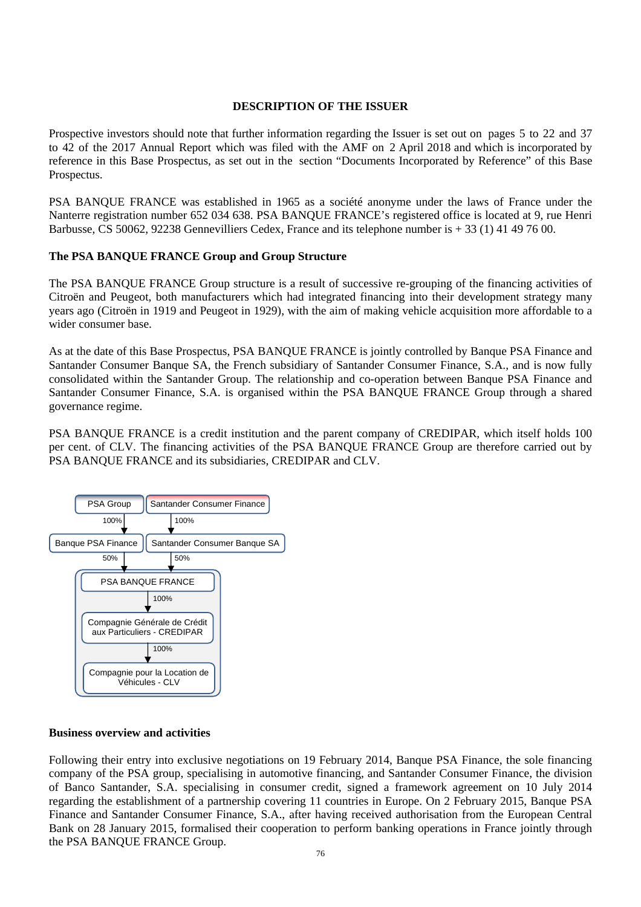## **DESCRIPTION OF THE ISSUER**

Prospective investors should note that further information regarding the Issuer is set out on pages 5 to 22 and 37 to 42 of the 2017 Annual Report which was filed with the AMF on 2 April 2018 and which is incorporated by reference in this Base Prospectus, as set out in the section "Documents Incorporated by Reference" of this Base Prospectus.

PSA BANQUE FRANCE was established in 1965 as a société anonyme under the laws of France under the Nanterre registration number 652 034 638. PSA BANQUE FRANCE's registered office is located at 9, rue Henri Barbusse, CS 50062, 92238 Gennevilliers Cedex, France and its telephone number is + 33 (1) 41 49 76 00.

# **The PSA BANQUE FRANCE Group and Group Structure**

The PSA BANQUE FRANCE Group structure is a result of successive re-grouping of the financing activities of Citroën and Peugeot, both manufacturers which had integrated financing into their development strategy many years ago (Citroën in 1919 and Peugeot in 1929), with the aim of making vehicle acquisition more affordable to a wider consumer base.

As at the date of this Base Prospectus, PSA BANQUE FRANCE is jointly controlled by Banque PSA Finance and Santander Consumer Banque SA, the French subsidiary of Santander Consumer Finance, S.A., and is now fully consolidated within the Santander Group. The relationship and co-operation between Banque PSA Finance and Santander Consumer Finance, S.A. is organised within the PSA BANQUE FRANCE Group through a shared governance regime.

PSA BANQUE FRANCE is a credit institution and the parent company of CREDIPAR, which itself holds 100 per cent. of CLV. The financing activities of the PSA BANQUE FRANCE Group are therefore carried out by PSA BANQUE FRANCE and its subsidiaries, CREDIPAR and CLV.



## **Business overview and activities**

Following their entry into exclusive negotiations on 19 February 2014, Banque PSA Finance, the sole financing company of the PSA group, specialising in automotive financing, and Santander Consumer Finance, the division of Banco Santander, S.A. specialising in consumer credit, signed a framework agreement on 10 July 2014 regarding the establishment of a partnership covering 11 countries in Europe. On 2 February 2015, Banque PSA Finance and Santander Consumer Finance, S.A., after having received authorisation from the European Central Bank on 28 January 2015, formalised their cooperation to perform banking operations in France jointly through the PSA BANQUE FRANCE Group.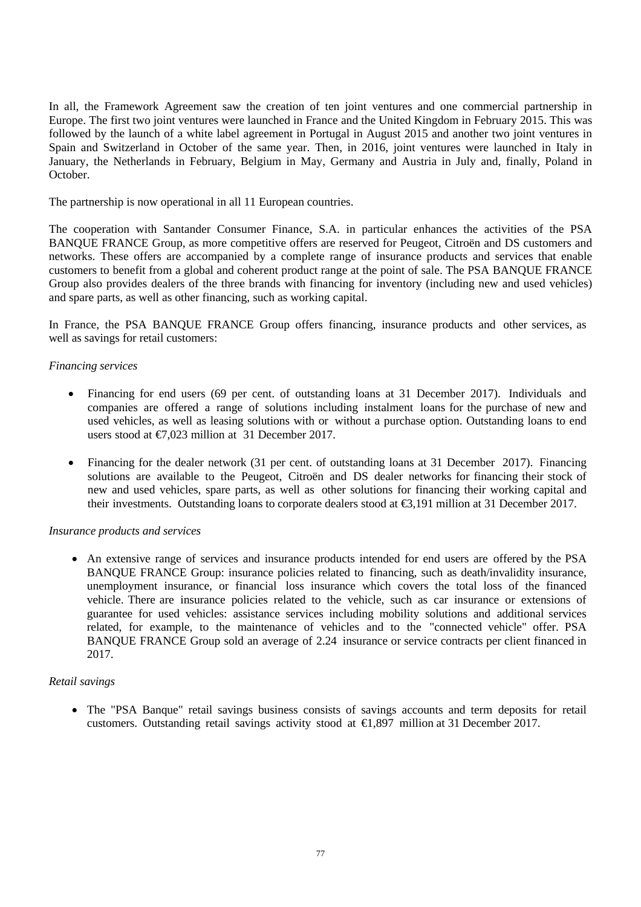In all, the Framework Agreement saw the creation of ten joint ventures and one commercial partnership in Europe. The first two joint ventures were launched in France and the United Kingdom in February 2015. This was followed by the launch of a white label agreement in Portugal in August 2015 and another two joint ventures in Spain and Switzerland in October of the same year. Then, in 2016, joint ventures were launched in Italy in January, the Netherlands in February, Belgium in May, Germany and Austria in July and, finally, Poland in October.

The partnership is now operational in all 11 European countries.

The cooperation with Santander Consumer Finance, S.A. in particular enhances the activities of the PSA BANQUE FRANCE Group, as more competitive offers are reserved for Peugeot, Citroën and DS customers and networks. These offers are accompanied by a complete range of insurance products and services that enable customers to benefit from a global and coherent product range at the point of sale. The PSA BANQUE FRANCE Group also provides dealers of the three brands with financing for inventory (including new and used vehicles) and spare parts, as well as other financing, such as working capital.

In France, the PSA BANQUE FRANCE Group offers financing, insurance products and other services, as well as savings for retail customers:

# *Financing services*

- Financing for end users (69 per cent. of outstanding loans at 31 December 2017). Individuals and companies are offered a range of solutions including instalment loans for the purchase of new and used vehicles, as well as leasing solutions with or without a purchase option. Outstanding loans to end users stood at  $\epsilon$ 7.023 million at 31 December 2017.
- Financing for the dealer network (31 per cent. of outstanding loans at 31 December 2017). Financing solutions are available to the Peugeot, Citroën and DS dealer networks for financing their stock of new and used vehicles, spare parts, as well as other solutions for financing their working capital and their investments. Outstanding loans to corporate dealers stood at €3,191 million at 31 December 2017.

## *Insurance products and services*

 An extensive range of services and insurance products intended for end users are offered by the PSA BANQUE FRANCE Group: insurance policies related to financing, such as death/invalidity insurance, unemployment insurance, or financial loss insurance which covers the total loss of the financed vehicle. There are insurance policies related to the vehicle, such as car insurance or extensions of guarantee for used vehicles: assistance services including mobility solutions and additional services related, for example, to the maintenance of vehicles and to the "connected vehicle" offer. PSA BANQUE FRANCE Group sold an average of 2.24 insurance or service contracts per client financed in 2017.

## *Retail savings*

 The "PSA Banque" retail savings business consists of savings accounts and term deposits for retail customers. Outstanding retail savings activity stood at €1,897 million at 31 December 2017.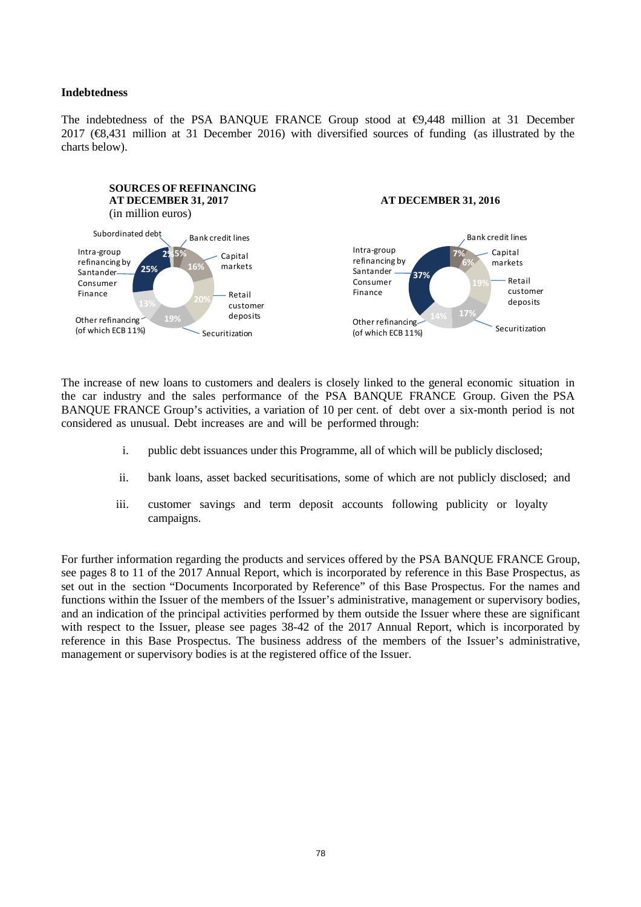#### **Indebtedness**

The indebtedness of the PSA BANQUE FRANCE Group stood at  $\Theta$ ,448 million at 31 December 2017 (€8,431 million at 31 December 2016) with diversified sources of funding (as illustrated by the charts below).



The increase of new loans to customers and dealers is closely linked to the general economic situation in the car industry and the sales performance of the PSA BANQUE FRANCE Group. Given the PSA BANQUE FRANCE Group's activities, a variation of 10 per cent. of debt over a six-month period is not considered as unusual. Debt increases are and will be performed through:

- i. public debt issuances under this Programme, all of which will be publicly disclosed;
- ii. bank loans, asset backed securitisations, some of which are not publicly disclosed; and
- iii. customer savings and term deposit accounts following publicity or loyalty campaigns.

For further information regarding the products and services offered by the PSA BANQUE FRANCE Group, see pages 8 to 11 of the 2017 Annual Report, which is incorporated by reference in this Base Prospectus, as set out in the section "Documents Incorporated by Reference" of this Base Prospectus. For the names and functions within the Issuer of the members of the Issuer's administrative, management or supervisory bodies, and an indication of the principal activities performed by them outside the Issuer where these are significant with respect to the Issuer, please see pages 38-42 of the 2017 Annual Report, which is incorporated by reference in this Base Prospectus. The business address of the members of the Issuer's administrative, management or supervisory bodies is at the registered office of the Issuer.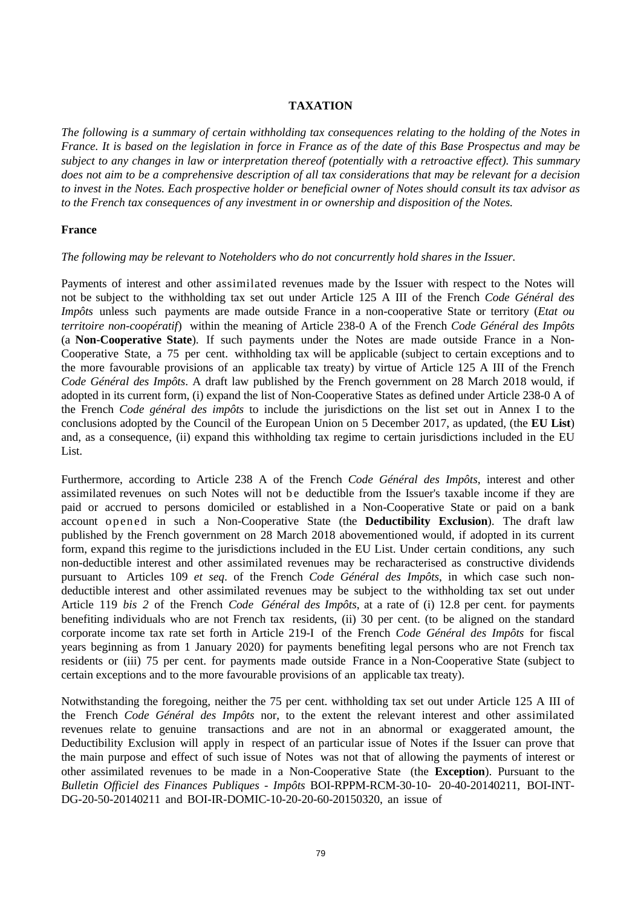## **TAXATION**

*The following is a summary of certain withholding tax consequences relating to the holding of the Notes in France. It is based on the legislation in force in France as of the date of this Base Prospectus and may be subject to any changes in law or interpretation thereof (potentially with a retroactive effect). This summary does not aim to be a comprehensive description of all tax considerations that may be relevant for a decision to invest in the Notes. Each prospective holder or beneficial owner of Notes should consult its tax advisor as to the French tax consequences of any investment in or ownership and disposition of the Notes.* 

## **France**

## *The following may be relevant to Noteholders who do not concurrently hold shares in the Issuer.*

Payments of interest and other assimilated revenues made by the Issuer with respect to the Notes will not be subject to the withholding tax set out under Article 125 A III of the French *Code Général des Impôts* unless such payments are made outside France in a non-cooperative State or territory (*Etat ou territoire non-coopératif*) within the meaning of Article 238-0 A of the French *Code Général des Impôts*  (a **Non-Cooperative State**). If such payments under the Notes are made outside France in a Non-Cooperative State, a 75 per cent. withholding tax will be applicable (subject to certain exceptions and to the more favourable provisions of an applicable tax treaty) by virtue of Article 125 A III of the French *Code Général des Impôts*. A draft law published by the French government on 28 March 2018 would, if adopted in its current form, (i) expand the list of Non-Cooperative States as defined under Article 238-0 A of the French *Code général des impôts* to include the jurisdictions on the list set out in Annex I to the conclusions adopted by the Council of the European Union on 5 December 2017, as updated, (the **EU List**) and, as a consequence, (ii) expand this withholding tax regime to certain jurisdictions included in the EU List.

Furthermore, according to Article 238 A of the French *Code Général des Impôts*, interest and other assimilated revenues on such Notes will not be deductible from the Issuer's taxable income if they are paid or accrued to persons domiciled or established in a Non-Cooperative State or paid on a bank account opened in such a Non-Cooperative State (the **Deductibility Exclusion**). The draft law published by the French government on 28 March 2018 abovementioned would, if adopted in its current form, expand this regime to the jurisdictions included in the EU List. Under certain conditions, any such non-deductible interest and other assimilated revenues may be recharacterised as constructive dividends pursuant to Articles 109 *et seq*. of the French *Code Général des Impôts*, in which case such nondeductible interest and other assimilated revenues may be subject to the withholding tax set out under Article 119 *bis 2* of the French *Code Général des Impôts*, at a rate of (i) 12.8 per cent. for payments benefiting individuals who are not French tax residents, (ii) 30 per cent. (to be aligned on the standard corporate income tax rate set forth in Article 219-I of the French *Code Général des Impôts* for fiscal years beginning as from 1 January 2020) for payments benefiting legal persons who are not French tax residents or (iii) 75 per cent. for payments made outside France in a Non-Cooperative State (subject to certain exceptions and to the more favourable provisions of an applicable tax treaty).

Notwithstanding the foregoing, neither the 75 per cent. withholding tax set out under Article 125 A III of the French *Code Général des Impôts* nor, to the extent the relevant interest and other assimilated revenues relate to genuine transactions and are not in an abnormal or exaggerated amount, the Deductibility Exclusion will apply in respect of an particular issue of Notes if the Issuer can prove that the main purpose and effect of such issue of Notes was not that of allowing the payments of interest or other assimilated revenues to be made in a Non-Cooperative State (the **Exception**). Pursuant to the *Bulletin Officiel des Finances Publiques - Impôts* BOI-RPPM-RCM-30-10- 20-40-20140211, BOI-INT-DG-20-50-20140211 and BOI-IR-DOMIC-10-20-20-60-20150320, an issue of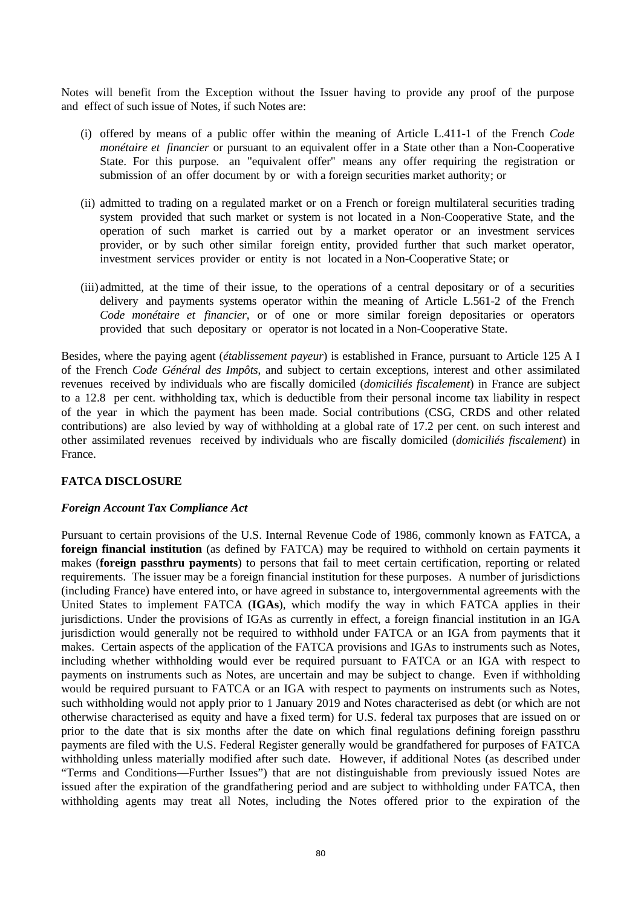Notes will benefit from the Exception without the Issuer having to provide any proof of the purpose and effect of such issue of Notes, if such Notes are:

- (i) offered by means of a public offer within the meaning of Article L.411-1 of the French *Code monétaire et financier* or pursuant to an equivalent offer in a State other than a Non-Cooperative State. For this purpose. an "equivalent offer" means any offer requiring the registration or submission of an offer document by or with a foreign securities market authority; or
- (ii) admitted to trading on a regulated market or on a French or foreign multilateral securities trading system provided that such market or system is not located in a Non-Cooperative State, and the operation of such market is carried out by a market operator or an investment services provider, or by such other similar foreign entity, provided further that such market operator, investment services provider or entity is not located in a Non-Cooperative State; or
- (iii) admitted, at the time of their issue, to the operations of a central depositary or of a securities delivery and payments systems operator within the meaning of Article L.561-2 of the French *Code monétaire et financier*, or of one or more similar foreign depositaries or operators provided that such depositary or operator is not located in a Non-Cooperative State.

Besides, where the paying agent (*établissement payeur*) is established in France, pursuant to Article 125 A I of the French *Code Général des Impôts*, and subject to certain exceptions, interest and other assimilated revenues received by individuals who are fiscally domiciled (*domiciliés fiscalement*) in France are subject to a 12.8 per cent. withholding tax, which is deductible from their personal income tax liability in respect of the year in which the payment has been made. Social contributions (CSG, CRDS and other related contributions) are also levied by way of withholding at a global rate of 17.2 per cent. on such interest and other assimilated revenues received by individuals who are fiscally domiciled (*domiciliés fiscalement*) in France.

## **FATCA DISCLOSURE**

#### *Foreign Account Tax Compliance Act*

Pursuant to certain provisions of the U.S. Internal Revenue Code of 1986, commonly known as FATCA, a **foreign financial institution** (as defined by FATCA) may be required to withhold on certain payments it makes (**foreign passthru payments**) to persons that fail to meet certain certification, reporting or related requirements. The issuer may be a foreign financial institution for these purposes. A number of jurisdictions (including France) have entered into, or have agreed in substance to, intergovernmental agreements with the United States to implement FATCA (**IGAs**), which modify the way in which FATCA applies in their jurisdictions. Under the provisions of IGAs as currently in effect, a foreign financial institution in an IGA jurisdiction would generally not be required to withhold under FATCA or an IGA from payments that it makes. Certain aspects of the application of the FATCA provisions and IGAs to instruments such as Notes, including whether withholding would ever be required pursuant to FATCA or an IGA with respect to payments on instruments such as Notes, are uncertain and may be subject to change. Even if withholding would be required pursuant to FATCA or an IGA with respect to payments on instruments such as Notes, such withholding would not apply prior to 1 January 2019 and Notes characterised as debt (or which are not otherwise characterised as equity and have a fixed term) for U.S. federal tax purposes that are issued on or prior to the date that is six months after the date on which final regulations defining foreign passthru payments are filed with the U.S. Federal Register generally would be grandfathered for purposes of FATCA withholding unless materially modified after such date. However, if additional Notes (as described under "Terms and Conditions—Further Issues") that are not distinguishable from previously issued Notes are issued after the expiration of the grandfathering period and are subject to withholding under FATCA, then withholding agents may treat all Notes, including the Notes offered prior to the expiration of the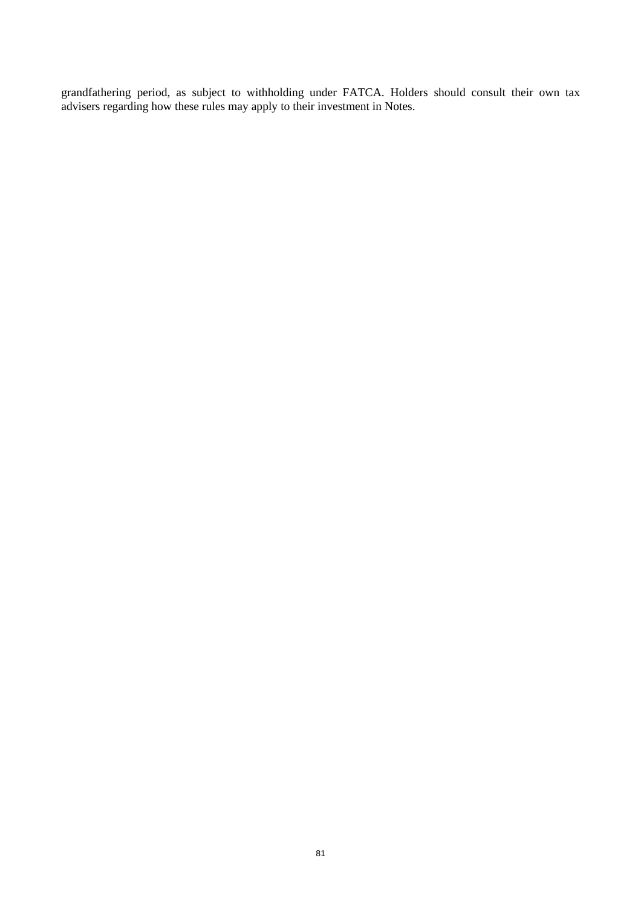grandfathering period, as subject to withholding under FATCA. Holders should consult their own tax advisers regarding how these rules may apply to their investment in Notes.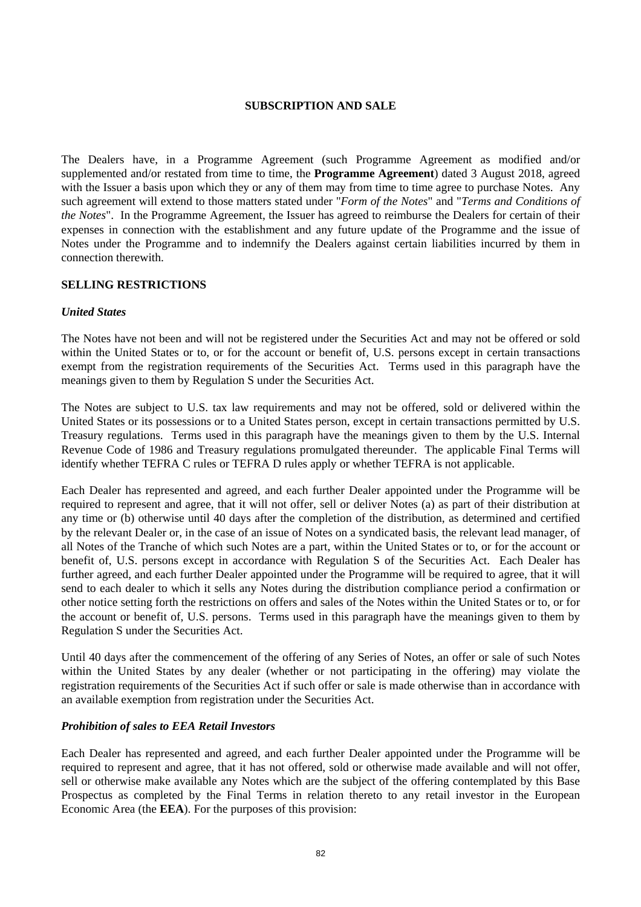## **SUBSCRIPTION AND SALE**

The Dealers have, in a Programme Agreement (such Programme Agreement as modified and/or supplemented and/or restated from time to time, the **Programme Agreement**) dated 3 August 2018, agreed with the Issuer a basis upon which they or any of them may from time to time agree to purchase Notes. Any such agreement will extend to those matters stated under "*Form of the Notes*" and "*Terms and Conditions of the Notes*". In the Programme Agreement, the Issuer has agreed to reimburse the Dealers for certain of their expenses in connection with the establishment and any future update of the Programme and the issue of Notes under the Programme and to indemnify the Dealers against certain liabilities incurred by them in connection therewith.

#### **SELLING RESTRICTIONS**

#### *United States*

The Notes have not been and will not be registered under the Securities Act and may not be offered or sold within the United States or to, or for the account or benefit of, U.S. persons except in certain transactions exempt from the registration requirements of the Securities Act. Terms used in this paragraph have the meanings given to them by Regulation S under the Securities Act.

The Notes are subject to U.S. tax law requirements and may not be offered, sold or delivered within the United States or its possessions or to a United States person, except in certain transactions permitted by U.S. Treasury regulations. Terms used in this paragraph have the meanings given to them by the U.S. Internal Revenue Code of 1986 and Treasury regulations promulgated thereunder. The applicable Final Terms will identify whether TEFRA C rules or TEFRA D rules apply or whether TEFRA is not applicable.

Each Dealer has represented and agreed, and each further Dealer appointed under the Programme will be required to represent and agree, that it will not offer, sell or deliver Notes (a) as part of their distribution at any time or (b) otherwise until 40 days after the completion of the distribution, as determined and certified by the relevant Dealer or, in the case of an issue of Notes on a syndicated basis, the relevant lead manager, of all Notes of the Tranche of which such Notes are a part, within the United States or to, or for the account or benefit of, U.S. persons except in accordance with Regulation S of the Securities Act. Each Dealer has further agreed, and each further Dealer appointed under the Programme will be required to agree, that it will send to each dealer to which it sells any Notes during the distribution compliance period a confirmation or other notice setting forth the restrictions on offers and sales of the Notes within the United States or to, or for the account or benefit of, U.S. persons. Terms used in this paragraph have the meanings given to them by Regulation S under the Securities Act.

Until 40 days after the commencement of the offering of any Series of Notes, an offer or sale of such Notes within the United States by any dealer (whether or not participating in the offering) may violate the registration requirements of the Securities Act if such offer or sale is made otherwise than in accordance with an available exemption from registration under the Securities Act.

#### *Prohibition of sales to EEA Retail Investors*

Each Dealer has represented and agreed, and each further Dealer appointed under the Programme will be required to represent and agree, that it has not offered, sold or otherwise made available and will not offer, sell or otherwise make available any Notes which are the subject of the offering contemplated by this Base Prospectus as completed by the Final Terms in relation thereto to any retail investor in the European Economic Area (the **EEA**). For the purposes of this provision: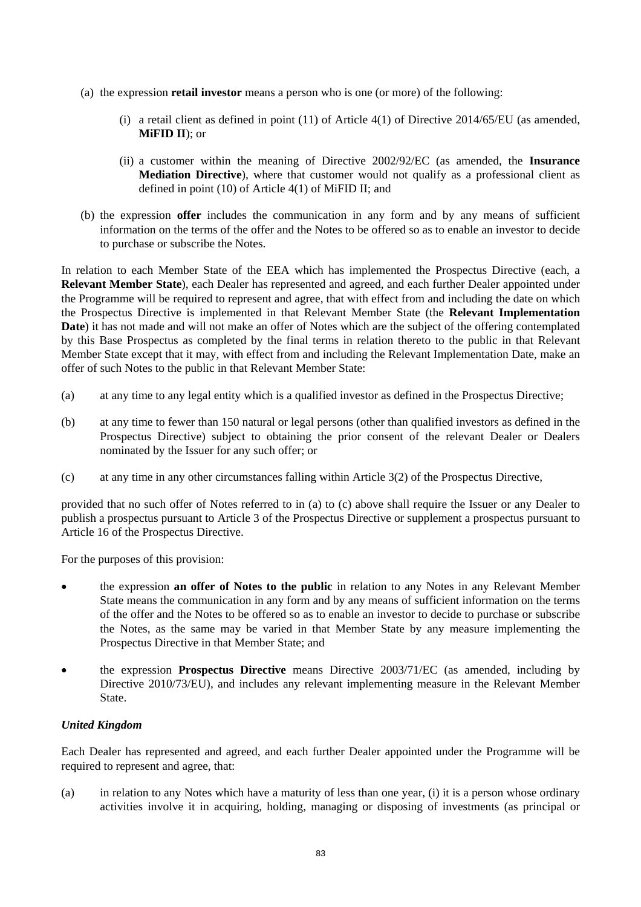- (a) the expression **retail investor** means a person who is one (or more) of the following:
	- (i) a retail client as defined in point (11) of Article 4(1) of Directive 2014/65/EU (as amended, **MiFID II**); or
	- (ii) a customer within the meaning of Directive 2002/92/EC (as amended, the **Insurance Mediation Directive**), where that customer would not qualify as a professional client as defined in point (10) of Article 4(1) of MiFID II; and
- (b) the expression **offer** includes the communication in any form and by any means of sufficient information on the terms of the offer and the Notes to be offered so as to enable an investor to decide to purchase or subscribe the Notes.

In relation to each Member State of the EEA which has implemented the Prospectus Directive (each, a **Relevant Member State**), each Dealer has represented and agreed, and each further Dealer appointed under the Programme will be required to represent and agree, that with effect from and including the date on which the Prospectus Directive is implemented in that Relevant Member State (the **Relevant Implementation Date**) it has not made and will not make an offer of Notes which are the subject of the offering contemplated by this Base Prospectus as completed by the final terms in relation thereto to the public in that Relevant Member State except that it may, with effect from and including the Relevant Implementation Date, make an offer of such Notes to the public in that Relevant Member State:

- (a) at any time to any legal entity which is a qualified investor as defined in the Prospectus Directive;
- (b) at any time to fewer than 150 natural or legal persons (other than qualified investors as defined in the Prospectus Directive) subject to obtaining the prior consent of the relevant Dealer or Dealers nominated by the Issuer for any such offer; or
- (c) at any time in any other circumstances falling within Article 3(2) of the Prospectus Directive,

provided that no such offer of Notes referred to in (a) to (c) above shall require the Issuer or any Dealer to publish a prospectus pursuant to Article 3 of the Prospectus Directive or supplement a prospectus pursuant to Article 16 of the Prospectus Directive.

For the purposes of this provision:

- the expression **an offer of Notes to the public** in relation to any Notes in any Relevant Member State means the communication in any form and by any means of sufficient information on the terms of the offer and the Notes to be offered so as to enable an investor to decide to purchase or subscribe the Notes, as the same may be varied in that Member State by any measure implementing the Prospectus Directive in that Member State; and
- the expression **Prospectus Directive** means Directive 2003/71/EC (as amended, including by Directive 2010/73/EU), and includes any relevant implementing measure in the Relevant Member State.

## *United Kingdom*

Each Dealer has represented and agreed, and each further Dealer appointed under the Programme will be required to represent and agree, that:

(a) in relation to any Notes which have a maturity of less than one year, (i) it is a person whose ordinary activities involve it in acquiring, holding, managing or disposing of investments (as principal or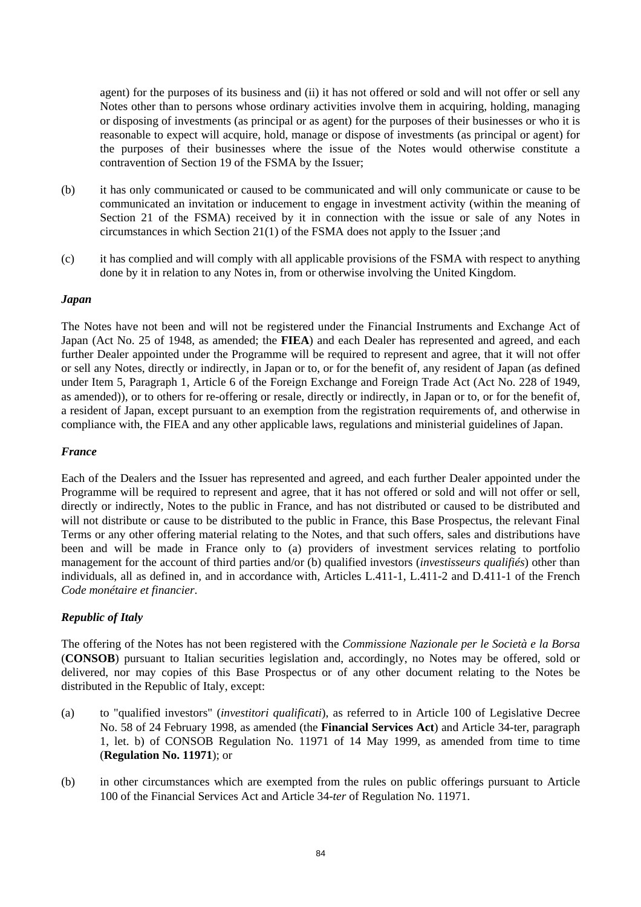agent) for the purposes of its business and (ii) it has not offered or sold and will not offer or sell any Notes other than to persons whose ordinary activities involve them in acquiring, holding, managing or disposing of investments (as principal or as agent) for the purposes of their businesses or who it is reasonable to expect will acquire, hold, manage or dispose of investments (as principal or agent) for the purposes of their businesses where the issue of the Notes would otherwise constitute a contravention of Section 19 of the FSMA by the Issuer;

- (b) it has only communicated or caused to be communicated and will only communicate or cause to be communicated an invitation or inducement to engage in investment activity (within the meaning of Section 21 of the FSMA) received by it in connection with the issue or sale of any Notes in circumstances in which Section 21(1) of the FSMA does not apply to the Issuer ;and
- (c) it has complied and will comply with all applicable provisions of the FSMA with respect to anything done by it in relation to any Notes in, from or otherwise involving the United Kingdom.

## *Japan*

The Notes have not been and will not be registered under the Financial Instruments and Exchange Act of Japan (Act No. 25 of 1948, as amended; the **FIEA**) and each Dealer has represented and agreed, and each further Dealer appointed under the Programme will be required to represent and agree, that it will not offer or sell any Notes, directly or indirectly, in Japan or to, or for the benefit of, any resident of Japan (as defined under Item 5, Paragraph 1, Article 6 of the Foreign Exchange and Foreign Trade Act (Act No. 228 of 1949, as amended)), or to others for re-offering or resale, directly or indirectly, in Japan or to, or for the benefit of, a resident of Japan, except pursuant to an exemption from the registration requirements of, and otherwise in compliance with, the FIEA and any other applicable laws, regulations and ministerial guidelines of Japan.

#### *France*

Each of the Dealers and the Issuer has represented and agreed, and each further Dealer appointed under the Programme will be required to represent and agree, that it has not offered or sold and will not offer or sell, directly or indirectly, Notes to the public in France, and has not distributed or caused to be distributed and will not distribute or cause to be distributed to the public in France, this Base Prospectus, the relevant Final Terms or any other offering material relating to the Notes, and that such offers, sales and distributions have been and will be made in France only to (a) providers of investment services relating to portfolio management for the account of third parties and/or (b) qualified investors (*investisseurs qualifiés*) other than individuals, all as defined in, and in accordance with, Articles L.411-1, L.411-2 and D.411-1 of the French *Code monétaire et financier*.

## *Republic of Italy*

The offering of the Notes has not been registered with the *Commissione Nazionale per le Società e la Borsa* (**CONSOB**) pursuant to Italian securities legislation and, accordingly, no Notes may be offered, sold or delivered, nor may copies of this Base Prospectus or of any other document relating to the Notes be distributed in the Republic of Italy, except:

- (a) to "qualified investors" (*investitori qualificati*), as referred to in Article 100 of Legislative Decree No. 58 of 24 February 1998, as amended (the **Financial Services Act**) and Article 34-ter, paragraph 1, let. b) of CONSOB Regulation No. 11971 of 14 May 1999, as amended from time to time (**Regulation No. 11971**); or
- (b) in other circumstances which are exempted from the rules on public offerings pursuant to Article 100 of the Financial Services Act and Article 34-*ter* of Regulation No. 11971.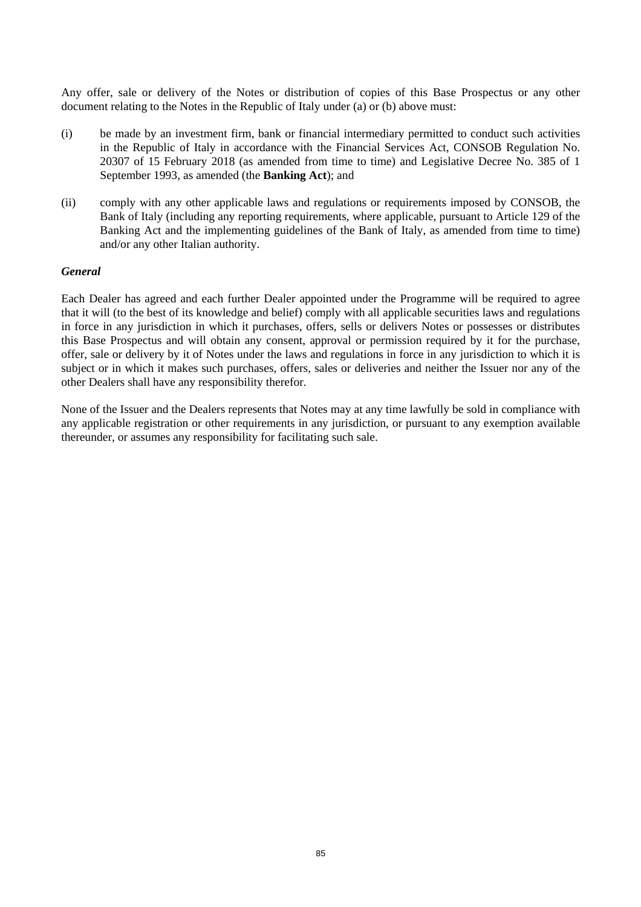Any offer, sale or delivery of the Notes or distribution of copies of this Base Prospectus or any other document relating to the Notes in the Republic of Italy under (a) or (b) above must:

- (i) be made by an investment firm, bank or financial intermediary permitted to conduct such activities in the Republic of Italy in accordance with the Financial Services Act, CONSOB Regulation No. 20307 of 15 February 2018 (as amended from time to time) and Legislative Decree No. 385 of 1 September 1993, as amended (the **Banking Act**); and
- (ii) comply with any other applicable laws and regulations or requirements imposed by CONSOB, the Bank of Italy (including any reporting requirements, where applicable, pursuant to Article 129 of the Banking Act and the implementing guidelines of the Bank of Italy, as amended from time to time) and/or any other Italian authority.

#### *General*

Each Dealer has agreed and each further Dealer appointed under the Programme will be required to agree that it will (to the best of its knowledge and belief) comply with all applicable securities laws and regulations in force in any jurisdiction in which it purchases, offers, sells or delivers Notes or possesses or distributes this Base Prospectus and will obtain any consent, approval or permission required by it for the purchase, offer, sale or delivery by it of Notes under the laws and regulations in force in any jurisdiction to which it is subject or in which it makes such purchases, offers, sales or deliveries and neither the Issuer nor any of the other Dealers shall have any responsibility therefor.

None of the Issuer and the Dealers represents that Notes may at any time lawfully be sold in compliance with any applicable registration or other requirements in any jurisdiction, or pursuant to any exemption available thereunder, or assumes any responsibility for facilitating such sale.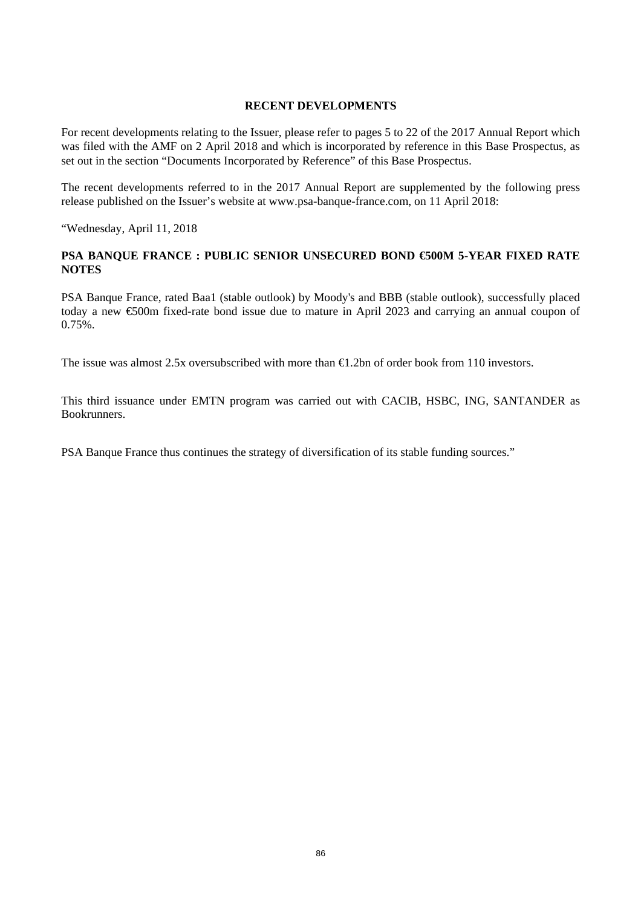## **RECENT DEVELOPMENTS**

For recent developments relating to the Issuer, please refer to pages 5 to 22 of the 2017 Annual Report which was filed with the AMF on 2 April 2018 and which is incorporated by reference in this Base Prospectus, as set out in the section "Documents Incorporated by Reference" of this Base Prospectus.

The recent developments referred to in the 2017 Annual Report are supplemented by the following press release published on the Issuer's website at www.psa-banque-france.com, on 11 April 2018:

"Wednesday, April 11, 2018

# **PSA BANQUE FRANCE : PUBLIC SENIOR UNSECURED BOND €500M 5-YEAR FIXED RATE NOTES**

PSA Banque France, rated Baa1 (stable outlook) by Moody's and BBB (stable outlook), successfully placed today a new €500m fixed-rate bond issue due to mature in April 2023 and carrying an annual coupon of  $0.75%$ .

The issue was almost 2.5x oversubscribed with more than  $\bigoplus$  2bn of order book from 110 investors.

This third issuance under EMTN program was carried out with CACIB, HSBC, ING, SANTANDER as Bookrunners.

PSA Banque France thus continues the strategy of diversification of its stable funding sources."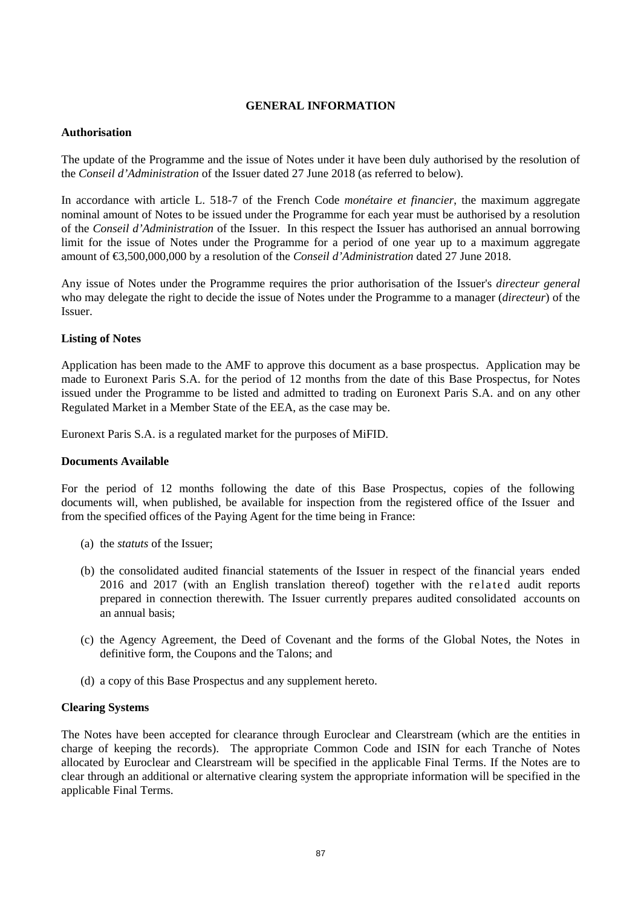# **GENERAL INFORMATION**

#### **Authorisation**

The update of the Programme and the issue of Notes under it have been duly authorised by the resolution of the *Conseil d'Administration* of the Issuer dated 27 June 2018 (as referred to below).

In accordance with article L. 518-7 of the French Code *monétaire et financier*, the maximum aggregate nominal amount of Notes to be issued under the Programme for each year must be authorised by a resolution of the *Conseil d'Administration* of the Issuer. In this respect the Issuer has authorised an annual borrowing limit for the issue of Notes under the Programme for a period of one year up to a maximum aggregate amount of €3,500,000,000 by a resolution of the *Conseil d'Administration* dated 27 June 2018.

Any issue of Notes under the Programme requires the prior authorisation of the Issuer's *directeur general* who may delegate the right to decide the issue of Notes under the Programme to a manager (*directeur*) of the Issuer.

## **Listing of Notes**

Application has been made to the AMF to approve this document as a base prospectus. Application may be made to Euronext Paris S.A. for the period of 12 months from the date of this Base Prospectus, for Notes issued under the Programme to be listed and admitted to trading on Euronext Paris S.A. and on any other Regulated Market in a Member State of the EEA, as the case may be.

Euronext Paris S.A. is a regulated market for the purposes of MiFID.

## **Documents Available**

For the period of 12 months following the date of this Base Prospectus, copies of the following documents will, when published, be available for inspection from the registered office of the Issuer and from the specified offices of the Paying Agent for the time being in France:

- (a) the *statuts* of the Issuer;
- (b) the consolidated audited financial statements of the Issuer in respect of the financial years ended 2016 and 2017 (with an English translation thereof) together with the rel ated audit reports prepared in connection therewith. The Issuer currently prepares audited consolidated accounts on an annual basis;
- (c) the Agency Agreement, the Deed of Covenant and the forms of the Global Notes, the Notes in definitive form, the Coupons and the Talons; and
- (d) a copy of this Base Prospectus and any supplement hereto.

## **Clearing Systems**

The Notes have been accepted for clearance through Euroclear and Clearstream (which are the entities in charge of keeping the records). The appropriate Common Code and ISIN for each Tranche of Notes allocated by Euroclear and Clearstream will be specified in the applicable Final Terms. If the Notes are to clear through an additional or alternative clearing system the appropriate information will be specified in the applicable Final Terms.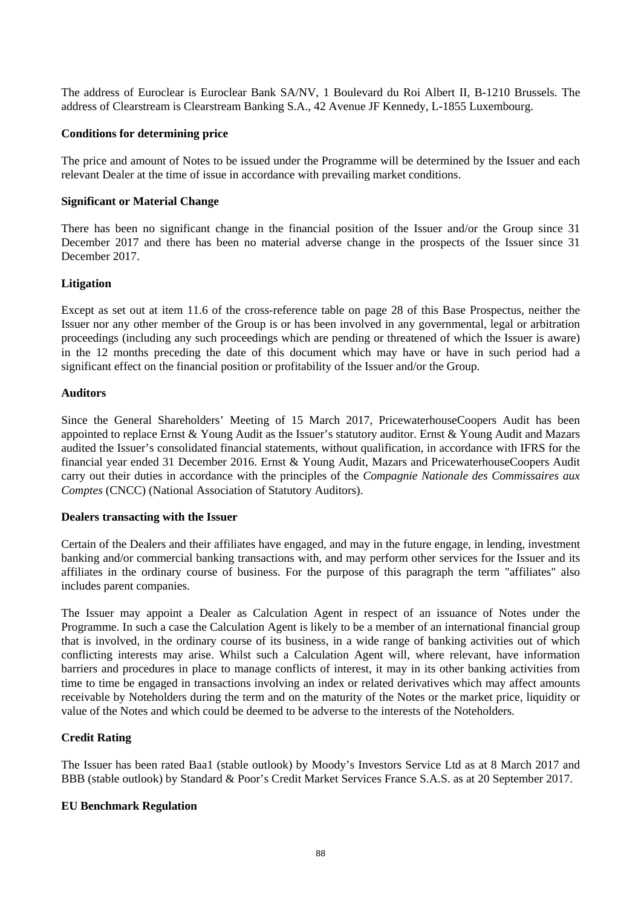The address of Euroclear is Euroclear Bank SA/NV, 1 Boulevard du Roi Albert II, B-1210 Brussels. The address of Clearstream is Clearstream Banking S.A., 42 Avenue JF Kennedy, L-1855 Luxembourg.

#### **Conditions for determining price**

The price and amount of Notes to be issued under the Programme will be determined by the Issuer and each relevant Dealer at the time of issue in accordance with prevailing market conditions.

#### **Significant or Material Change**

There has been no significant change in the financial position of the Issuer and/or the Group since 31 December 2017 and there has been no material adverse change in the prospects of the Issuer since 31 December 2017.

#### **Litigation**

Except as set out at item 11.6 of the cross-reference table on page 28 of this Base Prospectus, neither the Issuer nor any other member of the Group is or has been involved in any governmental, legal or arbitration proceedings (including any such proceedings which are pending or threatened of which the Issuer is aware) in the 12 months preceding the date of this document which may have or have in such period had a significant effect on the financial position or profitability of the Issuer and/or the Group.

#### **Auditors**

Since the General Shareholders' Meeting of 15 March 2017, PricewaterhouseCoopers Audit has been appointed to replace Ernst & Young Audit as the Issuer's statutory auditor. Ernst & Young Audit and Mazars audited the Issuer's consolidated financial statements, without qualification, in accordance with IFRS for the financial year ended 31 December 2016. Ernst & Young Audit, Mazars and PricewaterhouseCoopers Audit carry out their duties in accordance with the principles of the *Compagnie Nationale des Commissaires aux Comptes* (CNCC) (National Association of Statutory Auditors).

#### **Dealers transacting with the Issuer**

Certain of the Dealers and their affiliates have engaged, and may in the future engage, in lending, investment banking and/or commercial banking transactions with, and may perform other services for the Issuer and its affiliates in the ordinary course of business. For the purpose of this paragraph the term "affiliates" also includes parent companies.

The Issuer may appoint a Dealer as Calculation Agent in respect of an issuance of Notes under the Programme. In such a case the Calculation Agent is likely to be a member of an international financial group that is involved, in the ordinary course of its business, in a wide range of banking activities out of which conflicting interests may arise. Whilst such a Calculation Agent will, where relevant, have information barriers and procedures in place to manage conflicts of interest, it may in its other banking activities from time to time be engaged in transactions involving an index or related derivatives which may affect amounts receivable by Noteholders during the term and on the maturity of the Notes or the market price, liquidity or value of the Notes and which could be deemed to be adverse to the interests of the Noteholders.

## **Credit Rating**

The Issuer has been rated Baa1 (stable outlook) by Moody's Investors Service Ltd as at 8 March 2017 and BBB (stable outlook) by Standard & Poor's Credit Market Services France S.A.S. as at 20 September 2017.

## **EU Benchmark Regulation**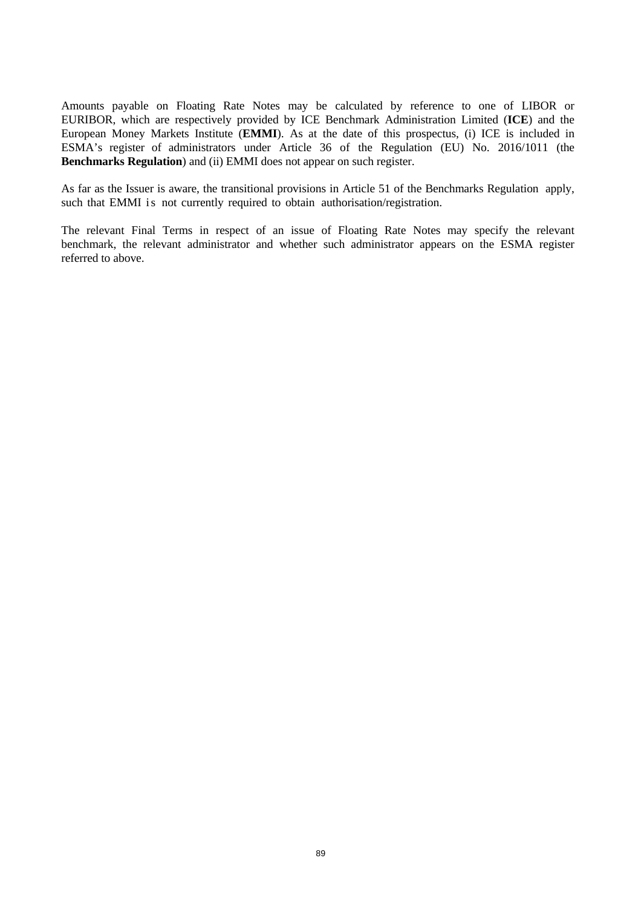Amounts payable on Floating Rate Notes may be calculated by reference to one of LIBOR or EURIBOR, which are respectively provided by ICE Benchmark Administration Limited (**ICE**) and the European Money Markets Institute (**EMMI**). As at the date of this prospectus, (i) ICE is included in ESMA's register of administrators under Article 36 of the Regulation (EU) No. 2016/1011 (the **Benchmarks Regulation**) and (ii) EMMI does not appear on such register.

As far as the Issuer is aware, the transitional provisions in Article 51 of the Benchmarks Regulation apply, such that EMMI is not currently required to obtain authorisation/registration.

The relevant Final Terms in respect of an issue of Floating Rate Notes may specify the relevant benchmark, the relevant administrator and whether such administrator appears on the ESMA register referred to above.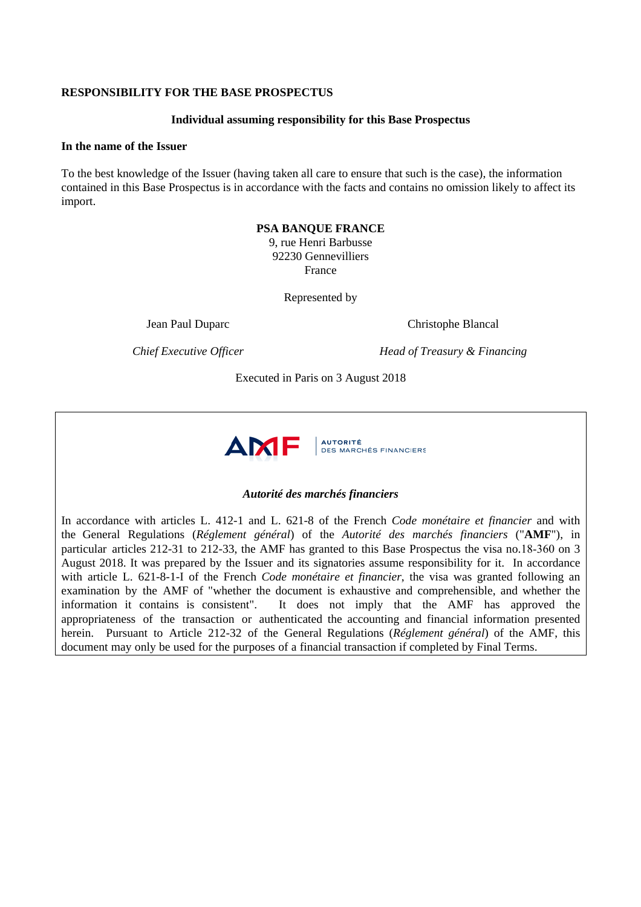#### **RESPONSIBILITY FOR THE BASE PROSPECTUS**

#### **Individual assuming responsibility for this Base Prospectus**

#### **In the name of the Issuer**

To the best knowledge of the Issuer (having taken all care to ensure that such is the case), the information contained in this Base Prospectus is in accordance with the facts and contains no omission likely to affect its import.

# **PSA BANQUE FRANCE**

9, rue Henri Barbusse 92230 Gennevilliers France

Represented by

Jean Paul Duparc Christophe Blancal

*Chief Executive Officer* **Head of Treasury & Financing** 

Executed in Paris on 3 August 2018



## *Autorité des marchés financiers*

In accordance with articles L. 412-1 and L. 621-8 of the French *Code monétaire et financier* and with the General Regulations (*Réglement général*) of the *Autorité des marchés financiers* ("**AMF**"), in particular articles 212-31 to 212-33, the AMF has granted to this Base Prospectus the visa no.18-360 on 3 August 2018. It was prepared by the Issuer and its signatories assume responsibility for it. In accordance with article L. 621-8-1-I of the French *Code monétaire et financier*, the visa was granted following an examination by the AMF of "whether the document is exhaustive and comprehensible, and whether the information it contains is consistent". It does not imply that the AMF has approved the appropriateness of the transaction or authenticated the accounting and financial information presented herein. Pursuant to Article 212-32 of the General Regulations (*Réglement général*) of the AMF, this document may only be used for the purposes of a financial transaction if completed by Final Terms.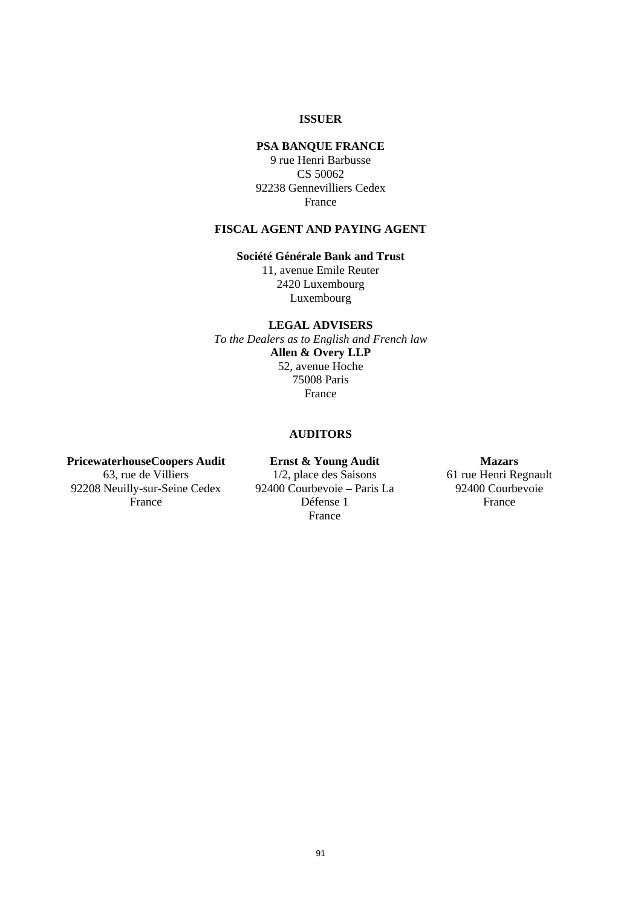# **ISSUER**

## **PSA BANQUE FRANCE**

9 rue Henri Barbusse CS 50062 92238 Gennevilliers Cedex France

# **FISCAL AGENT AND PAYING AGENT**

# **Société Générale Bank and Trust**

11, avenue Emile Reuter 2420 Luxembourg Luxembourg

## **LEGAL ADVISERS**

*To the Dealers as to English and French law* **Allen & Overy LLP**  52, avenue Hoche 75008 Paris France

# **AUDITORS**

## **PricewaterhouseCoopers Audit**  63, rue de Villiers

92208 Neuilly-sur-Seine Cedex France

**Ernst & Young Audit**  1/2, place des Saisons 92400 Courbevoie – Paris La Défense 1 France

**Mazars** 61 rue Henri Regnault

92400 Courbevoie France